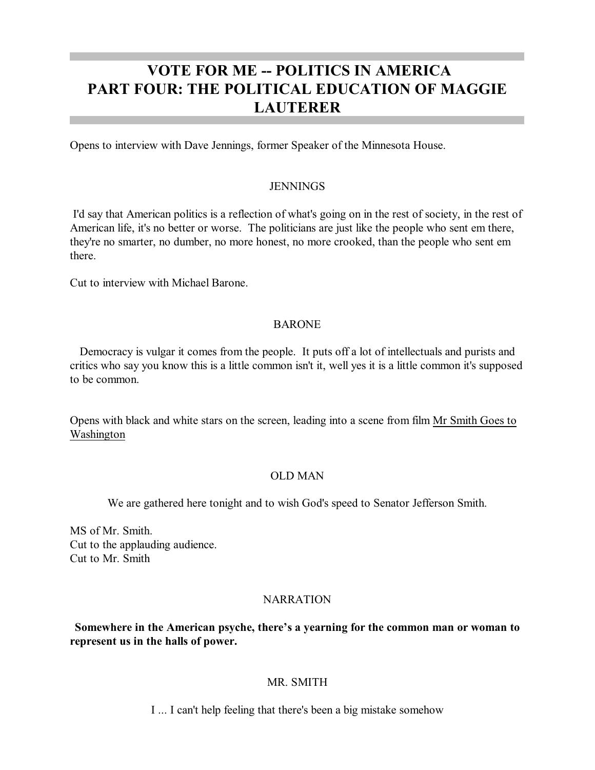# **VOTE FOR ME -- POLITICS IN AMERICA PART FOUR: THE POLITICAL EDUCATION OF MAGGIE LAUTERER**

Opens to interview with Dave Jennings, former Speaker of the Minnesota House.

### **JENNINGS**

I'd say that American politics is a reflection of what's going on in the rest of society, in the rest of American life, it's no better or worse. The politicians are just like the people who sent em there, they're no smarter, no dumber, no more honest, no more crooked, than the people who sent em there.

Cut to interview with Michael Barone.

# **BARONE**

Democracy is vulgar it comes from the people. It puts off a lot of intellectuals and purists and critics who say you know this is a little common isn't it, well yes it is a little common it's supposed to be common.

Opens with black and white stars on the screen, leading into a scene from film Mr Smith Goes to Washington

# OLD MAN

We are gathered here tonight and to wish God's speed to Senator Jefferson Smith.

MS of Mr. Smith. Cut to the applauding audience. Cut to Mr. Smith

# **NARRATION**

**Somewhere in the American psyche, there's a yearning for the common man or woman to represent us in the halls of power.**

# MR. SMITH

I ... I can't help feeling that there's been a big mistake somehow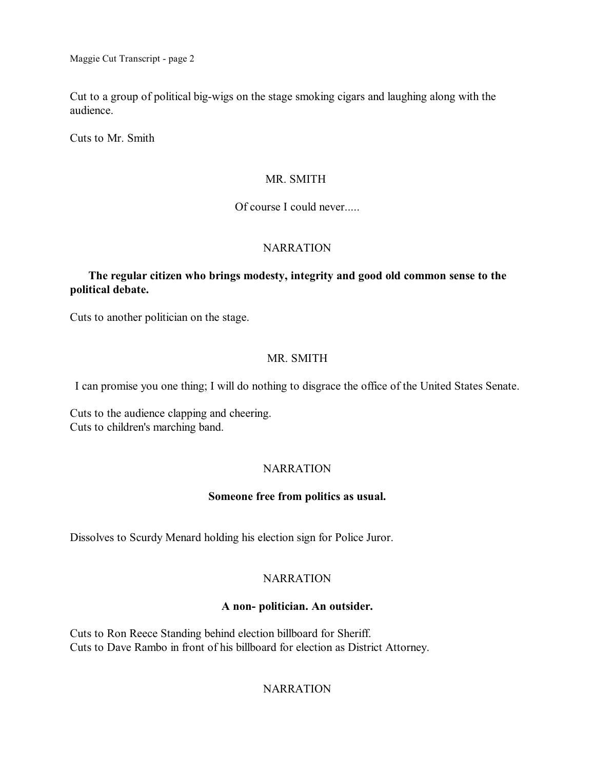Cut to a group of political big-wigs on the stage smoking cigars and laughing along with the audience.

Cuts to Mr. Smith

# MR. SMITH

# Of course I could never.....

# **NARRATION**

# **The regular citizen who brings modesty, integrity and good old common sense to the political debate.**

Cuts to another politician on the stage.

# MR. SMITH

I can promise you one thing; I will do nothing to disgrace the office of the United States Senate.

Cuts to the audience clapping and cheering. Cuts to children's marching band.

# **NARRATION**

# **Someone free from politics as usual.**

Dissolves to Scurdy Menard holding his election sign for Police Juror.

# **NARRATION**

# **A non- politician. An outsider.**

Cuts to Ron Reece Standing behind election billboard for Sheriff. Cuts to Dave Rambo in front of his billboard for election as District Attorney.

# **NARRATION**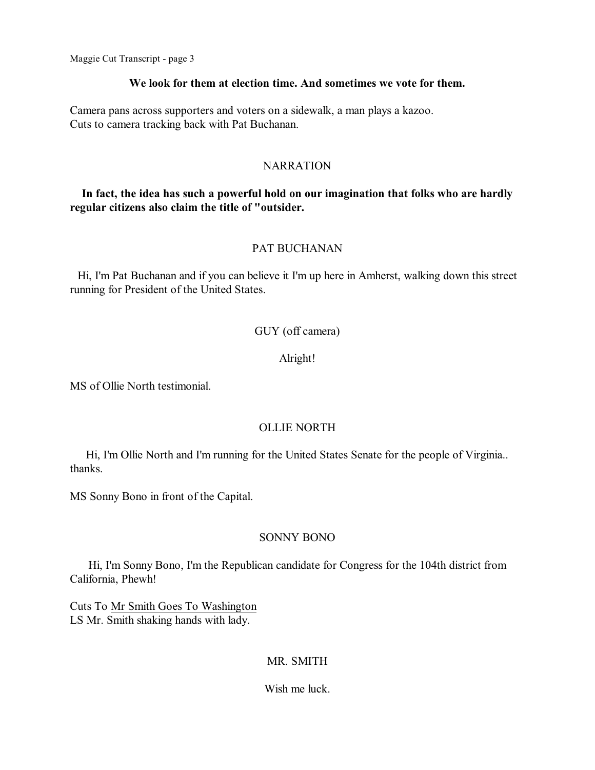#### **We look for them at election time. And sometimes we vote for them.**

Camera pans across supporters and voters on a sidewalk, a man plays a kazoo. Cuts to camera tracking back with Pat Buchanan.

#### NARRATION

# **In fact, the idea has such a powerful hold on our imagination that folks who are hardly regular citizens also claim the title of "outsider.**

# PAT BUCHANAN

Hi, I'm Pat Buchanan and if you can believe it I'm up here in Amherst, walking down this street running for President of the United States.

# GUY (off camera)

# Alright!

MS of Ollie North testimonial.

# OLLIE NORTH

Hi, I'm Ollie North and I'm running for the United States Senate for the people of Virginia.. thanks.

MS Sonny Bono in front of the Capital.

# SONNY BONO

Hi, I'm Sonny Bono, I'm the Republican candidate for Congress for the 104th district from California, Phewh!

Cuts To Mr Smith Goes To Washington LS Mr. Smith shaking hands with lady.

# MR. SMITH

Wish me luck.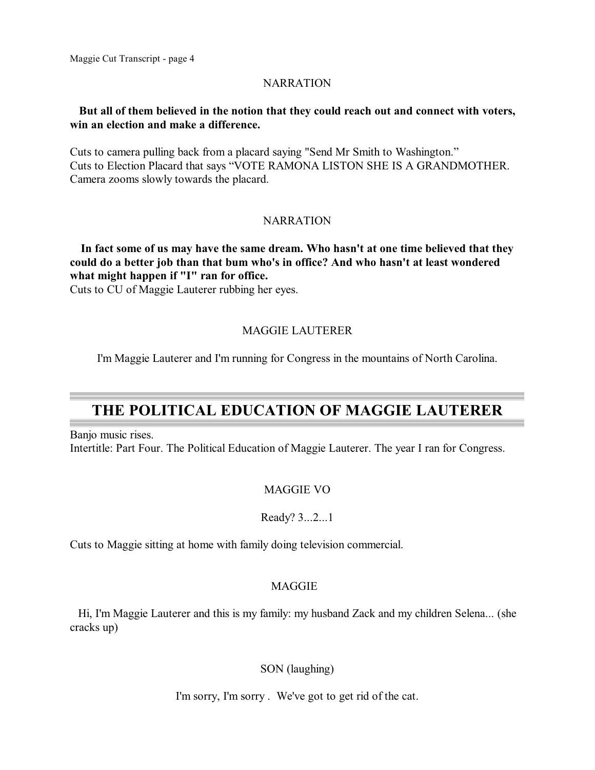# NARRATION

# **But all of them believed in the notion that they could reach out and connect with voters, win an election and make a difference.**

Cuts to camera pulling back from a placard saying "Send Mr Smith to Washington." Cuts to Election Placard that says "VOTE RAMONA LISTON SHE IS A GRANDMOTHER. Camera zooms slowly towards the placard.

# NARRATION

**In fact some of us may have the same dream. Who hasn't at one time believed that they could do a better job than that bum who's in office? And who hasn't at least wondered what might happen if "I" ran for office.**

Cuts to CU of Maggie Lauterer rubbing her eyes.

# MAGGIE LAUTERER

I'm Maggie Lauterer and I'm running for Congress in the mountains of North Carolina.

# **THE POLITICAL EDUCATION OF MAGGIE LAUTERER**

Banjo music rises. Intertitle: Part Four. The Political Education of Maggie Lauterer. The year I ran for Congress.

# MAGGIE VO

Ready? 3...2...1

Cuts to Maggie sitting at home with family doing television commercial.

# **MAGGIE**

Hi, I'm Maggie Lauterer and this is my family: my husband Zack and my children Selena... (she cracks up)

SON (laughing)

I'm sorry, I'm sorry . We've got to get rid of the cat.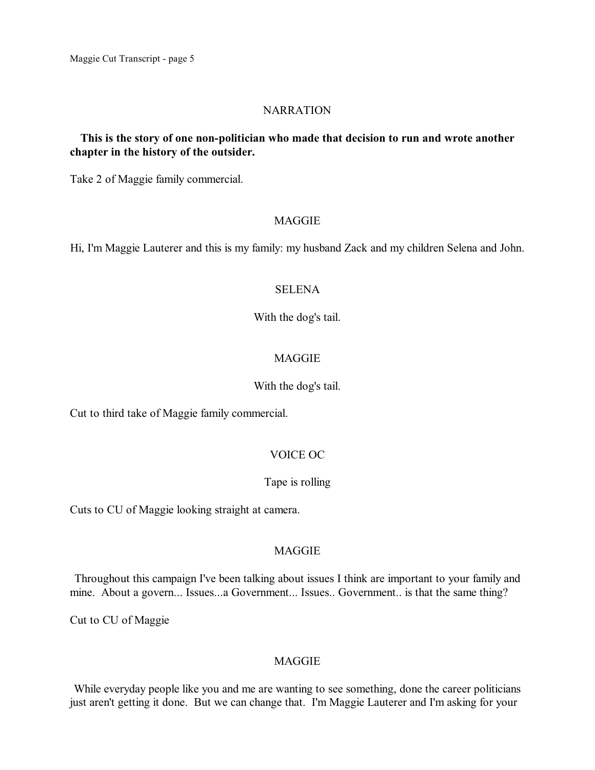#### NARRATION

# **This is the story of one non-politician who made that decision to run and wrote another chapter in the history of the outsider.**

Take 2 of Maggie family commercial.

### MAGGIE

Hi, I'm Maggie Lauterer and this is my family: my husband Zack and my children Selena and John.

### **SELENA**

With the dog's tail.

# MAGGIE

### With the dog's tail.

Cut to third take of Maggie family commercial.

# VOICE OC

# Tape is rolling

Cuts to CU of Maggie looking straight at camera.

# MAGGIE

Throughout this campaign I've been talking about issues I think are important to your family and mine. About a govern... Issues...a Government... Issues.. Government.. is that the same thing?

Cut to CU of Maggie

# MAGGIE

While everyday people like you and me are wanting to see something, done the career politicians just aren't getting it done. But we can change that. I'm Maggie Lauterer and I'm asking for your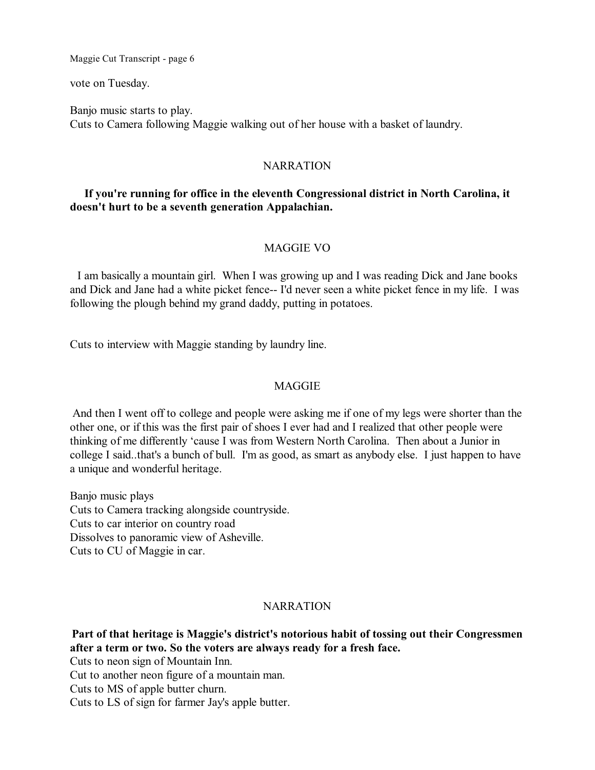vote on Tuesday.

Banjo music starts to play. Cuts to Camera following Maggie walking out of her house with a basket of laundry.

#### NARRATION

# **If you're running for office in the eleventh Congressional district in North Carolina, it doesn't hurt to be a seventh generation Appalachian.**

# MAGGIE VO

I am basically a mountain girl. When I was growing up and I was reading Dick and Jane books and Dick and Jane had a white picket fence-- I'd never seen a white picket fence in my life. I was following the plough behind my grand daddy, putting in potatoes.

Cuts to interview with Maggie standing by laundry line.

# MAGGIE

And then I went off to college and people were asking me if one of my legs were shorter than the other one, or if this was the first pair of shoes I ever had and I realized that other people were thinking of me differently 'cause I was from Western North Carolina. Then about a Junior in college I said..that's a bunch of bull. I'm as good, as smart as anybody else. I just happen to have a unique and wonderful heritage.

Banjo music plays Cuts to Camera tracking alongside countryside. Cuts to car interior on country road Dissolves to panoramic view of Asheville. Cuts to CU of Maggie in car.

#### NARRATION

**Part of that heritage is Maggie's district's notorious habit of tossing out their Congressmen after a term or two. So the voters are always ready for a fresh face.** Cuts to neon sign of Mountain Inn.

Cut to another neon figure of a mountain man.

Cuts to MS of apple butter churn.

Cuts to LS of sign for farmer Jay's apple butter.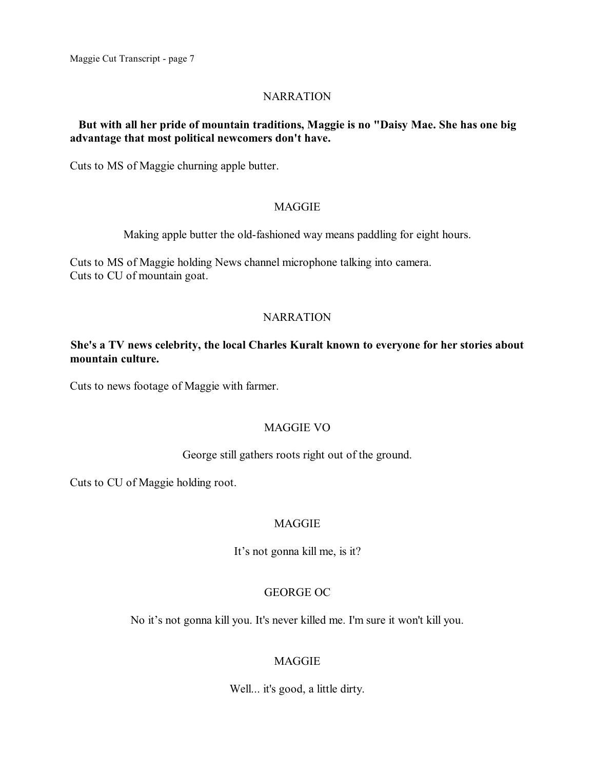# NARRATION

# **But with all her pride of mountain traditions, Maggie is no "Daisy Mae. She has one big advantage that most political newcomers don't have.**

Cuts to MS of Maggie churning apple butter.

# **MAGGIE**

Making apple butter the old-fashioned way means paddling for eight hours.

Cuts to MS of Maggie holding News channel microphone talking into camera. Cuts to CU of mountain goat.

# NARRATION

# **She's a TV news celebrity, the local Charles Kuralt known to everyone for her stories about mountain culture.**

Cuts to news footage of Maggie with farmer.

# MAGGIE VO

# George still gathers roots right out of the ground.

Cuts to CU of Maggie holding root.

# **MAGGIE**

It's not gonna kill me, is it?

# GEORGE OC

No it's not gonna kill you. It's never killed me. I'm sure it won't kill you.

# MAGGIE

Well... it's good, a little dirty.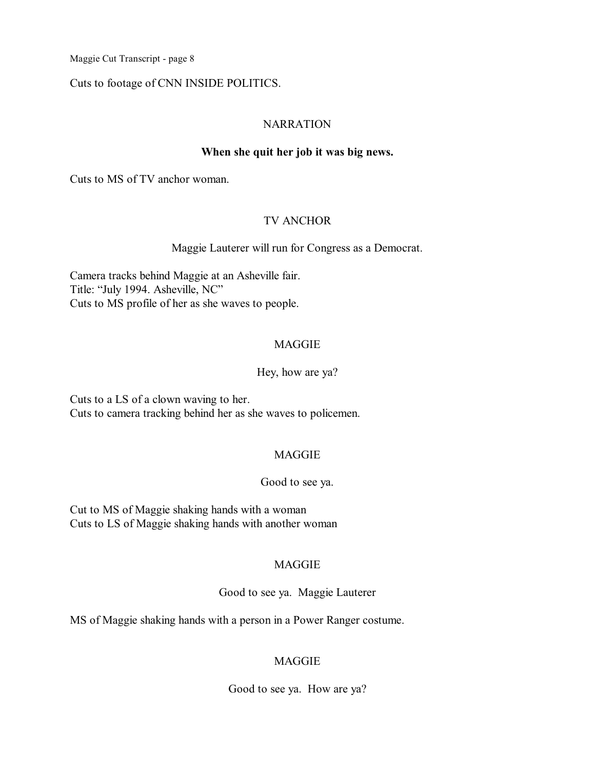Cuts to footage of CNN INSIDE POLITICS.

# **NARRATION**

# **When she quit her job it was big news.**

Cuts to MS of TV anchor woman.

# TV ANCHOR

### Maggie Lauterer will run for Congress as a Democrat.

Camera tracks behind Maggie at an Asheville fair. Title: "July 1994. Asheville, NC" Cuts to MS profile of her as she waves to people.

# **MAGGIE**

### Hey, how are ya?

Cuts to a LS of a clown waving to her. Cuts to camera tracking behind her as she waves to policemen.

# MAGGIE

#### Good to see ya.

Cut to MS of Maggie shaking hands with a woman Cuts to LS of Maggie shaking hands with another woman

# **MAGGIE**

#### Good to see ya. Maggie Lauterer

MS of Maggie shaking hands with a person in a Power Ranger costume.

# MAGGIE

Good to see ya. How are ya?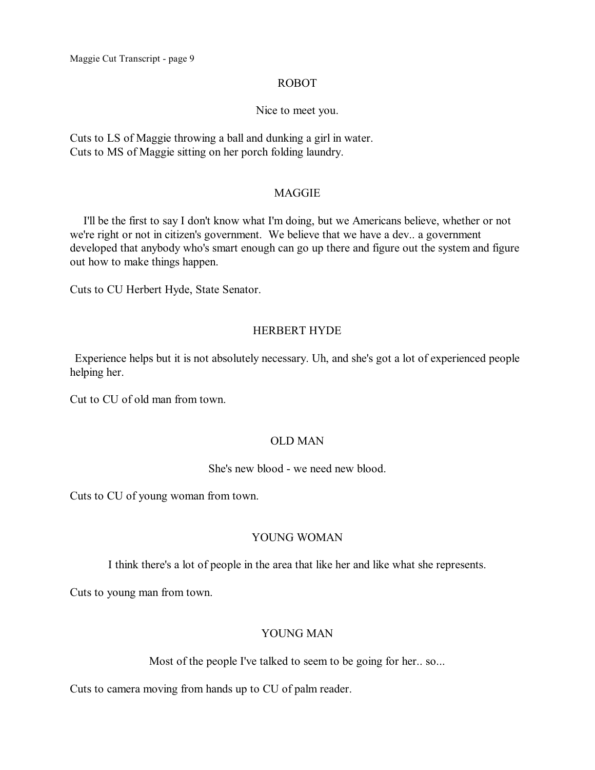#### ROBOT

#### Nice to meet you.

Cuts to LS of Maggie throwing a ball and dunking a girl in water. Cuts to MS of Maggie sitting on her porch folding laundry.

#### **MAGGIE**

I'll be the first to say I don't know what I'm doing, but we Americans believe, whether or not we're right or not in citizen's government. We believe that we have a dev.. a government developed that anybody who's smart enough can go up there and figure out the system and figure out how to make things happen.

Cuts to CU Herbert Hyde, State Senator.

### HERBERT HYDE

Experience helps but it is not absolutely necessary. Uh, and she's got a lot of experienced people helping her.

Cut to CU of old man from town.

# OLD MAN

### She's new blood - we need new blood.

Cuts to CU of young woman from town.

# YOUNG WOMAN

I think there's a lot of people in the area that like her and like what she represents.

Cuts to young man from town.

# YOUNG MAN

Most of the people I've talked to seem to be going for her.. so...

Cuts to camera moving from hands up to CU of palm reader.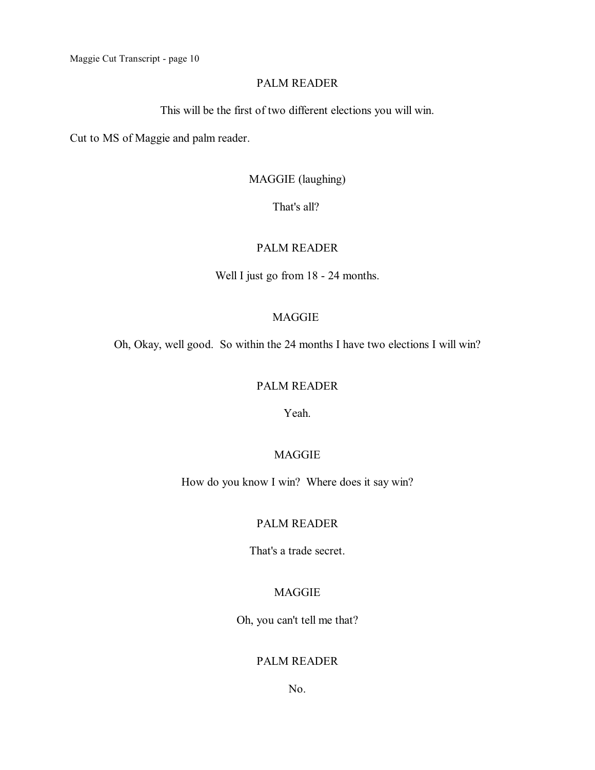### PALM READER

This will be the first of two different elections you will win.

Cut to MS of Maggie and palm reader.

# MAGGIE (laughing)

That's all?

# PALM READER

Well I just go from 18 - 24 months.

# MAGGIE

Oh, Okay, well good. So within the 24 months I have two elections I will win?

### PALM READER

Yeah.

# MAGGIE

How do you know I win? Where does it say win?

## PALM READER

That's a trade secret.

# MAGGIE

Oh, you can't tell me that?

### PALM READER

No.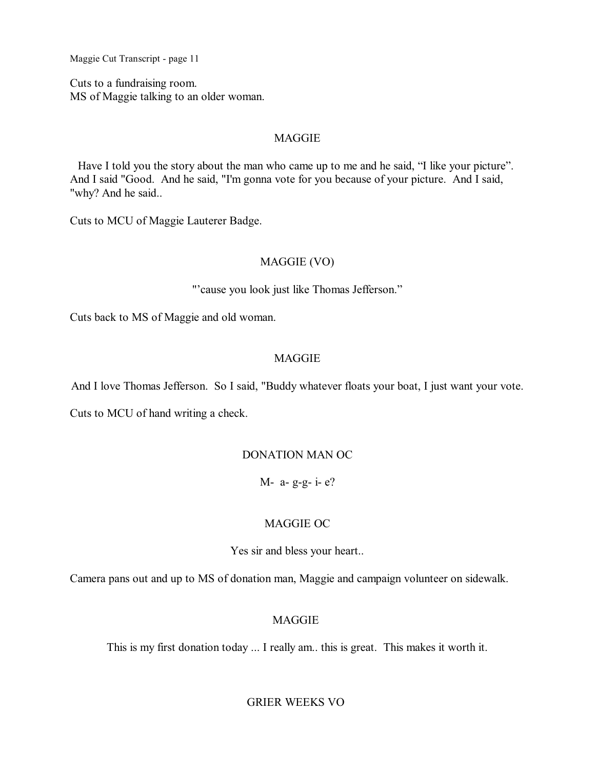Cuts to a fundraising room. MS of Maggie talking to an older woman.

### MAGGIE

Have I told you the story about the man who came up to me and he said, "I like your picture". And I said "Good. And he said, "I'm gonna vote for you because of your picture. And I said, "why? And he said..

Cuts to MCU of Maggie Lauterer Badge.

# MAGGIE (VO)

"'cause you look just like Thomas Jefferson."

Cuts back to MS of Maggie and old woman.

### MAGGIE

And I love Thomas Jefferson. So I said, "Buddy whatever floats your boat, I just want your vote.

Cuts to MCU of hand writing a check.

### DONATION MAN OC

M- a- g-g- i- e?

#### MAGGIE OC

Yes sir and bless your heart..

Camera pans out and up to MS of donation man, Maggie and campaign volunteer on sidewalk.

# MAGGIE

This is my first donation today ... I really am.. this is great. This makes it worth it.

GRIER WEEKS VO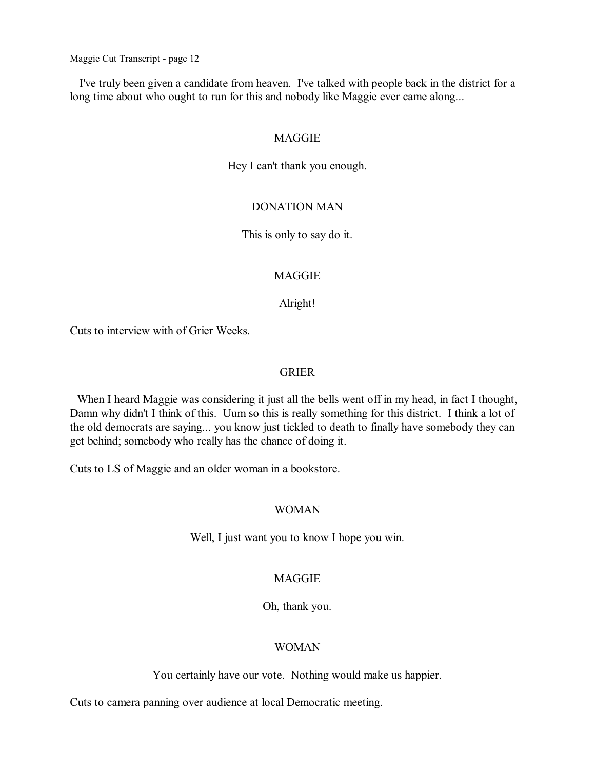I've truly been given a candidate from heaven. I've talked with people back in the district for a long time about who ought to run for this and nobody like Maggie ever came along...

#### MAGGIE

Hey I can't thank you enough.

#### DONATION MAN

This is only to say do it.

### MAGGIE

#### Alright!

Cuts to interview with of Grier Weeks.

### GRIER

When I heard Maggie was considering it just all the bells went off in my head, in fact I thought, Damn why didn't I think of this. Uum so this is really something for this district. I think a lot of the old democrats are saying... you know just tickled to death to finally have somebody they can get behind; somebody who really has the chance of doing it.

Cuts to LS of Maggie and an older woman in a bookstore.

### WOMAN

Well, I just want you to know I hope you win.

#### MAGGIE

Oh, thank you.

#### WOMAN

You certainly have our vote. Nothing would make us happier.

Cuts to camera panning over audience at local Democratic meeting.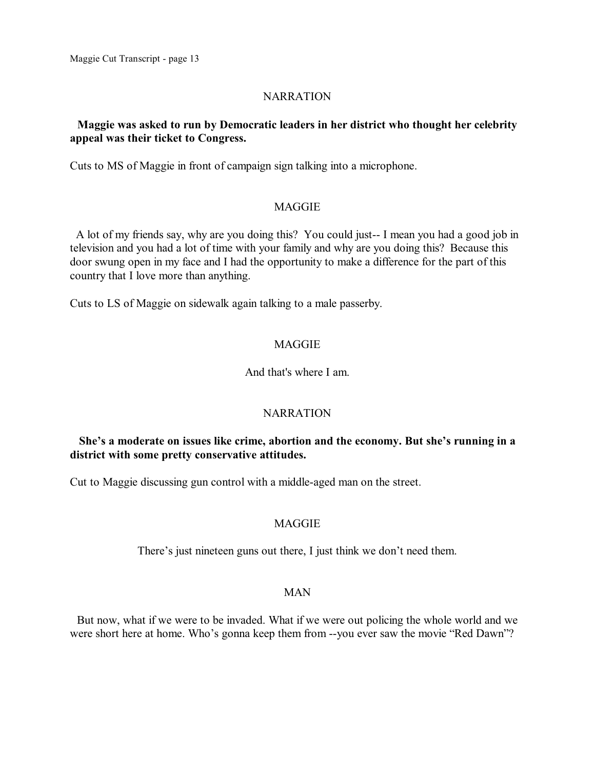### **NARRATION**

# **Maggie was asked to run by Democratic leaders in her district who thought her celebrity appeal was their ticket to Congress.**

Cuts to MS of Maggie in front of campaign sign talking into a microphone.

#### MAGGIE

A lot of my friends say, why are you doing this? You could just-- I mean you had a good job in television and you had a lot of time with your family and why are you doing this? Because this door swung open in my face and I had the opportunity to make a difference for the part of this country that I love more than anything.

Cuts to LS of Maggie on sidewalk again talking to a male passerby.

### **MAGGIE**

#### And that's where I am.

#### NARRATION

# **She's a moderate on issues like crime, abortion and the economy. But she's running in a district with some pretty conservative attitudes.**

Cut to Maggie discussing gun control with a middle-aged man on the street.

#### MAGGIE

There's just nineteen guns out there, I just think we don't need them.

#### MAN

But now, what if we were to be invaded. What if we were out policing the whole world and we were short here at home. Who's gonna keep them from --you ever saw the movie "Red Dawn"?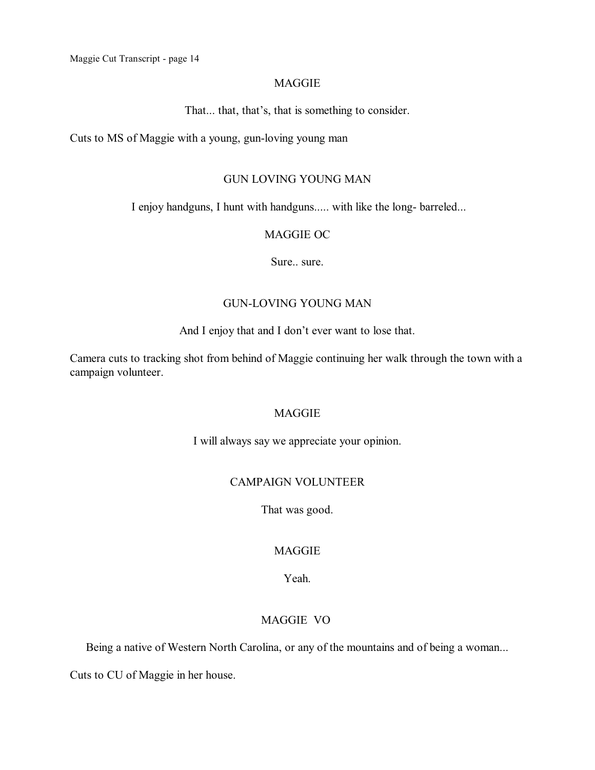#### MAGGIE

That... that, that's, that is something to consider.

Cuts to MS of Maggie with a young, gun-loving young man

# GUN LOVING YOUNG MAN

I enjoy handguns, I hunt with handguns..... with like the long- barreled...

#### MAGGIE OC

Sure.. sure.

#### GUN-LOVING YOUNG MAN

And I enjoy that and I don't ever want to lose that.

Camera cuts to tracking shot from behind of Maggie continuing her walk through the town with a campaign volunteer.

### MAGGIE

I will always say we appreciate your opinion.

# CAMPAIGN VOLUNTEER

That was good.

# MAGGIE

Yeah.

# MAGGIE VO

Being a native of Western North Carolina, or any of the mountains and of being a woman...

Cuts to CU of Maggie in her house.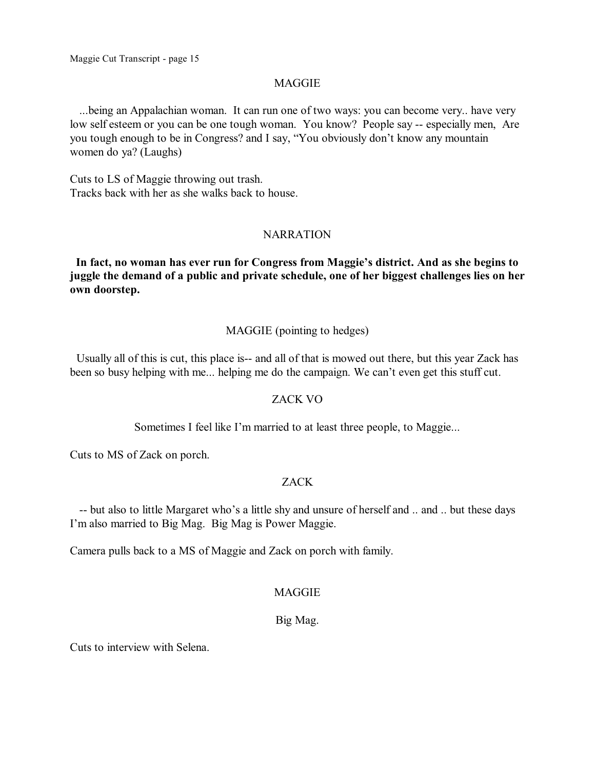#### MAGGIE

...being an Appalachian woman. It can run one of two ways: you can become very.. have very low self esteem or you can be one tough woman. You know? People say -- especially men, Are you tough enough to be in Congress? and I say, "You obviously don't know any mountain women do ya? (Laughs)

Cuts to LS of Maggie throwing out trash. Tracks back with her as she walks back to house.

#### **NARRATION**

**In fact, no woman has ever run for Congress from Maggie's district. And as she begins to juggle the demand of a public and private schedule, one of her biggest challenges lies on her own doorstep.**

#### MAGGIE (pointing to hedges)

Usually all of this is cut, this place is-- and all of that is mowed out there, but this year Zack has been so busy helping with me... helping me do the campaign. We can't even get this stuff cut.

#### ZACK VO

Sometimes I feel like I'm married to at least three people, to Maggie...

Cuts to MS of Zack on porch.

### ZACK

-- but also to little Margaret who's a little shy and unsure of herself and .. and .. but these days I'm also married to Big Mag. Big Mag is Power Maggie.

Camera pulls back to a MS of Maggie and Zack on porch with family.

### MAGGIE

### Big Mag.

Cuts to interview with Selena.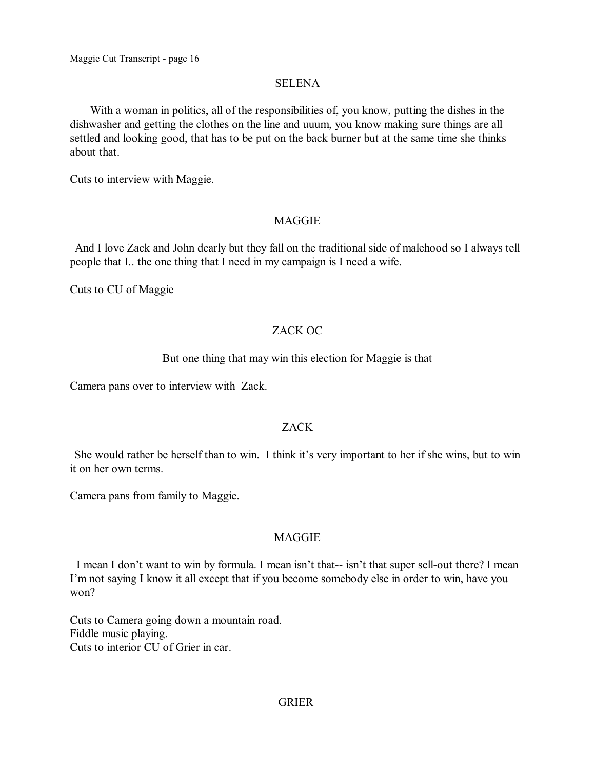#### SELENA

With a woman in politics, all of the responsibilities of, you know, putting the dishes in the dishwasher and getting the clothes on the line and uuum, you know making sure things are all settled and looking good, that has to be put on the back burner but at the same time she thinks about that.

Cuts to interview with Maggie.

#### MAGGIE

And I love Zack and John dearly but they fall on the traditional side of malehood so I always tell people that I.. the one thing that I need in my campaign is I need a wife.

Cuts to CU of Maggie

### ZACK OC

#### But one thing that may win this election for Maggie is that

Camera pans over to interview with Zack.

#### ZACK

She would rather be herself than to win. I think it's very important to her if she wins, but to win it on her own terms.

Camera pans from family to Maggie.

#### **MAGGIE**

I mean I don't want to win by formula. I mean isn't that-- isn't that super sell-out there? I mean I'm not saying I know it all except that if you become somebody else in order to win, have you won?

Cuts to Camera going down a mountain road. Fiddle music playing. Cuts to interior CU of Grier in car.

### GRIER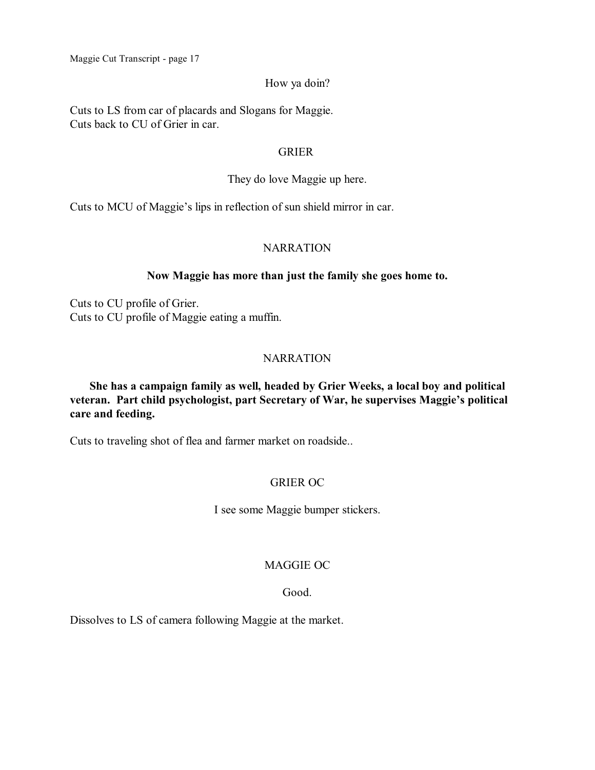# How ya doin?

Cuts to LS from car of placards and Slogans for Maggie. Cuts back to CU of Grier in car.

### GRIER

# They do love Maggie up here.

Cuts to MCU of Maggie's lips in reflection of sun shield mirror in car.

# NARRATION

# **Now Maggie has more than just the family she goes home to.**

Cuts to CU profile of Grier. Cuts to CU profile of Maggie eating a muffin.

# NARRATION

# **She has a campaign family as well, headed by Grier Weeks, a local boy and political veteran. Part child psychologist, part Secretary of War, he supervises Maggie's political care and feeding.**

Cuts to traveling shot of flea and farmer market on roadside..

# GRIER OC

I see some Maggie bumper stickers.

# MAGGIE OC

# Good.

Dissolves to LS of camera following Maggie at the market.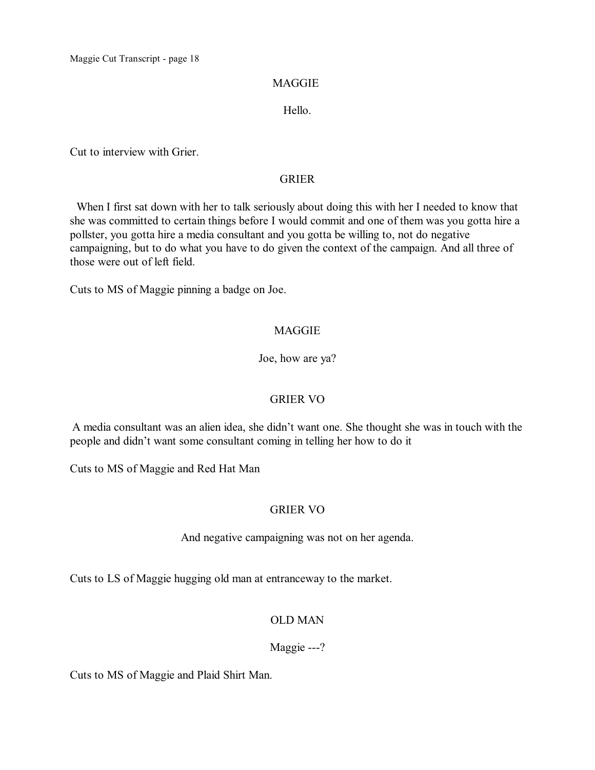# MAGGIE

# Hello.

Cut to interview with Grier.

# GRIER

When I first sat down with her to talk seriously about doing this with her I needed to know that she was committed to certain things before I would commit and one of them was you gotta hire a pollster, you gotta hire a media consultant and you gotta be willing to, not do negative campaigning, but to do what you have to do given the context of the campaign. And all three of those were out of left field.

Cuts to MS of Maggie pinning a badge on Joe.

# MAGGIE

Joe, how are ya?

# GRIER VO

A media consultant was an alien idea, she didn't want one. She thought she was in touch with the people and didn't want some consultant coming in telling her how to do it

Cuts to MS of Maggie and Red Hat Man

# GRIER VO

And negative campaigning was not on her agenda.

Cuts to LS of Maggie hugging old man at entranceway to the market.

# OLD MAN

# Maggie ---?

Cuts to MS of Maggie and Plaid Shirt Man.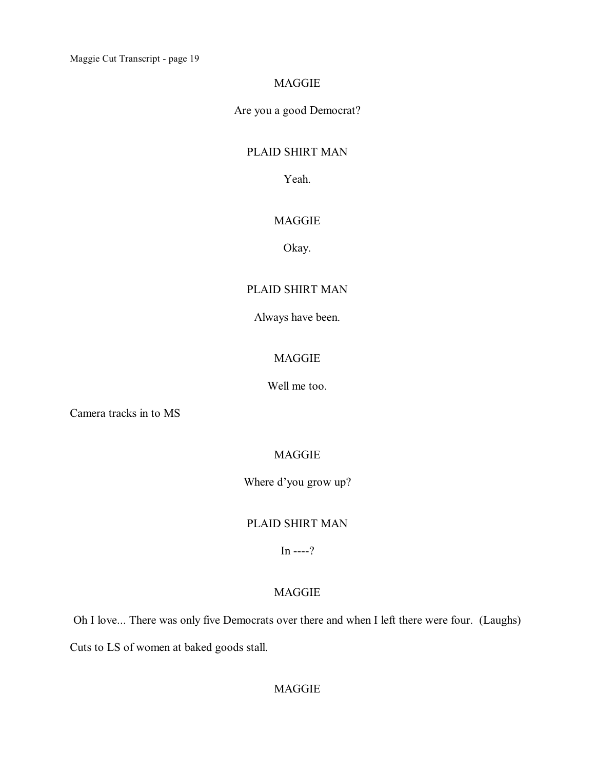### MAGGIE

Are you a good Democrat?

# PLAID SHIRT MAN

Yeah.

# MAGGIE

Okay.

# PLAID SHIRT MAN

Always have been.

# MAGGIE

Well me too.

Camera tracks in to MS

# MAGGIE

Where d'you grow up?

# PLAID SHIRT MAN

 $In$  ----?

# MAGGIE

Oh I love... There was only five Democrats over there and when I left there were four. (Laughs)

Cuts to LS of women at baked goods stall.

# MAGGIE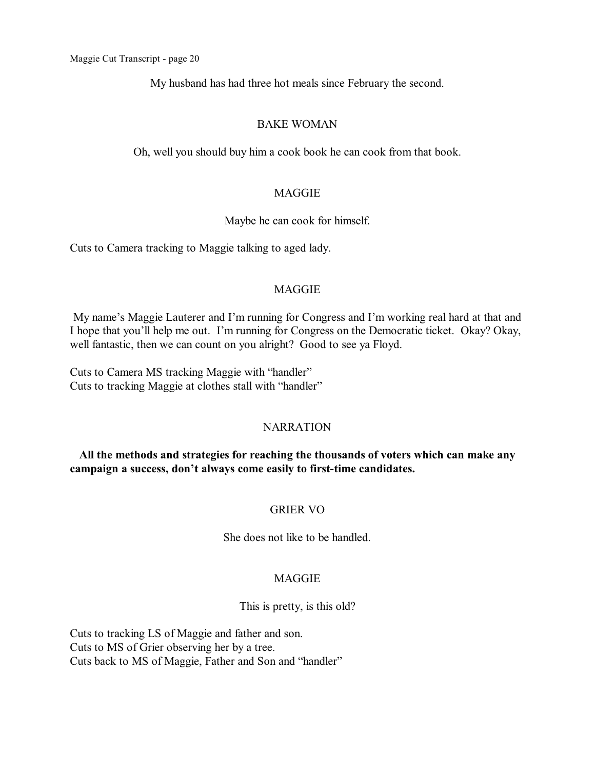My husband has had three hot meals since February the second.

### BAKE WOMAN

Oh, well you should buy him a cook book he can cook from that book.

### MAGGIE

### Maybe he can cook for himself.

Cuts to Camera tracking to Maggie talking to aged lady.

### MAGGIE

My name's Maggie Lauterer and I'm running for Congress and I'm working real hard at that and I hope that you'll help me out. I'm running for Congress on the Democratic ticket. Okay? Okay, well fantastic, then we can count on you alright? Good to see ya Floyd.

Cuts to Camera MS tracking Maggie with "handler" Cuts to tracking Maggie at clothes stall with "handler"

# **NARRATION**

**All the methods and strategies for reaching the thousands of voters which can make any campaign a success, don't always come easily to first-time candidates.**

# GRIER VO

She does not like to be handled.

# MAGGIE

This is pretty, is this old?

Cuts to tracking LS of Maggie and father and son. Cuts to MS of Grier observing her by a tree. Cuts back to MS of Maggie, Father and Son and "handler"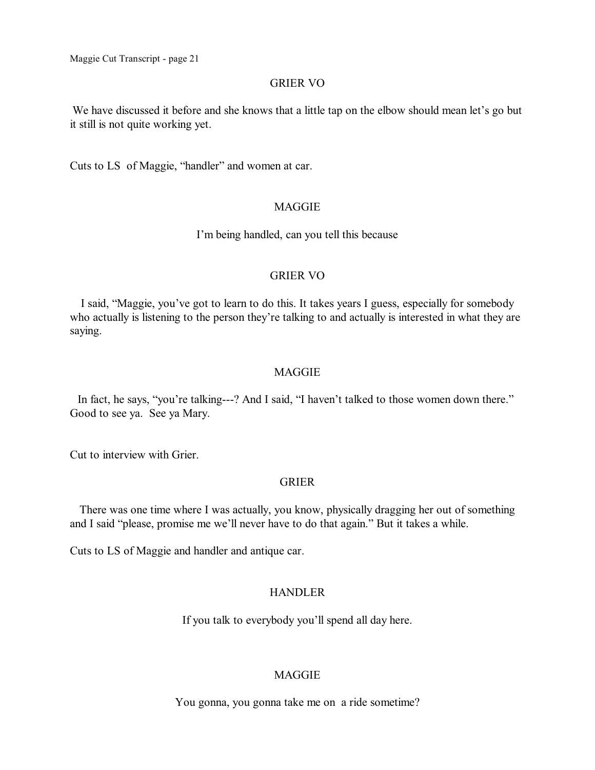#### GRIER VO

We have discussed it before and she knows that a little tap on the elbow should mean let's go but it still is not quite working yet.

Cuts to LS of Maggie, "handler" and women at car.

#### MAGGIE

I'm being handled, can you tell this because

#### GRIER VO

I said, "Maggie, you've got to learn to do this. It takes years I guess, especially for somebody who actually is listening to the person they're talking to and actually is interested in what they are saying.

#### MAGGIE

In fact, he says, "you're talking---? And I said, "I haven't talked to those women down there." Good to see ya. See ya Mary.

Cut to interview with Grier.

#### GRIER

There was one time where I was actually, you know, physically dragging her out of something and I said "please, promise me we'll never have to do that again." But it takes a while.

Cuts to LS of Maggie and handler and antique car.

### HANDLER

If you talk to everybody you'll spend all day here.

### MAGGIE

You gonna, you gonna take me on a ride sometime?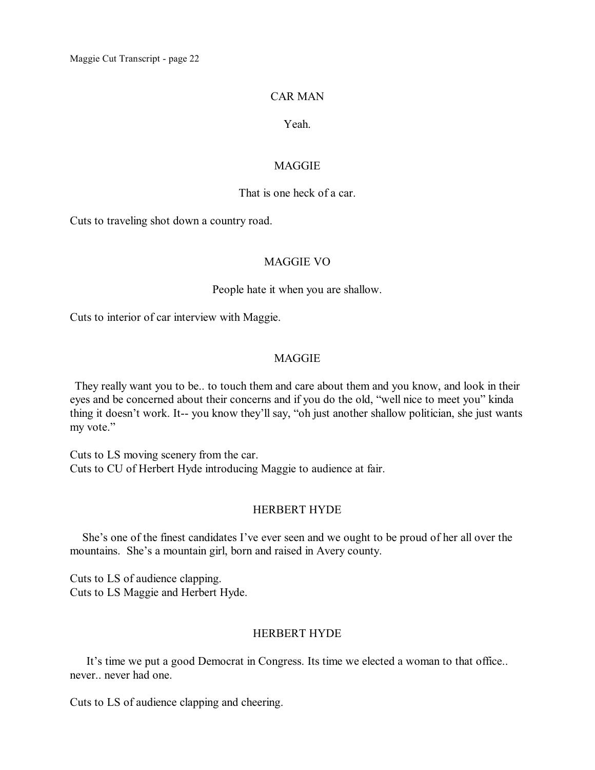### CAR MAN

# Yeah.

#### **MAGGIE**

#### That is one heck of a car.

Cuts to traveling shot down a country road.

#### MAGGIE VO

#### People hate it when you are shallow.

Cuts to interior of car interview with Maggie.

### MAGGIE

They really want you to be.. to touch them and care about them and you know, and look in their eyes and be concerned about their concerns and if you do the old, "well nice to meet you" kinda thing it doesn't work. It-- you know they'll say, "oh just another shallow politician, she just wants my vote."

Cuts to LS moving scenery from the car. Cuts to CU of Herbert Hyde introducing Maggie to audience at fair.

### HERBERT HYDE

She's one of the finest candidates I've ever seen and we ought to be proud of her all over the mountains. She's a mountain girl, born and raised in Avery county.

Cuts to LS of audience clapping. Cuts to LS Maggie and Herbert Hyde.

# HERBERT HYDE

It's time we put a good Democrat in Congress. Its time we elected a woman to that office.. never.. never had one.

Cuts to LS of audience clapping and cheering.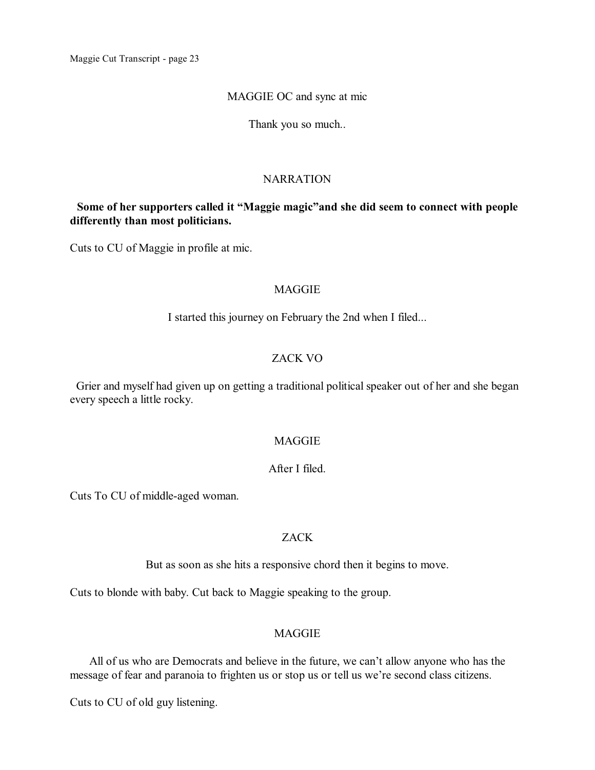#### MAGGIE OC and sync at mic

Thank you so much..

### NARRATION

# **Some of her supporters called it "Maggie magic"and she did seem to connect with people differently than most politicians.**

Cuts to CU of Maggie in profile at mic.

### MAGGIE

I started this journey on February the 2nd when I filed...

### ZACK VO

Grier and myself had given up on getting a traditional political speaker out of her and she began every speech a little rocky.

### **MAGGIE**

### After I filed.

Cuts To CU of middle-aged woman.

# ZACK

But as soon as she hits a responsive chord then it begins to move.

Cuts to blonde with baby. Cut back to Maggie speaking to the group.

# **MAGGIE**

All of us who are Democrats and believe in the future, we can't allow anyone who has the message of fear and paranoia to frighten us or stop us or tell us we're second class citizens.

Cuts to CU of old guy listening.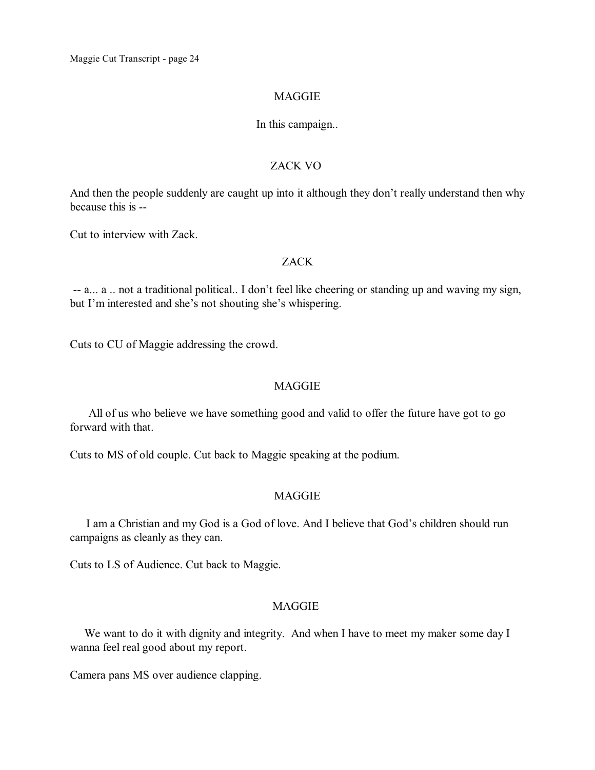#### MAGGIE

#### In this campaign..

#### ZACK VO

And then the people suddenly are caught up into it although they don't really understand then why because this is --

Cut to interview with Zack.

#### ZACK

-- a... a .. not a traditional political.. I don't feel like cheering or standing up and waving my sign, but I'm interested and she's not shouting she's whispering.

Cuts to CU of Maggie addressing the crowd.

### MAGGIE

All of us who believe we have something good and valid to offer the future have got to go forward with that.

Cuts to MS of old couple. Cut back to Maggie speaking at the podium.

#### **MAGGIE**

I am a Christian and my God is a God of love. And I believe that God's children should run campaigns as cleanly as they can.

Cuts to LS of Audience. Cut back to Maggie.

### MAGGIE

We want to do it with dignity and integrity. And when I have to meet my maker some day I wanna feel real good about my report.

Camera pans MS over audience clapping.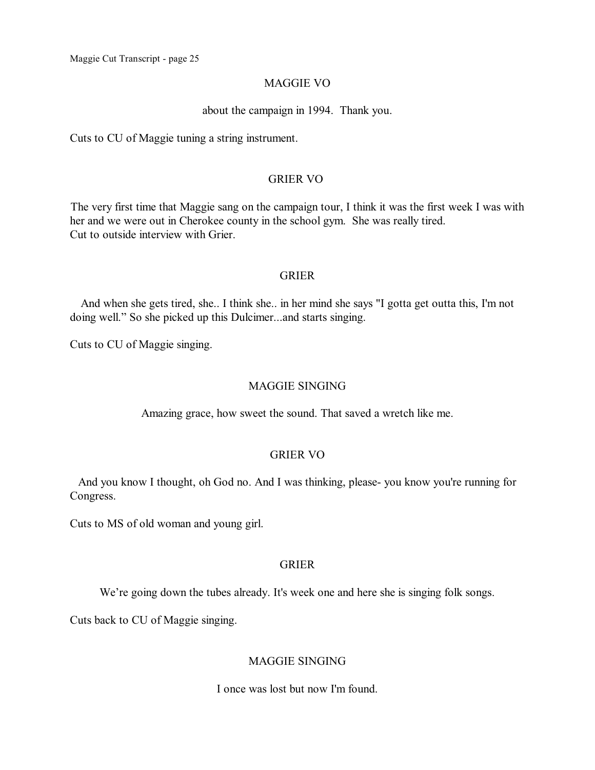#### MAGGIE VO

#### about the campaign in 1994. Thank you.

Cuts to CU of Maggie tuning a string instrument.

### GRIER VO

The very first time that Maggie sang on the campaign tour, I think it was the first week I was with her and we were out in Cherokee county in the school gym. She was really tired. Cut to outside interview with Grier.

#### GRIER

And when she gets tired, she.. I think she.. in her mind she says "I gotta get outta this, I'm not doing well." So she picked up this Dulcimer...and starts singing.

Cuts to CU of Maggie singing.

#### MAGGIE SINGING

Amazing grace, how sweet the sound. That saved a wretch like me.

# GRIER VO

And you know I thought, oh God no. And I was thinking, please- you know you're running for Congress.

Cuts to MS of old woman and young girl.

#### GRIER

We're going down the tubes already. It's week one and here she is singing folk songs.

Cuts back to CU of Maggie singing.

#### MAGGIE SINGING

I once was lost but now I'm found.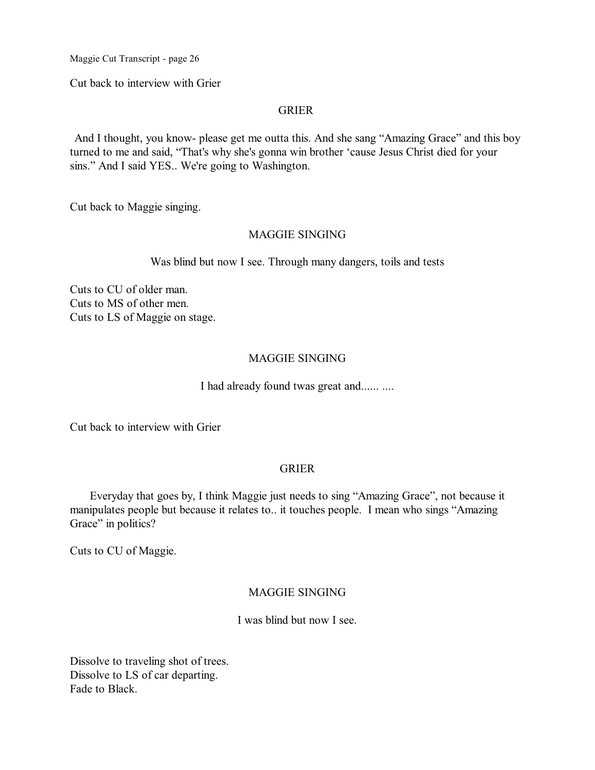Cut back to interview with Grier

#### GRIER

And I thought, you know- please get me outta this. And she sang "Amazing Grace" and this boy turned to me and said, "That's why she's gonna win brother 'cause Jesus Christ died for your sins." And I said YES.. We're going to Washington.

Cut back to Maggie singing.

#### MAGGIE SINGING

Was blind but now I see. Through many dangers, toils and tests

Cuts to CU of older man. Cuts to MS of other men. Cuts to LS of Maggie on stage.

### MAGGIE SINGING

I had already found twas great and...... ....

Cut back to interview with Grier

#### GRIER

Everyday that goes by, I think Maggie just needs to sing "Amazing Grace", not because it manipulates people but because it relates to.. it touches people. I mean who sings "Amazing Grace" in politics?

Cuts to CU of Maggie.

### MAGGIE SINGING

I was blind but now I see.

Dissolve to traveling shot of trees. Dissolve to LS of car departing. Fade to Black.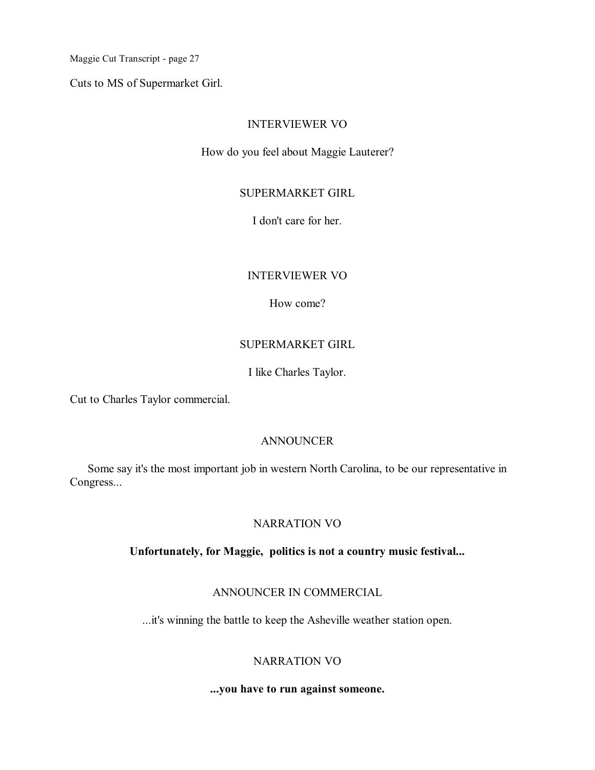Cuts to MS of Supermarket Girl.

### INTERVIEWER VO

How do you feel about Maggie Lauterer?

### SUPERMARKET GIRL

I don't care for her.

# INTERVIEWER VO

How come?

# SUPERMARKET GIRL

I like Charles Taylor.

Cut to Charles Taylor commercial.

### ANNOUNCER

Some say it's the most important job in western North Carolina, to be our representative in Congress...

# NARRATION VO

### **Unfortunately, for Maggie, politics is not a country music festival...**

#### ANNOUNCER IN COMMERCIAL

...it's winning the battle to keep the Asheville weather station open.

# NARRATION VO

### **...you have to run against someone.**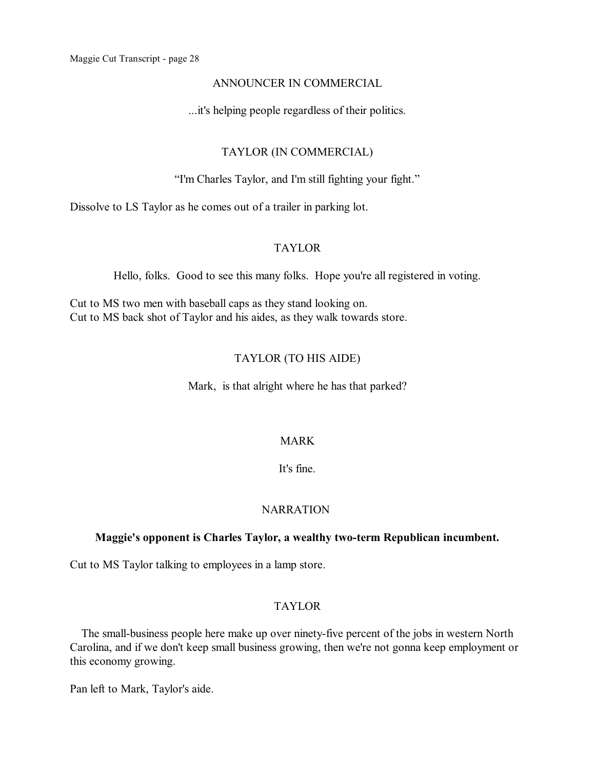#### ANNOUNCER IN COMMERCIAL

...it's helping people regardless of their politics.

# TAYLOR (IN COMMERCIAL)

"I'm Charles Taylor, and I'm still fighting your fight."

Dissolve to LS Taylor as he comes out of a trailer in parking lot.

# TAYLOR

Hello, folks. Good to see this many folks. Hope you're all registered in voting.

Cut to MS two men with baseball caps as they stand looking on. Cut to MS back shot of Taylor and his aides, as they walk towards store.

# TAYLOR (TO HIS AIDE)

Mark, is that alright where he has that parked?

#### MARK

It's fine.

### NARRATION

#### **Maggie's opponent is Charles Taylor, a wealthy two-term Republican incumbent.**

Cut to MS Taylor talking to employees in a lamp store.

### TAYLOR

The small-business people here make up over ninety-five percent of the jobs in western North Carolina, and if we don't keep small business growing, then we're not gonna keep employment or this economy growing.

Pan left to Mark, Taylor's aide.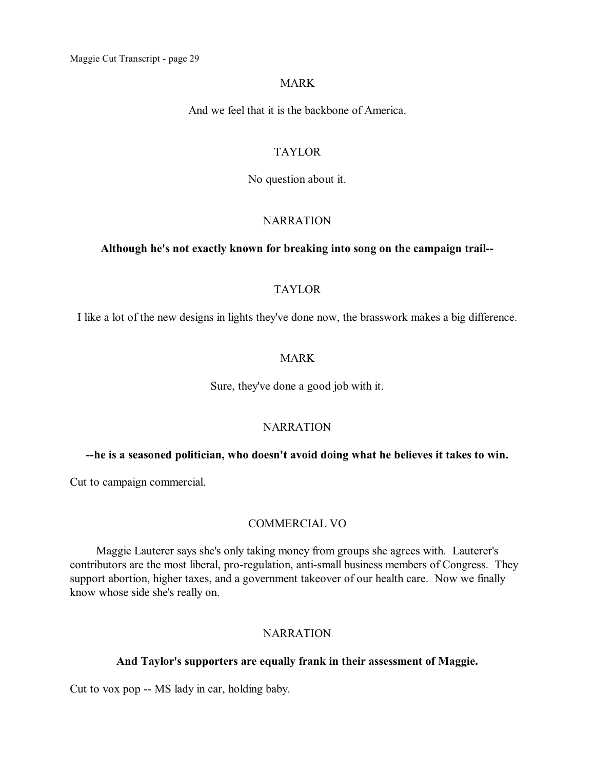#### MARK

And we feel that it is the backbone of America.

# TAYLOR

No question about it.

### **NARRATION**

#### **Although he's not exactly known for breaking into song on the campaign trail--**

### TAYLOR

I like a lot of the new designs in lights they've done now, the brasswork makes a big difference.

### MARK

Sure, they've done a good job with it.

#### **NARRATION**

#### **--he is a seasoned politician, who doesn't avoid doing what he believes it takes to win.**

Cut to campaign commercial.

#### COMMERCIAL VO

Maggie Lauterer says she's only taking money from groups she agrees with. Lauterer's contributors are the most liberal, pro-regulation, anti-small business members of Congress. They support abortion, higher taxes, and a government takeover of our health care. Now we finally know whose side she's really on.

# **NARRATION**

#### **And Taylor's supporters are equally frank in their assessment of Maggie.**

Cut to vox pop -- MS lady in car, holding baby.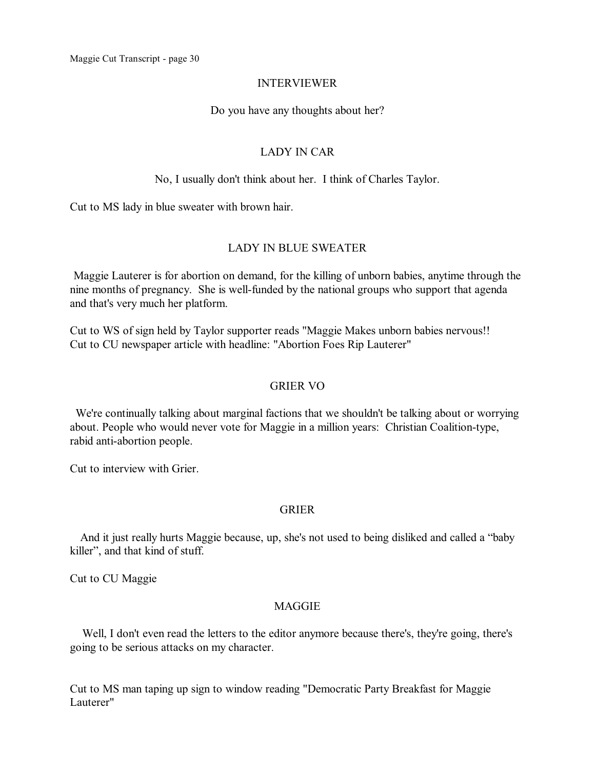# INTERVIEWER

Do you have any thoughts about her?

# LADY IN CAR

# No, I usually don't think about her. I think of Charles Taylor.

Cut to MS lady in blue sweater with brown hair.

# LADY IN BLUE SWEATER

Maggie Lauterer is for abortion on demand, for the killing of unborn babies, anytime through the nine months of pregnancy. She is well-funded by the national groups who support that agenda and that's very much her platform.

Cut to WS of sign held by Taylor supporter reads "Maggie Makes unborn babies nervous!! Cut to CU newspaper article with headline: "Abortion Foes Rip Lauterer"

# GRIER VO

We're continually talking about marginal factions that we shouldn't be talking about or worrying about. People who would never vote for Maggie in a million years: Christian Coalition-type, rabid anti-abortion people.

Cut to interview with Grier.

# GRIER

And it just really hurts Maggie because, up, she's not used to being disliked and called a "baby killer", and that kind of stuff.

Cut to CU Maggie

# MAGGIE

Well, I don't even read the letters to the editor anymore because there's, they're going, there's going to be serious attacks on my character.

Cut to MS man taping up sign to window reading "Democratic Party Breakfast for Maggie Lauterer"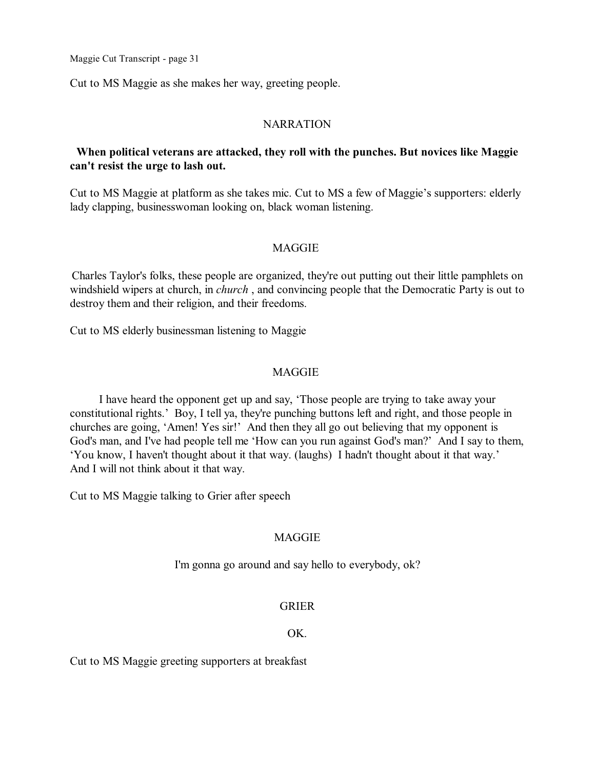Cut to MS Maggie as she makes her way, greeting people.

#### **NARRATION**

# **When political veterans are attacked, they roll with the punches. But novices like Maggie can't resist the urge to lash out.**

Cut to MS Maggie at platform as she takes mic. Cut to MS a few of Maggie's supporters: elderly lady clapping, businesswoman looking on, black woman listening.

#### MAGGIE

Charles Taylor's folks, these people are organized, they're out putting out their little pamphlets on windshield wipers at church, in *church* , and convincing people that the Democratic Party is out to destroy them and their religion, and their freedoms.

Cut to MS elderly businessman listening to Maggie

#### MAGGIE

I have heard the opponent get up and say, 'Those people are trying to take away your constitutional rights.' Boy, I tell ya, they're punching buttons left and right, and those people in churches are going, 'Amen! Yes sir!' And then they all go out believing that my opponent is God's man, and I've had people tell me 'How can you run against God's man?' And I say to them, 'You know, I haven't thought about it that way. (laughs) I hadn't thought about it that way.' And I will not think about it that way.

Cut to MS Maggie talking to Grier after speech

#### MAGGIE

I'm gonna go around and say hello to everybody, ok?

#### GRIER

#### OK.

Cut to MS Maggie greeting supporters at breakfast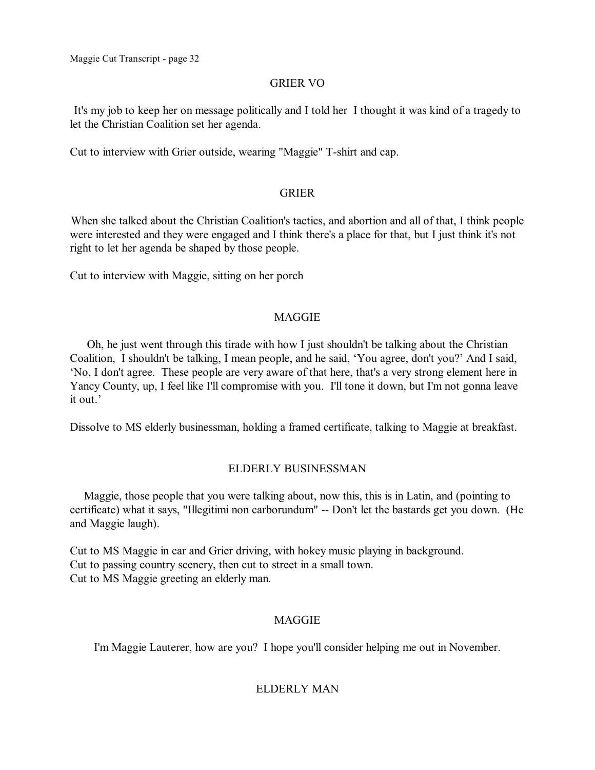### GRIER VO

It's my job to keep her on message politically and I told her I thought it was kind of a tragedy to let the Christian Coalition set her agenda.

Cut to interview with Grier outside, wearing "Maggie" T-shirt and cap.

### GRIER

When she talked about the Christian Coalition's tactics, and abortion and all of that, I think people were interested and they were engaged and I think there's a place for that, but I just think it's not right to let her agenda be shaped by those people.

Cut to interview with Maggie, sitting on her porch

# MAGGIE

Oh, he just went through this tirade with how I just shouldn't be talking about the Christian Coalition, I shouldn't be talking, I mean people, and he said, 'You agree, don't you?' And I said, 'No, I don't agree. These people are very aware of that here, that's a very strong element here in Yancy County, up, I feel like I'll compromise with you. I'll tone it down, but I'm not gonna leave it out.'

Dissolve to MS elderly businessman, holding a framed certificate, talking to Maggie at breakfast.

# ELDERLY BUSINESSMAN

Maggie, those people that you were talking about, now this, this is in Latin, and (pointing to certificate) what it says, "Illegitimi non carborundum" -- Don't let the bastards get you down. (He and Maggie laugh).

Cut to MS Maggie in car and Grier driving, with hokey music playing in background. Cut to passing country scenery, then cut to street in a small town. Cut to MS Maggie greeting an elderly man.

# MAGGIE

I'm Maggie Lauterer, how are you? I hope you'll consider helping me out in November.

# ELDERLY MAN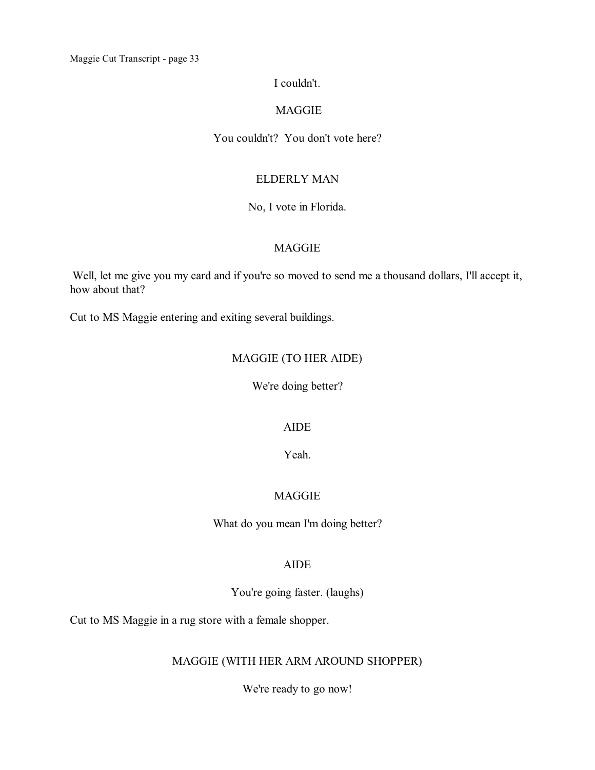### I couldn't.

### MAGGIE

# You couldn't? You don't vote here?

# ELDERLY MAN

#### No, I vote in Florida.

# MAGGIE

Well, let me give you my card and if you're so moved to send me a thousand dollars, I'll accept it, how about that?

Cut to MS Maggie entering and exiting several buildings.

# MAGGIE (TO HER AIDE)

We're doing better?

#### AIDE

Yeah.

# **MAGGIE**

What do you mean I'm doing better?

#### AIDE

You're going faster. (laughs)

Cut to MS Maggie in a rug store with a female shopper.

# MAGGIE (WITH HER ARM AROUND SHOPPER)

We're ready to go now!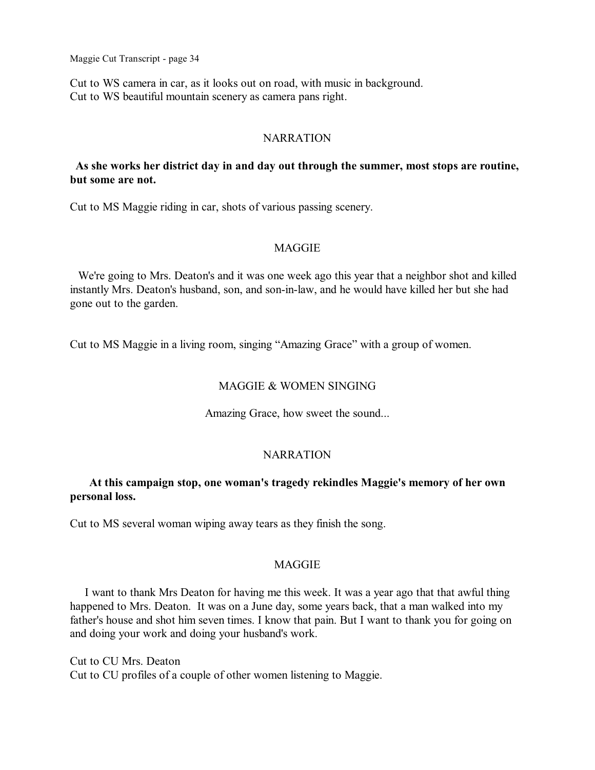Cut to WS camera in car, as it looks out on road, with music in background. Cut to WS beautiful mountain scenery as camera pans right.

#### **NARRATION**

### **As she works her district day in and day out through the summer, most stops are routine, but some are not.**

Cut to MS Maggie riding in car, shots of various passing scenery.

#### MAGGIE

We're going to Mrs. Deaton's and it was one week ago this year that a neighbor shot and killed instantly Mrs. Deaton's husband, son, and son-in-law, and he would have killed her but she had gone out to the garden.

Cut to MS Maggie in a living room, singing "Amazing Grace" with a group of women.

#### MAGGIE & WOMEN SINGING

Amazing Grace, how sweet the sound...

#### NARRATION

# **At this campaign stop, one woman's tragedy rekindles Maggie's memory of her own personal loss.**

Cut to MS several woman wiping away tears as they finish the song.

#### MAGGIE

I want to thank Mrs Deaton for having me this week. It was a year ago that that awful thing happened to Mrs. Deaton. It was on a June day, some years back, that a man walked into my father's house and shot him seven times. I know that pain. But I want to thank you for going on and doing your work and doing your husband's work.

Cut to CU Mrs. Deaton Cut to CU profiles of a couple of other women listening to Maggie.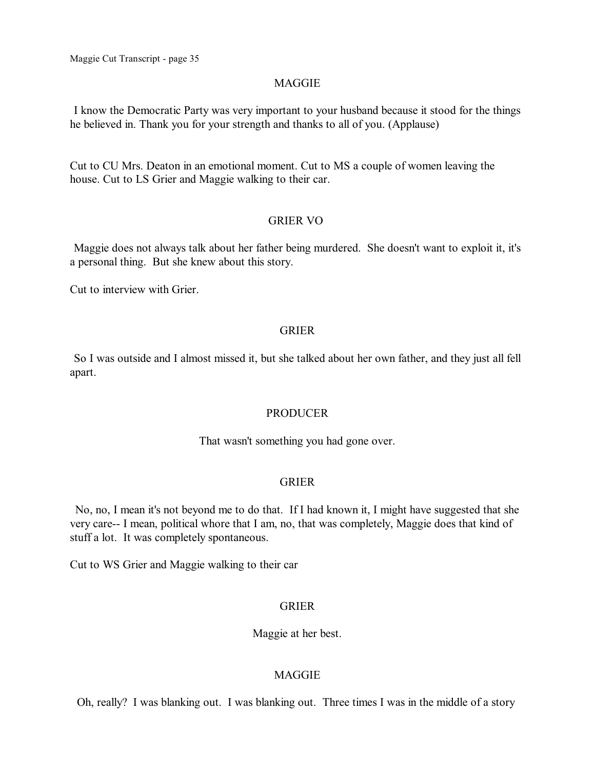#### MAGGIE

I know the Democratic Party was very important to your husband because it stood for the things he believed in. Thank you for your strength and thanks to all of you. (Applause)

Cut to CU Mrs. Deaton in an emotional moment. Cut to MS a couple of women leaving the house. Cut to LS Grier and Maggie walking to their car.

### GRIER VO

Maggie does not always talk about her father being murdered. She doesn't want to exploit it, it's a personal thing. But she knew about this story.

Cut to interview with Grier.

#### GRIER

So I was outside and I almost missed it, but she talked about her own father, and they just all fell apart.

#### PRODUCER

That wasn't something you had gone over.

#### GRIER

No, no, I mean it's not beyond me to do that. If I had known it, I might have suggested that she very care-- I mean, political whore that I am, no, that was completely, Maggie does that kind of stuff a lot. It was completely spontaneous.

Cut to WS Grier and Maggie walking to their car

#### GRIER

Maggie at her best.

### MAGGIE

Oh, really? I was blanking out. I was blanking out. Three times I was in the middle of a story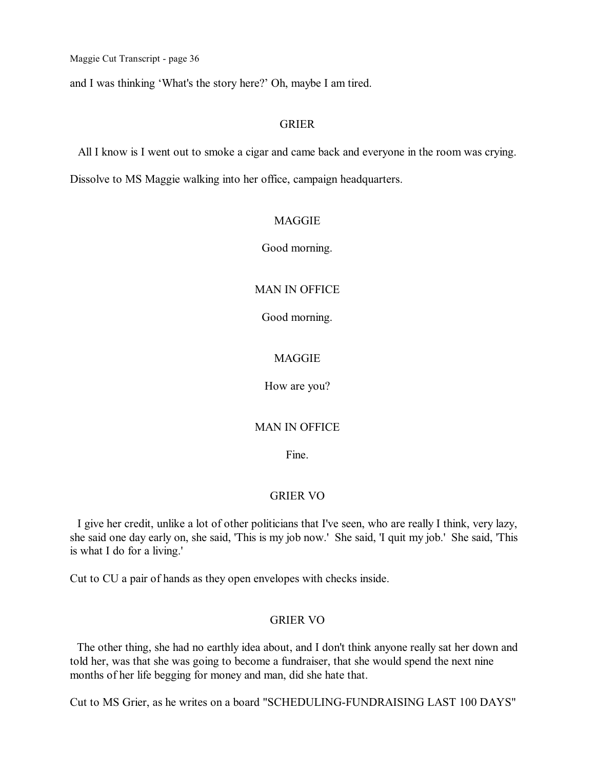and I was thinking 'What's the story here?' Oh, maybe I am tired.

### GRIER

All I know is I went out to smoke a cigar and came back and everyone in the room was crying.

Dissolve to MS Maggie walking into her office, campaign headquarters.

### MAGGIE

Good morning.

#### MAN IN OFFICE

Good morning.

#### MAGGIE

How are you?

#### MAN IN OFFICE

Fine.

#### GRIER VO

I give her credit, unlike a lot of other politicians that I've seen, who are really I think, very lazy, she said one day early on, she said, 'This is my job now.' She said, 'I quit my job.' She said, 'This is what I do for a living.'

Cut to CU a pair of hands as they open envelopes with checks inside.

### GRIER VO

The other thing, she had no earthly idea about, and I don't think anyone really sat her down and told her, was that she was going to become a fundraiser, that she would spend the next nine months of her life begging for money and man, did she hate that.

Cut to MS Grier, as he writes on a board "SCHEDULING-FUNDRAISING LAST 100 DAYS"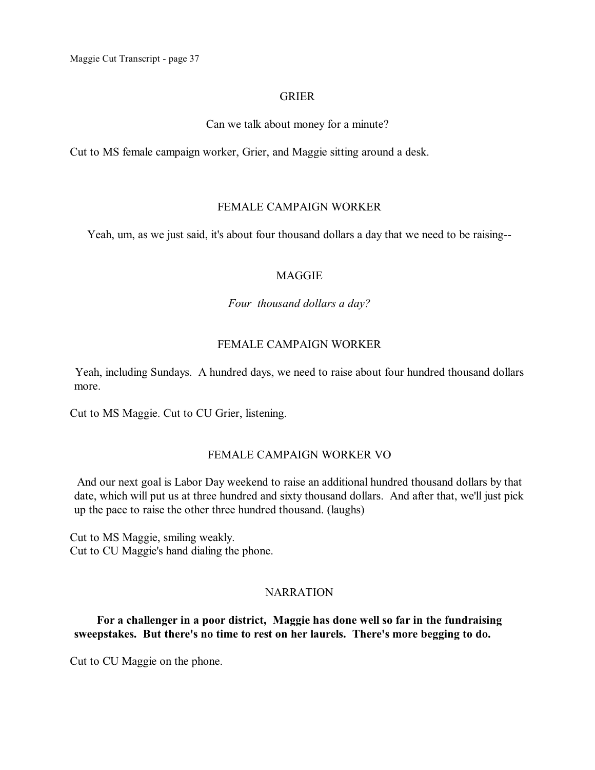### GRIER

Can we talk about money for a minute?

Cut to MS female campaign worker, Grier, and Maggie sitting around a desk.

#### FEMALE CAMPAIGN WORKER

Yeah, um, as we just said, it's about four thousand dollars a day that we need to be raising--

#### **MAGGIE**

*Four thousand dollars a day?*

### FEMALE CAMPAIGN WORKER

Yeah, including Sundays. A hundred days, we need to raise about four hundred thousand dollars more.

Cut to MS Maggie. Cut to CU Grier, listening.

### FEMALE CAMPAIGN WORKER VO

And our next goal is Labor Day weekend to raise an additional hundred thousand dollars by that date, which will put us at three hundred and sixty thousand dollars. And after that, we'll just pick up the pace to raise the other three hundred thousand. (laughs)

Cut to MS Maggie, smiling weakly. Cut to CU Maggie's hand dialing the phone.

### **NARRATION**

### **For a challenger in a poor district, Maggie has done well so far in the fundraising sweepstakes. But there's no time to rest on her laurels. There's more begging to do.**

Cut to CU Maggie on the phone.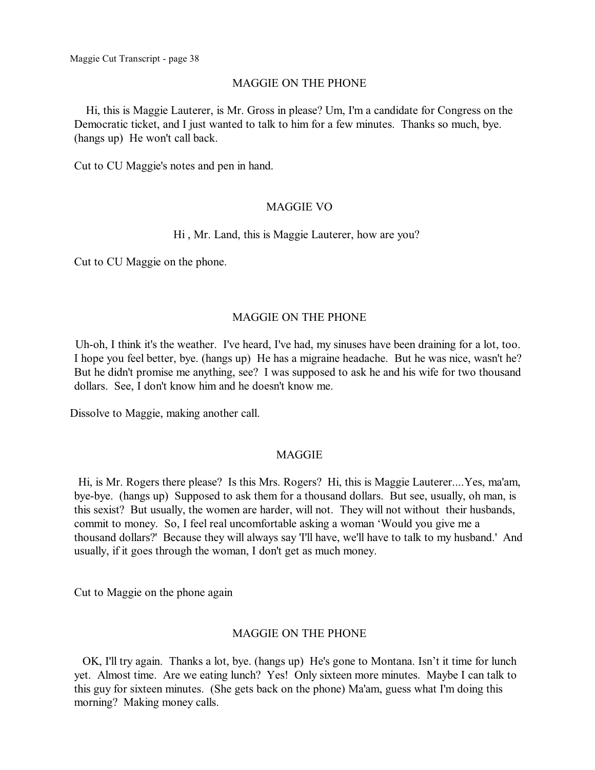#### MAGGIE ON THE PHONE

Hi, this is Maggie Lauterer, is Mr. Gross in please? Um, I'm a candidate for Congress on the Democratic ticket, and I just wanted to talk to him for a few minutes. Thanks so much, bye. (hangs up) He won't call back.

Cut to CU Maggie's notes and pen in hand.

### MAGGIE VO

### Hi , Mr. Land, this is Maggie Lauterer, how are you?

Cut to CU Maggie on the phone.

### MAGGIE ON THE PHONE

Uh-oh, I think it's the weather. I've heard, I've had, my sinuses have been draining for a lot, too. I hope you feel better, bye. (hangs up) He has a migraine headache. But he was nice, wasn't he? But he didn't promise me anything, see? I was supposed to ask he and his wife for two thousand dollars. See, I don't know him and he doesn't know me.

Dissolve to Maggie, making another call.

### **MAGGIE**

Hi, is Mr. Rogers there please? Is this Mrs. Rogers? Hi, this is Maggie Lauterer....Yes, ma'am, bye-bye. (hangs up) Supposed to ask them for a thousand dollars. But see, usually, oh man, is this sexist? But usually, the women are harder, will not. They will not without their husbands, commit to money. So, I feel real uncomfortable asking a woman 'Would you give me a thousand dollars?' Because they will always say 'I'll have, we'll have to talk to my husband.' And usually, if it goes through the woman, I don't get as much money.

Cut to Maggie on the phone again

### MAGGIE ON THE PHONE

OK, I'll try again. Thanks a lot, bye. (hangs up) He's gone to Montana. Isn't it time for lunch yet. Almost time. Are we eating lunch? Yes! Only sixteen more minutes. Maybe I can talk to this guy for sixteen minutes. (She gets back on the phone) Ma'am, guess what I'm doing this morning? Making money calls.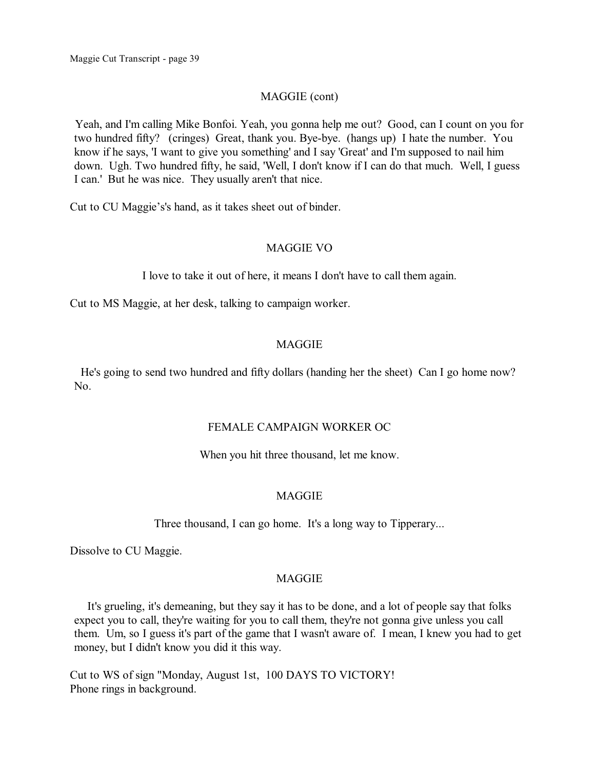### MAGGIE (cont)

Yeah, and I'm calling Mike Bonfoi. Yeah, you gonna help me out? Good, can I count on you for two hundred fifty? (cringes) Great, thank you. Bye-bye. (hangs up) I hate the number. You know if he says, 'I want to give you something' and I say 'Great' and I'm supposed to nail him down. Ugh. Two hundred fifty, he said, 'Well, I don't know if I can do that much. Well, I guess I can.' But he was nice. They usually aren't that nice.

Cut to CU Maggie's's hand, as it takes sheet out of binder.

### MAGGIE VO

I love to take it out of here, it means I don't have to call them again.

Cut to MS Maggie, at her desk, talking to campaign worker.

### **MAGGIE**

He's going to send two hundred and fifty dollars (handing her the sheet) Can I go home now? No.

### FEMALE CAMPAIGN WORKER OC

When you hit three thousand, let me know.

### **MAGGIE**

Three thousand, I can go home. It's a long way to Tipperary...

Dissolve to CU Maggie.

### MAGGIE

It's grueling, it's demeaning, but they say it has to be done, and a lot of people say that folks expect you to call, they're waiting for you to call them, they're not gonna give unless you call them. Um, so I guess it's part of the game that I wasn't aware of. I mean, I knew you had to get money, but I didn't know you did it this way.

Cut to WS of sign "Monday, August 1st, 100 DAYS TO VICTORY! Phone rings in background.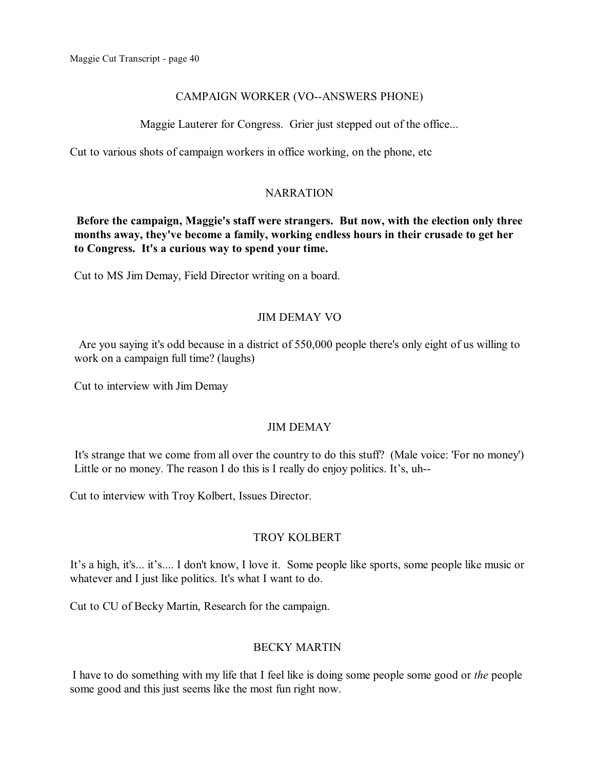### CAMPAIGN WORKER (VO--ANSWERS PHONE)

Maggie Lauterer for Congress. Grier just stepped out of the office...

Cut to various shots of campaign workers in office working, on the phone, etc

### NARRATION

**Before the campaign, Maggie's staff were strangers. But now, with the election only three months away, they've become a family, working endless hours in their crusade to get her to Congress. It's a curious way to spend your time.** 

Cut to MS Jim Demay, Field Director writing on a board.

### JIM DEMAY VO

Are you saying it's odd because in a district of 550,000 people there's only eight of us willing to work on a campaign full time? (laughs)

Cut to interview with Jim Demay

## JIM DEMAY

It's strange that we come from all over the country to do this stuff? (Male voice: 'For no money') Little or no money. The reason I do this is I really do enjoy politics. It's, uh--

Cut to interview with Troy Kolbert, Issues Director.

## TROY KOLBERT

It's a high, it's... it's.... I don't know, I love it. Some people like sports, some people like music or whatever and I just like politics. It's what I want to do.

Cut to CU of Becky Martin, Research for the campaign.

## BECKY MARTIN

I have to do something with my life that I feel like is doing some people some good or *the* people some good and this just seems like the most fun right now.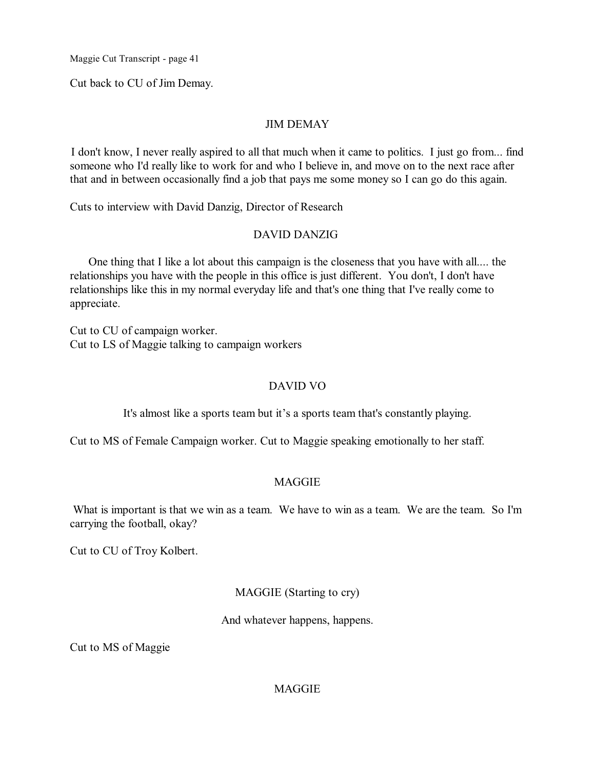Cut back to CU of Jim Demay.

### JIM DEMAY

I don't know, I never really aspired to all that much when it came to politics. I just go from... find someone who I'd really like to work for and who I believe in, and move on to the next race after that and in between occasionally find a job that pays me some money so I can go do this again.

Cuts to interview with David Danzig, Director of Research

### DAVID DANZIG

One thing that I like a lot about this campaign is the closeness that you have with all.... the relationships you have with the people in this office is just different. You don't, I don't have relationships like this in my normal everyday life and that's one thing that I've really come to appreciate.

Cut to CU of campaign worker. Cut to LS of Maggie talking to campaign workers

### DAVID VO

It's almost like a sports team but it's a sports team that's constantly playing.

Cut to MS of Female Campaign worker. Cut to Maggie speaking emotionally to her staff.

### MAGGIE

What is important is that we win as a team. We have to win as a team. We are the team. So I'm carrying the football, okay?

Cut to CU of Troy Kolbert.

### MAGGIE (Starting to cry)

And whatever happens, happens.

Cut to MS of Maggie

### **MAGGIE**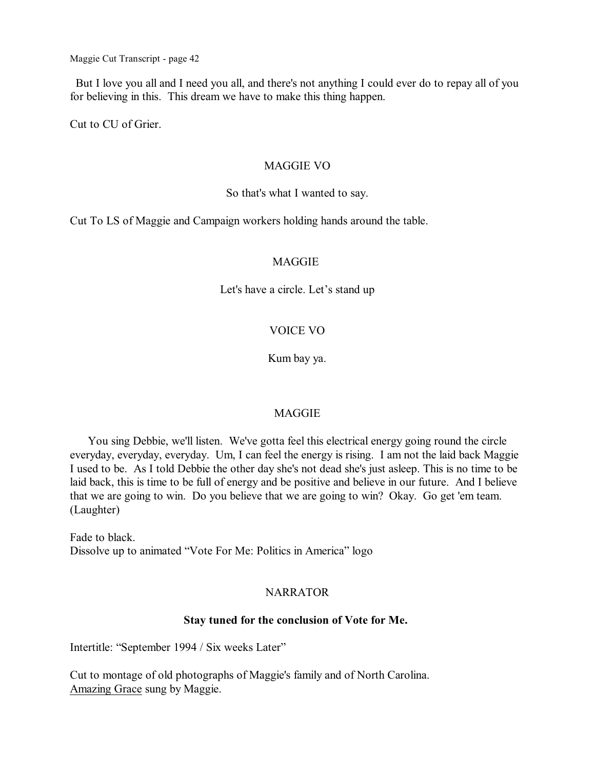But I love you all and I need you all, and there's not anything I could ever do to repay all of you for believing in this. This dream we have to make this thing happen.

Cut to CU of Grier.

### MAGGIE VO

### So that's what I wanted to say.

Cut To LS of Maggie and Campaign workers holding hands around the table.

### **MAGGIE**

Let's have a circle. Let's stand up

# VOICE VO

Kum bay ya.

## MAGGIE

You sing Debbie, we'll listen. We've gotta feel this electrical energy going round the circle everyday, everyday, everyday. Um, I can feel the energy is rising. I am not the laid back Maggie I used to be. As I told Debbie the other day she's not dead she's just asleep. This is no time to be laid back, this is time to be full of energy and be positive and believe in our future. And I believe that we are going to win. Do you believe that we are going to win? Okay. Go get 'em team. (Laughter)

Fade to black. Dissolve up to animated "Vote For Me: Politics in America" logo

## NARRATOR

### **Stay tuned for the conclusion of Vote for Me.**

Intertitle: "September 1994 / Six weeks Later"

Cut to montage of old photographs of Maggie's family and of North Carolina. Amazing Grace sung by Maggie.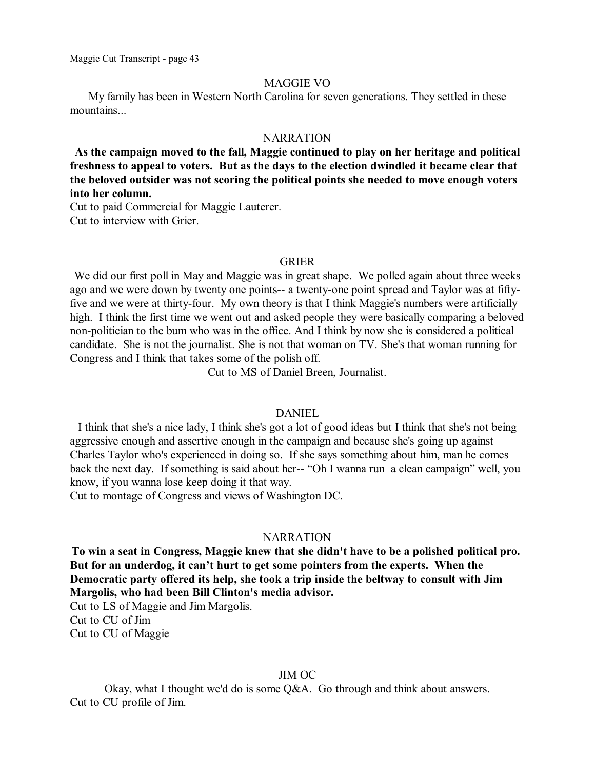#### MAGGIE VO

My family has been in Western North Carolina for seven generations. They settled in these mountains...

#### NARRATION

**As the campaign moved to the fall, Maggie continued to play on her heritage and political freshness to appeal to voters. But as the days to the election dwindled it became clear that the beloved outsider was not scoring the political points she needed to move enough voters into her column.**

Cut to paid Commercial for Maggie Lauterer. Cut to interview with Grier.

#### GRIER

We did our first poll in May and Maggie was in great shape. We polled again about three weeks ago and we were down by twenty one points-- a twenty-one point spread and Taylor was at fiftyfive and we were at thirty-four. My own theory is that I think Maggie's numbers were artificially high. I think the first time we went out and asked people they were basically comparing a beloved non-politician to the bum who was in the office. And I think by now she is considered a political candidate. She is not the journalist. She is not that woman on TV. She's that woman running for Congress and I think that takes some of the polish off.

Cut to MS of Daniel Breen, Journalist.

#### DANIEL

I think that she's a nice lady, I think she's got a lot of good ideas but I think that she's not being aggressive enough and assertive enough in the campaign and because she's going up against Charles Taylor who's experienced in doing so. If she says something about him, man he comes back the next day. If something is said about her-- "Oh I wanna run a clean campaign" well, you know, if you wanna lose keep doing it that way.

Cut to montage of Congress and views of Washington DC.

#### NARRATION

**To win a seat in Congress, Maggie knew that she didn't have to be a polished political pro. But for an underdog, it can't hurt to get some pointers from the experts. When the Democratic party offered its help, she took a trip inside the beltway to consult with Jim Margolis, who had been Bill Clinton's media advisor.**

Cut to LS of Maggie and Jim Margolis. Cut to CU of Jim Cut to CU of Maggie

#### JIM OC

Okay, what I thought we'd do is some Q&A. Go through and think about answers. Cut to CU profile of Jim.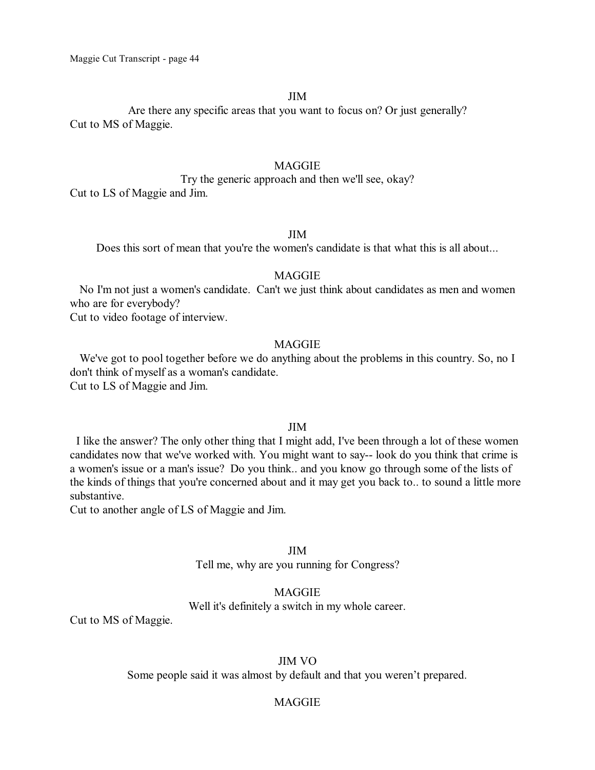#### JIM

Are there any specific areas that you want to focus on? Or just generally? Cut to MS of Maggie.

### **MAGGIE**

Try the generic approach and then we'll see, okay? Cut to LS of Maggie and Jim.

### JIM

Does this sort of mean that you're the women's candidate is that what this is all about...

### **MAGGIE**

No I'm not just a women's candidate. Can't we just think about candidates as men and women who are for everybody?

Cut to video footage of interview.

#### MAGGIE

We've got to pool together before we do anything about the problems in this country. So, no I don't think of myself as a woman's candidate. Cut to LS of Maggie and Jim.

#### JIM

I like the answer? The only other thing that I might add, I've been through a lot of these women candidates now that we've worked with. You might want to say-- look do you think that crime is a women's issue or a man's issue? Do you think.. and you know go through some of the lists of the kinds of things that you're concerned about and it may get you back to.. to sound a little more substantive.

Cut to another angle of LS of Maggie and Jim.

#### JIM

Tell me, why are you running for Congress?

#### MAGGIE

Well it's definitely a switch in my whole career.

Cut to MS of Maggie.

### JIM VO

Some people said it was almost by default and that you weren't prepared.

### MAGGIE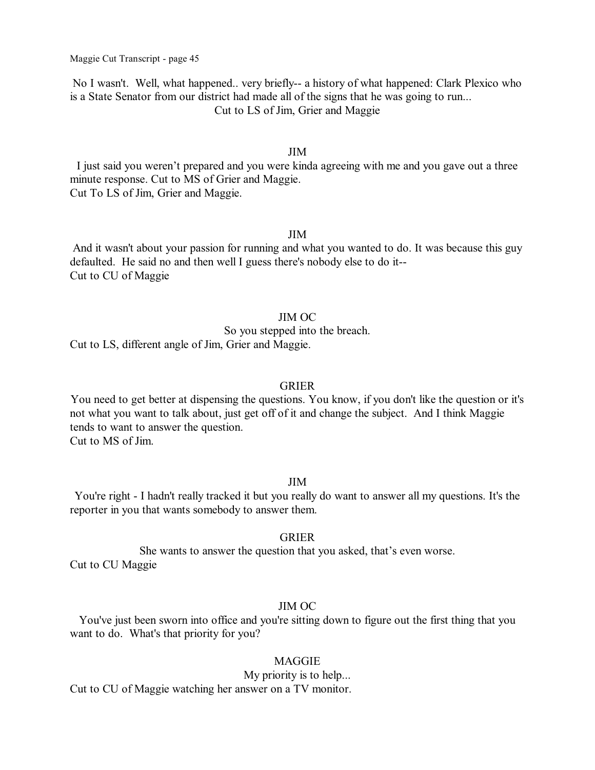No I wasn't. Well, what happened.. very briefly-- a history of what happened: Clark Plexico who is a State Senator from our district had made all of the signs that he was going to run... Cut to LS of Jim, Grier and Maggie

### JIM

I just said you weren't prepared and you were kinda agreeing with me and you gave out a three minute response. Cut to MS of Grier and Maggie. Cut To LS of Jim, Grier and Maggie.

### JIM

And it wasn't about your passion for running and what you wanted to do. It was because this guy defaulted. He said no and then well I guess there's nobody else to do it-- Cut to CU of Maggie

### JIM OC

So you stepped into the breach.

Cut to LS, different angle of Jim, Grier and Maggie.

#### GRIER

You need to get better at dispensing the questions. You know, if you don't like the question or it's not what you want to talk about, just get off of it and change the subject. And I think Maggie tends to want to answer the question. Cut to MS of Jim.

### JIM

You're right - I hadn't really tracked it but you really do want to answer all my questions. It's the reporter in you that wants somebody to answer them.

### GRIER

She wants to answer the question that you asked, that's even worse. Cut to CU Maggie

### JIM OC

You've just been sworn into office and you're sitting down to figure out the first thing that you want to do. What's that priority for you?

#### MAGGIE

#### My priority is to help...

Cut to CU of Maggie watching her answer on a TV monitor.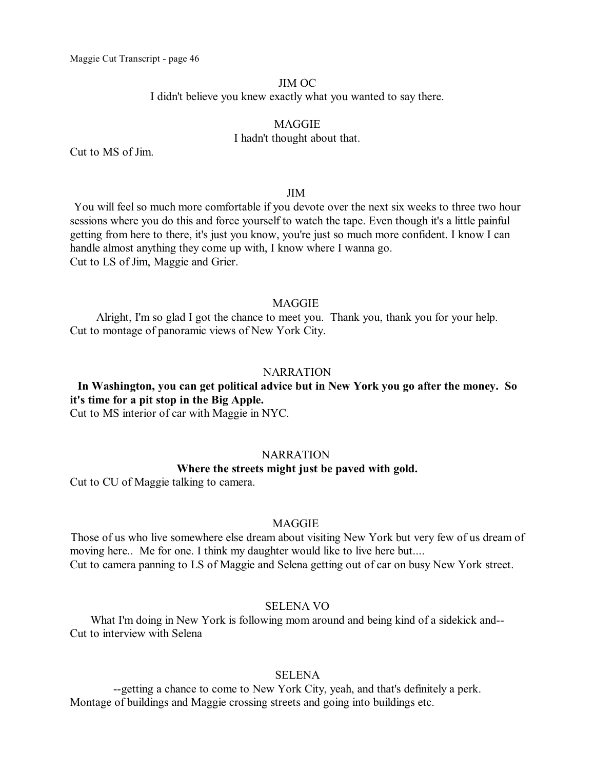### JIM OC

I didn't believe you knew exactly what you wanted to say there.

### MAGGIE I hadn't thought about that.

Cut to MS of Jim.

#### JIM

You will feel so much more comfortable if you devote over the next six weeks to three two hour sessions where you do this and force yourself to watch the tape. Even though it's a little painful getting from here to there, it's just you know, you're just so much more confident. I know I can handle almost anything they come up with, I know where I wanna go. Cut to LS of Jim, Maggie and Grier.

### MAGGIE

Alright, I'm so glad I got the chance to meet you. Thank you, thank you for your help. Cut to montage of panoramic views of New York City.

#### **NARRATION**

**In Washington, you can get political advice but in New York you go after the money. So it's time for a pit stop in the Big Apple.**

Cut to MS interior of car with Maggie in NYC.

### **NARRATION**

### **Where the streets might just be paved with gold.**

Cut to CU of Maggie talking to camera.

#### MAGGIE

Those of us who live somewhere else dream about visiting New York but very few of us dream of moving here.. Me for one. I think my daughter would like to live here but.... Cut to camera panning to LS of Maggie and Selena getting out of car on busy New York street.

#### SELENA VO

What I'm doing in New York is following mom around and being kind of a sidekick and-- Cut to interview with Selena

### SELENA

--getting a chance to come to New York City, yeah, and that's definitely a perk. Montage of buildings and Maggie crossing streets and going into buildings etc.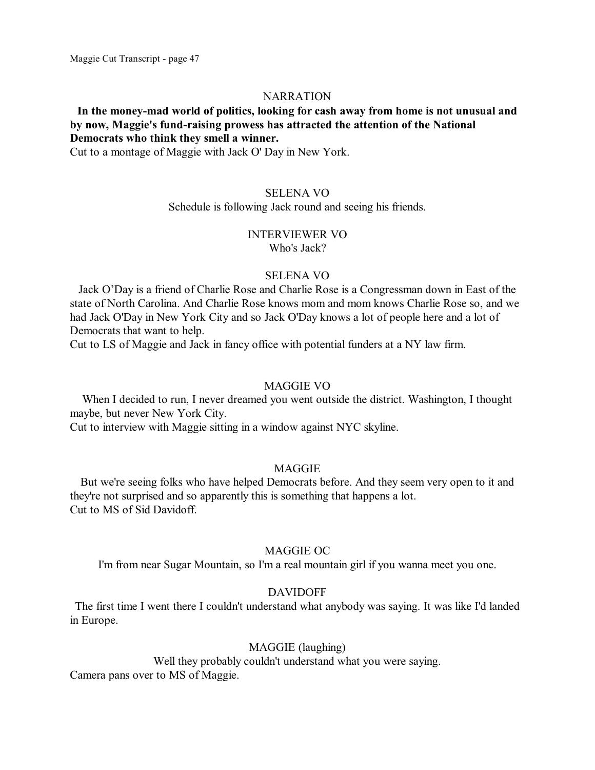#### **NARRATION**

### **In the money-mad world of politics, looking for cash away from home is not unusual and by now, Maggie's fund-raising prowess has attracted the attention of the National Democrats who think they smell a winner.**

Cut to a montage of Maggie with Jack O' Day in New York.

#### SELENA VO

#### Schedule is following Jack round and seeing his friends.

# INTERVIEWER VO

Who's Jack?

#### SELENA VO

Jack O'Day is a friend of Charlie Rose and Charlie Rose is a Congressman down in East of the state of North Carolina. And Charlie Rose knows mom and mom knows Charlie Rose so, and we had Jack O'Day in New York City and so Jack O'Day knows a lot of people here and a lot of Democrats that want to help.

Cut to LS of Maggie and Jack in fancy office with potential funders at a NY law firm.

#### MAGGIE VO

When I decided to run, I never dreamed you went outside the district. Washington, I thought maybe, but never New York City.

Cut to interview with Maggie sitting in a window against NYC skyline.

#### MAGGIE

But we're seeing folks who have helped Democrats before. And they seem very open to it and they're not surprised and so apparently this is something that happens a lot. Cut to MS of Sid Davidoff.

#### MAGGIE OC

I'm from near Sugar Mountain, so I'm a real mountain girl if you wanna meet you one.

### DAVIDOFF

The first time I went there I couldn't understand what anybody was saying. It was like I'd landed in Europe.

### MAGGIE (laughing)

Well they probably couldn't understand what you were saying. Camera pans over to MS of Maggie.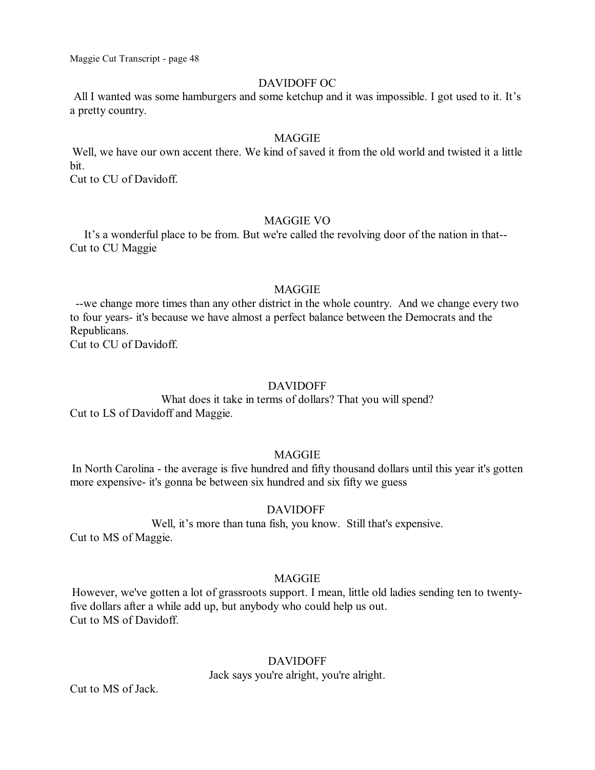### DAVIDOFF OC

All I wanted was some hamburgers and some ketchup and it was impossible. I got used to it. It's a pretty country.

#### MAGGIE

Well, we have our own accent there. We kind of saved it from the old world and twisted it a little bit.

Cut to CU of Davidoff.

### MAGGIE VO

It's a wonderful place to be from. But we're called the revolving door of the nation in that-- Cut to CU Maggie

#### MAGGIE

--we change more times than any other district in the whole country. And we change every two to four years- it's because we have almost a perfect balance between the Democrats and the Republicans.

Cut to CU of Davidoff.

#### DAVIDOFF

What does it take in terms of dollars? That you will spend? Cut to LS of Davidoff and Maggie.

### **MAGGIE**

In North Carolina - the average is five hundred and fifty thousand dollars until this year it's gotten more expensive- it's gonna be between six hundred and six fifty we guess

### DAVIDOFF

Well, it's more than tuna fish, you know. Still that's expensive. Cut to MS of Maggie.

### MAGGIE

However, we've gotten a lot of grassroots support. I mean, little old ladies sending ten to twentyfive dollars after a while add up, but anybody who could help us out. Cut to MS of Davidoff.

### DAVIDOFF

Jack says you're alright, you're alright.

Cut to MS of Jack.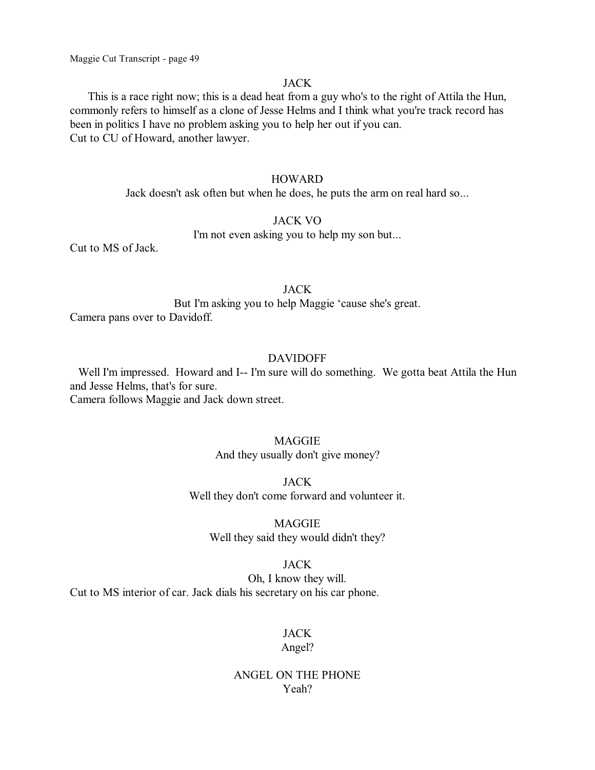### JACK

This is a race right now; this is a dead heat from a guy who's to the right of Attila the Hun, commonly refers to himself as a clone of Jesse Helms and I think what you're track record has been in politics I have no problem asking you to help her out if you can. Cut to CU of Howard, another lawyer.

#### **HOWARD**

Jack doesn't ask often but when he does, he puts the arm on real hard so...

#### JACK VO

I'm not even asking you to help my son but...

Cut to MS of Jack.

#### **JACK**

But I'm asking you to help Maggie 'cause she's great. Camera pans over to Davidoff.

### DAVIDOFF

Well I'm impressed. Howard and I-- I'm sure will do something. We gotta beat Attila the Hun and Jesse Helms, that's for sure. Camera follows Maggie and Jack down street.

### MAGGIE

And they usually don't give money?

JACK Well they don't come forward and volunteer it.

MAGGIE Well they said they would didn't they?

### JACK

Oh, I know they will. Cut to MS interior of car. Jack dials his secretary on his car phone.

# **JACK**

### Angel?

### ANGEL ON THE PHONE Yeah?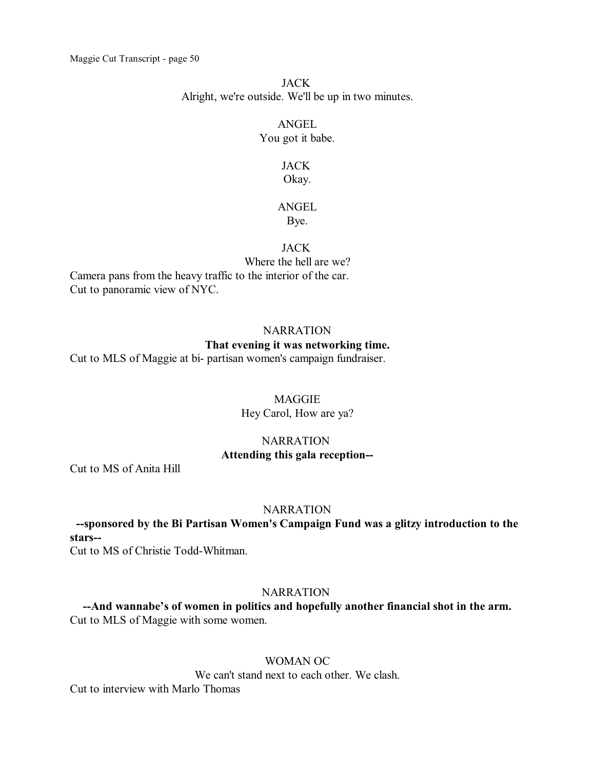### JACK Alright, we're outside. We'll be up in two minutes.

# ANGEL You got it babe.

### JACK Okay.

# ANGEL

# Bye.

# JACK

Where the hell are we? Camera pans from the heavy traffic to the interior of the car. Cut to panoramic view of NYC.

## **NARRATION**

# **That evening it was networking time.**

Cut to MLS of Maggie at bi- partisan women's campaign fundraiser.

# **MAGGIE**

Hey Carol, How are ya?

### **NARRATION Attending this gala reception--**

Cut to MS of Anita Hill

# **NARRATION**

**--sponsored by the Bi Partisan Women's Campaign Fund was a glitzy introduction to the stars--**

Cut to MS of Christie Todd-Whitman.

# **NARRATION**

**--And wannabe's of women in politics and hopefully another financial shot in the arm.** Cut to MLS of Maggie with some women.

# WOMAN OC

We can't stand next to each other. We clash.

Cut to interview with Marlo Thomas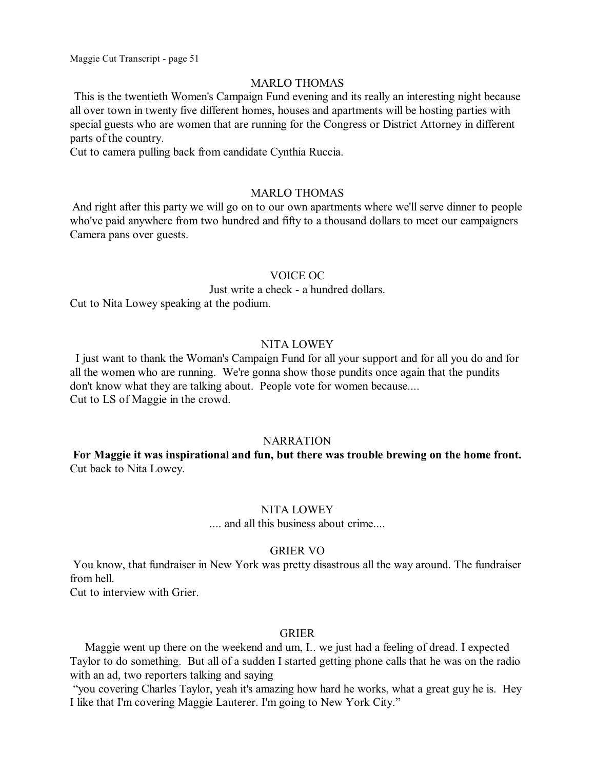#### MARLO THOMAS

This is the twentieth Women's Campaign Fund evening and its really an interesting night because all over town in twenty five different homes, houses and apartments will be hosting parties with special guests who are women that are running for the Congress or District Attorney in different parts of the country.

Cut to camera pulling back from candidate Cynthia Ruccia.

### MARLO THOMAS

And right after this party we will go on to our own apartments where we'll serve dinner to people who've paid anywhere from two hundred and fifty to a thousand dollars to meet our campaigners Camera pans over guests.

### VOICE OC

Just write a check - a hundred dollars.

Cut to Nita Lowey speaking at the podium.

### NITA LOWEY

I just want to thank the Woman's Campaign Fund for all your support and for all you do and for all the women who are running. We're gonna show those pundits once again that the pundits don't know what they are talking about. People vote for women because.... Cut to LS of Maggie in the crowd.

### **NARRATION**

**For Maggie it was inspirational and fun, but there was trouble brewing on the home front.** Cut back to Nita Lowey.

### NITA LOWEY

.... and all this business about crime....

#### GRIER VO

You know, that fundraiser in New York was pretty disastrous all the way around. The fundraiser from hell.

Cut to interview with Grier.

### GRIER

Maggie went up there on the weekend and um, I.. we just had a feeling of dread. I expected Taylor to do something. But all of a sudden I started getting phone calls that he was on the radio with an ad, two reporters talking and saying

"you covering Charles Taylor, yeah it's amazing how hard he works, what a great guy he is. Hey I like that I'm covering Maggie Lauterer. I'm going to New York City."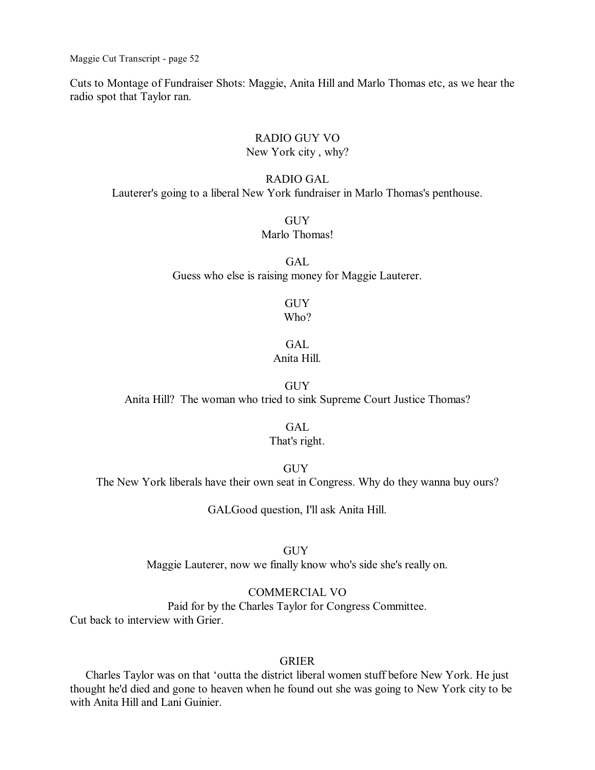Cuts to Montage of Fundraiser Shots: Maggie, Anita Hill and Marlo Thomas etc, as we hear the radio spot that Taylor ran.

### RADIO GUY VO New York city , why?

### RADIO GAL

Lauterer's going to a liberal New York fundraiser in Marlo Thomas's penthouse.

#### **GUY** Marlo Thomas!

GAL Guess who else is raising money for Maggie Lauterer.

#### **GUY** Who?

# GAL.

# Anita Hill.

**GUY** Anita Hill? The woman who tried to sink Supreme Court Justice Thomas?

### GAL

### That's right.

GUY

The New York liberals have their own seat in Congress. Why do they wanna buy ours?

GALGood question, I'll ask Anita Hill.

GUY Maggie Lauterer, now we finally know who's side she's really on.

### COMMERCIAL VO

Paid for by the Charles Taylor for Congress Committee. Cut back to interview with Grier.

#### GRIER

Charles Taylor was on that 'outta the district liberal women stuff before New York. He just thought he'd died and gone to heaven when he found out she was going to New York city to be with Anita Hill and Lani Guinier.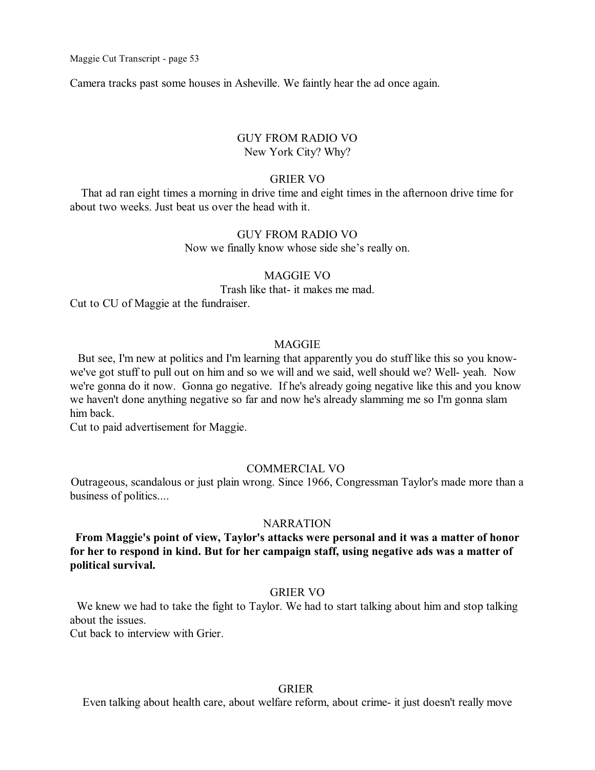Camera tracks past some houses in Asheville. We faintly hear the ad once again.

### GUY FROM RADIO VO New York City? Why?

#### GRIER VO

That ad ran eight times a morning in drive time and eight times in the afternoon drive time for about two weeks. Just beat us over the head with it.

#### GUY FROM RADIO VO

Now we finally know whose side she's really on.

### MAGGIE VO

Trash like that- it makes me mad.

Cut to CU of Maggie at the fundraiser.

#### MAGGIE

But see, I'm new at politics and I'm learning that apparently you do stuff like this so you knowwe've got stuff to pull out on him and so we will and we said, well should we? Well- yeah. Now we're gonna do it now. Gonna go negative. If he's already going negative like this and you know we haven't done anything negative so far and now he's already slamming me so I'm gonna slam him back.

Cut to paid advertisement for Maggie.

### COMMERCIAL VO

Outrageous, scandalous or just plain wrong. Since 1966, Congressman Taylor's made more than a business of politics....

#### **NARRATION**

**From Maggie's point of view, Taylor's attacks were personal and it was a matter of honor for her to respond in kind. But for her campaign staff, using negative ads was a matter of political survival.**

#### GRIER VO

We knew we had to take the fight to Taylor. We had to start talking about him and stop talking about the issues.

Cut back to interview with Grier.

### GRIER

Even talking about health care, about welfare reform, about crime- it just doesn't really move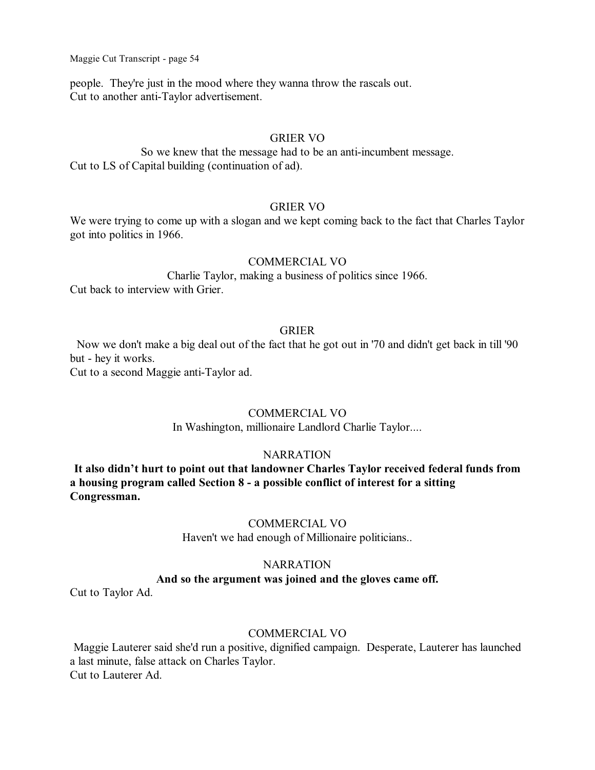people. They're just in the mood where they wanna throw the rascals out. Cut to another anti-Taylor advertisement.

### GRIER VO

So we knew that the message had to be an anti-incumbent message. Cut to LS of Capital building (continuation of ad).

### GRIER VO

We were trying to come up with a slogan and we kept coming back to the fact that Charles Taylor got into politics in 1966.

### COMMERCIAL VO

Charlie Taylor, making a business of politics since 1966. Cut back to interview with Grier.

### GRIER

Now we don't make a big deal out of the fact that he got out in '70 and didn't get back in till '90 but - hey it works.

Cut to a second Maggie anti-Taylor ad.

### COMMERCIAL VO

In Washington, millionaire Landlord Charlie Taylor....

### **NARRATION**

**It also didn't hurt to point out that landowner Charles Taylor received federal funds from a housing program called Section 8 - a possible conflict of interest for a sitting Congressman.**

### COMMERCIAL VO

Haven't we had enough of Millionaire politicians..

### **NARRATION And so the argument was joined and the gloves came off.**

Cut to Taylor Ad.

### COMMERCIAL VO

Maggie Lauterer said she'd run a positive, dignified campaign. Desperate, Lauterer has launched a last minute, false attack on Charles Taylor. Cut to Lauterer Ad.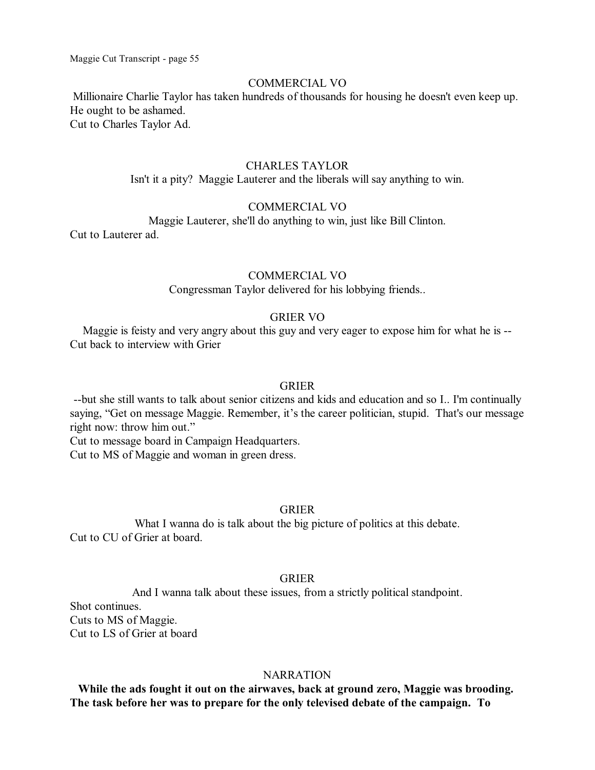#### COMMERCIAL VO

Millionaire Charlie Taylor has taken hundreds of thousands for housing he doesn't even keep up. He ought to be ashamed. Cut to Charles Taylor Ad.

### CHARLES TAYLOR

Isn't it a pity? Maggie Lauterer and the liberals will say anything to win.

### COMMERCIAL VO

Maggie Lauterer, she'll do anything to win, just like Bill Clinton.

Cut to Lauterer ad.

### COMMERCIAL VO

Congressman Taylor delivered for his lobbying friends..

### GRIER VO

Maggie is feisty and very angry about this guy and very eager to expose him for what he is -- Cut back to interview with Grier

#### GRIER

--but she still wants to talk about senior citizens and kids and education and so I.. I'm continually saying, "Get on message Maggie. Remember, it's the career politician, stupid. That's our message right now: throw him out."

Cut to message board in Campaign Headquarters.

Cut to MS of Maggie and woman in green dress.

#### GRIER

What I wanna do is talk about the big picture of politics at this debate. Cut to CU of Grier at board.

### GRIER

And I wanna talk about these issues, from a strictly political standpoint. Shot continues. Cuts to MS of Maggie. Cut to LS of Grier at board

#### **NARRATION**

**While the ads fought it out on the airwaves, back at ground zero, Maggie was brooding. The task before her was to prepare for the only televised debate of the campaign. To**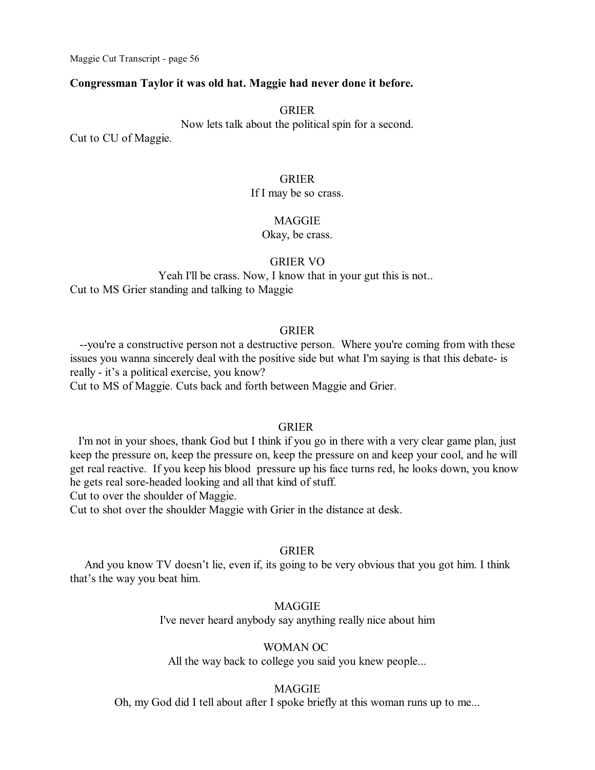### **Congressman Taylor it was old hat. Maggie had never done it before.**

#### GRIER

Now lets talk about the political spin for a second.

Cut to CU of Maggie.

### GRIER

#### If I may be so crass.

#### **MAGGIE**

Okay, be crass.

### GRIER VO

Yeah I'll be crass. Now, I know that in your gut this is not.. Cut to MS Grier standing and talking to Maggie

### GRIER

--you're a constructive person not a destructive person. Where you're coming from with these issues you wanna sincerely deal with the positive side but what I'm saying is that this debate- is really - it's a political exercise, you know? Cut to MS of Maggie. Cuts back and forth between Maggie and Grier.

#### GRIER

I'm not in your shoes, thank God but I think if you go in there with a very clear game plan, just keep the pressure on, keep the pressure on, keep the pressure on and keep your cool, and he will get real reactive. If you keep his blood pressure up his face turns red, he looks down, you know he gets real sore-headed looking and all that kind of stuff.

Cut to over the shoulder of Maggie.

Cut to shot over the shoulder Maggie with Grier in the distance at desk.

### GRIER

And you know TV doesn't lie, even if, its going to be very obvious that you got him. I think that's the way you beat him.

#### MAGGIE

I've never heard anybody say anything really nice about him

### WOMAN OC

All the way back to college you said you knew people...

#### MAGGIE

Oh, my God did I tell about after I spoke briefly at this woman runs up to me...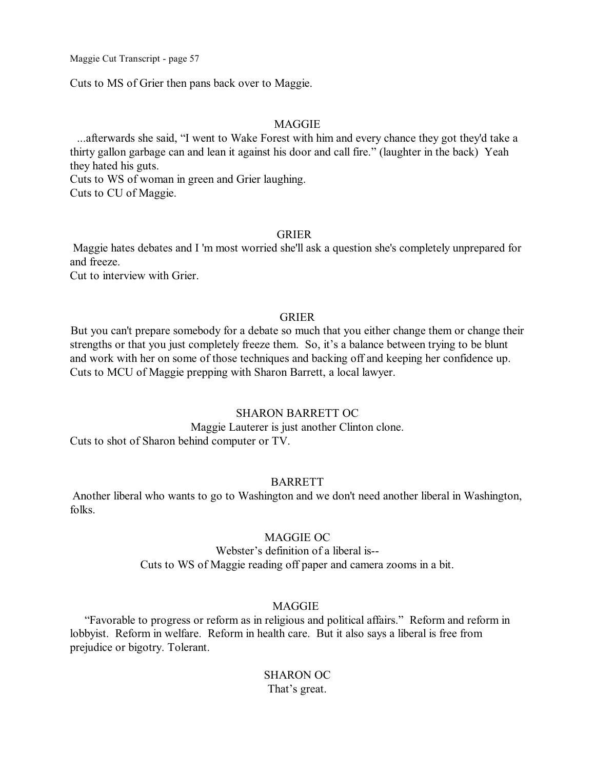Cuts to MS of Grier then pans back over to Maggie.

### MAGGIE

...afterwards she said, "I went to Wake Forest with him and every chance they got they'd take a thirty gallon garbage can and lean it against his door and call fire." (laughter in the back) Yeah they hated his guts.

Cuts to WS of woman in green and Grier laughing. Cuts to CU of Maggie.

### GRIER

Maggie hates debates and I 'm most worried she'll ask a question she's completely unprepared for and freeze.

Cut to interview with Grier.

### GRIER

But you can't prepare somebody for a debate so much that you either change them or change their strengths or that you just completely freeze them. So, it's a balance between trying to be blunt and work with her on some of those techniques and backing off and keeping her confidence up. Cuts to MCU of Maggie prepping with Sharon Barrett, a local lawyer.

### SHARON BARRETT OC

Maggie Lauterer is just another Clinton clone. Cuts to shot of Sharon behind computer or TV.

### BARRETT

Another liberal who wants to go to Washington and we don't need another liberal in Washington, folks.

### MAGGIE OC

### Webster's definition of a liberal is-- Cuts to WS of Maggie reading off paper and camera zooms in a bit.

### MAGGIE

"Favorable to progress or reform as in religious and political affairs." Reform and reform in lobbyist. Reform in welfare. Reform in health care. But it also says a liberal is free from prejudice or bigotry. Tolerant.

## SHARON OC That's great.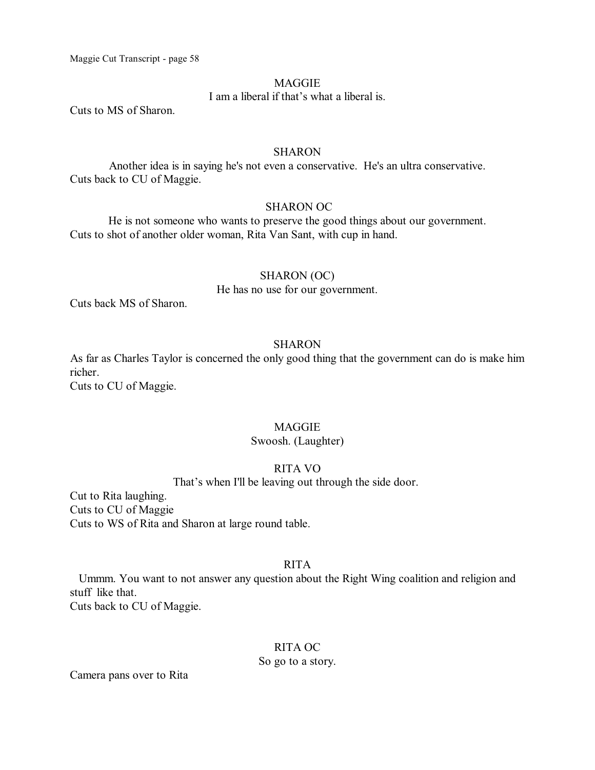### **MAGGIE**

I am a liberal if that's what a liberal is.

Cuts to MS of Sharon.

#### **SHARON**

Another idea is in saying he's not even a conservative. He's an ultra conservative. Cuts back to CU of Maggie.

### SHARON OC

He is not someone who wants to preserve the good things about our government. Cuts to shot of another older woman, Rita Van Sant, with cup in hand.

### SHARON (OC)

He has no use for our government.

Cuts back MS of Sharon.

### SHARON

As far as Charles Taylor is concerned the only good thing that the government can do is make him richer.

Cuts to CU of Maggie.

### MAGGIE

### Swoosh. (Laughter)

### RITA VO

That's when I'll be leaving out through the side door.

Cut to Rita laughing. Cuts to CU of Maggie Cuts to WS of Rita and Sharon at large round table.

### RITA

Ummm. You want to not answer any question about the Right Wing coalition and religion and stuff like that. Cuts back to CU of Maggie.

### RITA OC

#### So go to a story.

Camera pans over to Rita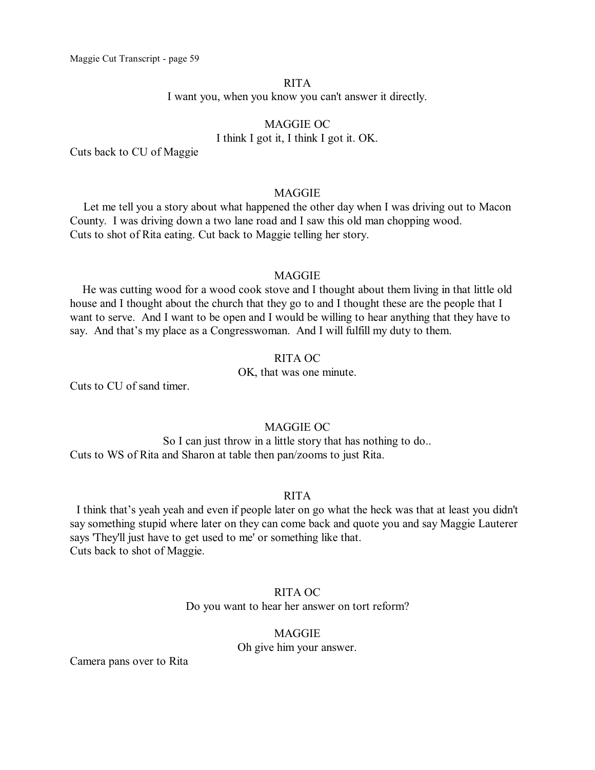### RITA I want you, when you know you can't answer it directly.

# MAGGIE OC I think I got it, I think I got it. OK.

Cuts back to CU of Maggie

### MAGGIE

Let me tell you a story about what happened the other day when I was driving out to Macon County. I was driving down a two lane road and I saw this old man chopping wood. Cuts to shot of Rita eating. Cut back to Maggie telling her story.

### **MAGGIE**

He was cutting wood for a wood cook stove and I thought about them living in that little old house and I thought about the church that they go to and I thought these are the people that I want to serve. And I want to be open and I would be willing to hear anything that they have to say. And that's my place as a Congresswoman. And I will fulfill my duty to them.

### RITA OC

OK, that was one minute.

Cuts to CU of sand timer.

### MAGGIE OC

So I can just throw in a little story that has nothing to do.. Cuts to WS of Rita and Sharon at table then pan/zooms to just Rita.

#### RITA

I think that's yeah yeah and even if people later on go what the heck was that at least you didn't say something stupid where later on they can come back and quote you and say Maggie Lauterer says 'They'll just have to get used to me' or something like that. Cuts back to shot of Maggie.

### RITA OC Do you want to hear her answer on tort reform?

### **MAGGIE** Oh give him your answer.

Camera pans over to Rita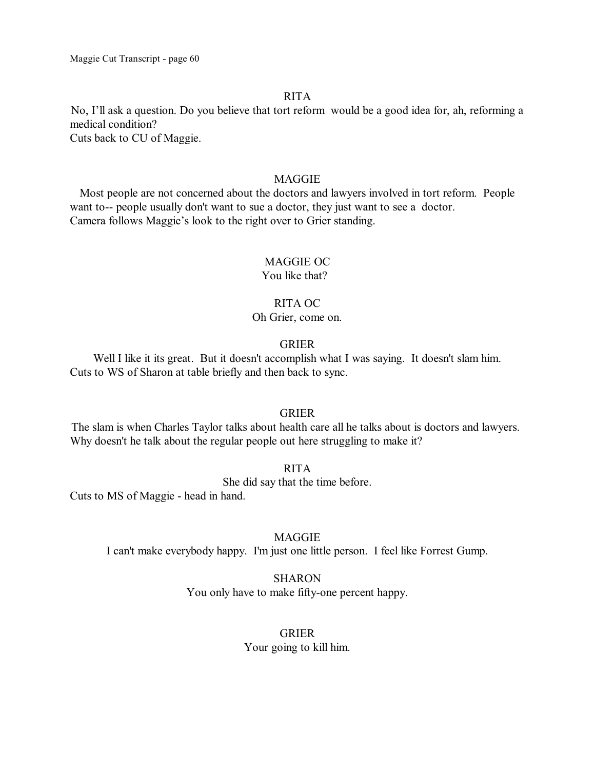### RITA

No, I'll ask a question. Do you believe that tort reform would be a good idea for, ah, reforming a medical condition? Cuts back to CU of Maggie.

### MAGGIE

Most people are not concerned about the doctors and lawyers involved in tort reform. People want to-- people usually don't want to sue a doctor, they just want to see a doctor. Camera follows Maggie's look to the right over to Grier standing.

### MAGGIE OC

You like that?

### RITA OC

#### Oh Grier, come on.

### GRIER

Well I like it its great. But it doesn't accomplish what I was saying. It doesn't slam him. Cuts to WS of Sharon at table briefly and then back to sync.

#### GRIER

The slam is when Charles Taylor talks about health care all he talks about is doctors and lawyers. Why doesn't he talk about the regular people out here struggling to make it?

### RITA

She did say that the time before.

Cuts to MS of Maggie - head in hand.

#### MAGGIE

I can't make everybody happy. I'm just one little person. I feel like Forrest Gump.

### SHARON

You only have to make fifty-one percent happy.

### GRIER

Your going to kill him.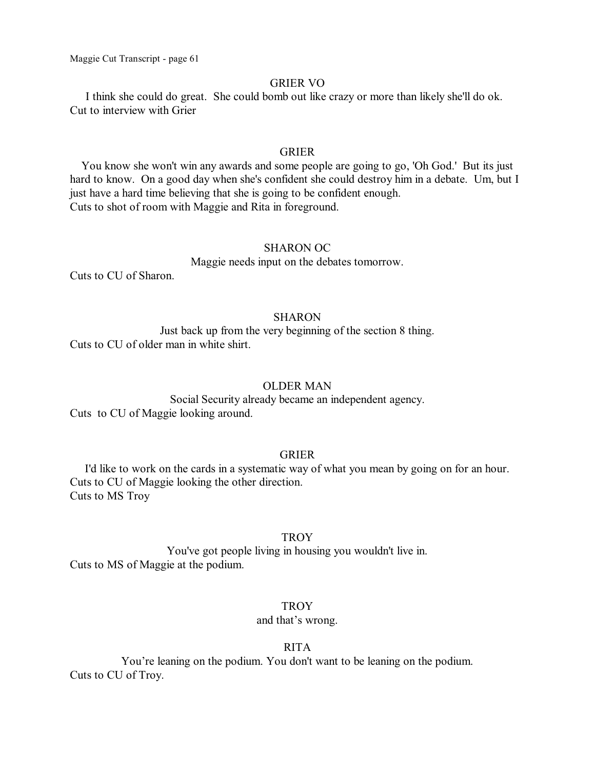### GRIER VO

I think she could do great. She could bomb out like crazy or more than likely she'll do ok. Cut to interview with Grier

### GRIER

You know she won't win any awards and some people are going to go, 'Oh God.' But its just hard to know. On a good day when she's confident she could destroy him in a debate. Um, but I just have a hard time believing that she is going to be confident enough. Cuts to shot of room with Maggie and Rita in foreground.

### SHARON OC

#### Maggie needs input on the debates tomorrow.

Cuts to CU of Sharon.

### SHARON

Just back up from the very beginning of the section 8 thing. Cuts to CU of older man in white shirt.

#### OLDER MAN

Social Security already became an independent agency. Cuts to CU of Maggie looking around.

### GRIER

I'd like to work on the cards in a systematic way of what you mean by going on for an hour. Cuts to CU of Maggie looking the other direction. Cuts to MS Troy

#### **TROY**

You've got people living in housing you wouldn't live in. Cuts to MS of Maggie at the podium.

#### **TROY**

#### and that's wrong.

### RITA

You're leaning on the podium. You don't want to be leaning on the podium. Cuts to CU of Troy.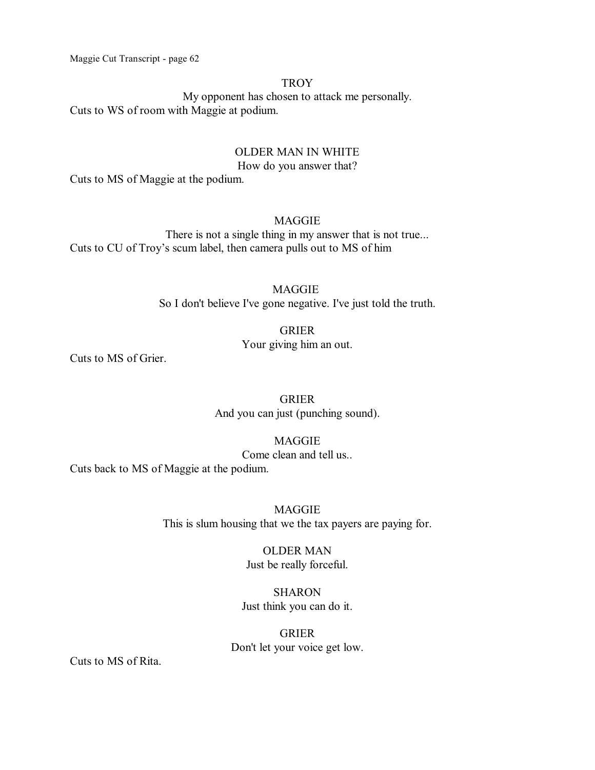### **TROY**

My opponent has chosen to attack me personally. Cuts to WS of room with Maggie at podium.

### OLDER MAN IN WHITE

How do you answer that?

Cuts to MS of Maggie at the podium.

### MAGGIE

There is not a single thing in my answer that is not true... Cuts to CU of Troy's scum label, then camera pulls out to MS of him

# MAGGIE

So I don't believe I've gone negative. I've just told the truth.

### GRIER

Your giving him an out.

Cuts to MS of Grier.

GRIER And you can just (punching sound).

MAGGIE

Come clean and tell us..

Cuts back to MS of Maggie at the podium.

**MAGGIE** This is slum housing that we the tax payers are paying for.

> OLDER MAN Just be really forceful.

# SHARON

Just think you can do it.

GRIER Don't let your voice get low.

Cuts to MS of Rita.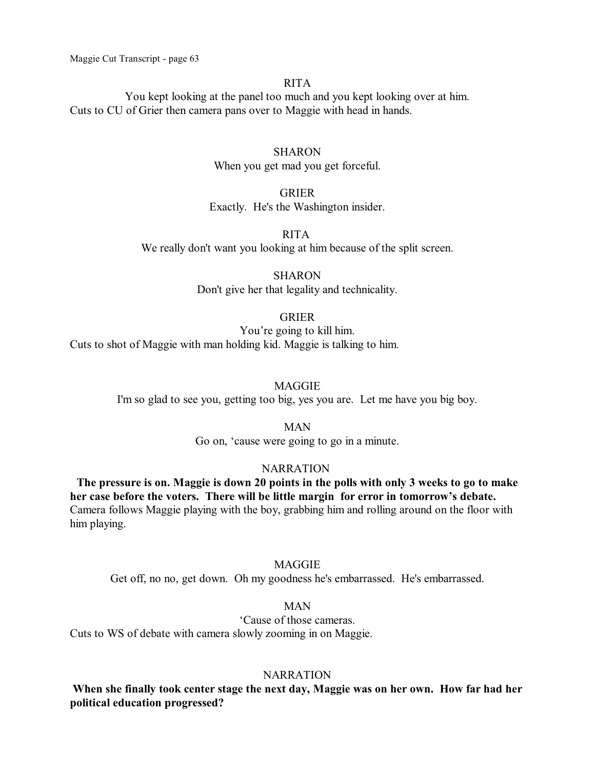### RITA

You kept looking at the panel too much and you kept looking over at him. Cuts to CU of Grier then camera pans over to Maggie with head in hands.

### **SHARON**

When you get mad you get forceful.

### GRIER

Exactly. He's the Washington insider.

### RITA

We really don't want you looking at him because of the split screen.

**SHARON** Don't give her that legality and technicality.

#### GRIER

You're going to kill him. Cuts to shot of Maggie with man holding kid. Maggie is talking to him.

#### **MAGGIE**

I'm so glad to see you, getting too big, yes you are. Let me have you big boy.

#### MAN

Go on, 'cause were going to go in a minute.

#### NARRATION

**The pressure is on. Maggie is down 20 points in the polls with only 3 weeks to go to make her case before the voters. There will be little margin for error in tomorrow's debate.** Camera follows Maggie playing with the boy, grabbing him and rolling around on the floor with him playing.

### MAGGIE

Get off, no no, get down. Oh my goodness he's embarrassed. He's embarrassed.

### MAN

'Cause of those cameras. Cuts to WS of debate with camera slowly zooming in on Maggie.

#### **NARRATION**

**When she finally took center stage the next day, Maggie was on her own. How far had her political education progressed?**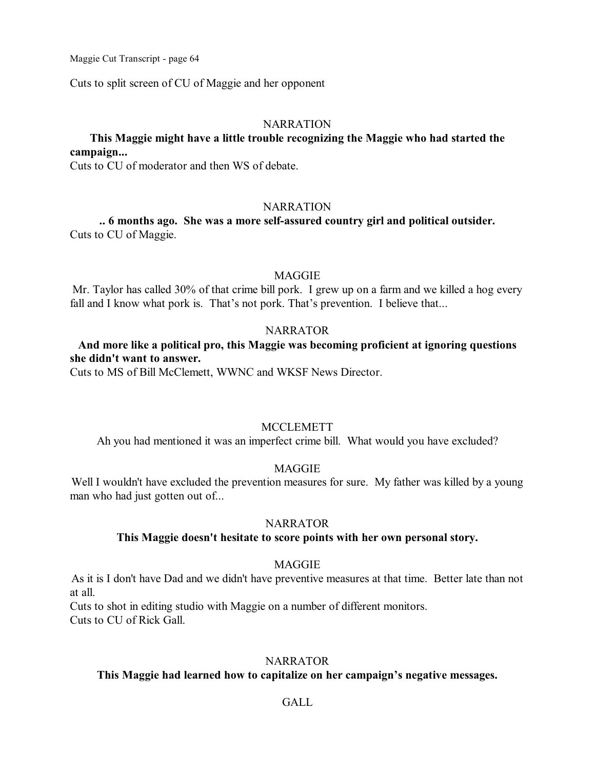Cuts to split screen of CU of Maggie and her opponent

### **NARRATION**

### **This Maggie might have a little trouble recognizing the Maggie who had started the campaign...**

Cuts to CU of moderator and then WS of debate.

#### **NARRATION**

**.. 6 months ago. She was a more self-assured country girl and political outsider.** Cuts to CU of Maggie.

### **MAGGIE**

Mr. Taylor has called 30% of that crime bill pork. I grew up on a farm and we killed a hog every fall and I know what pork is. That's not pork. That's prevention. I believe that...

### NARRATOR

# **And more like a political pro, this Maggie was becoming proficient at ignoring questions she didn't want to answer.**

Cuts to MS of Bill McClemett, WWNC and WKSF News Director.

### **MCCLEMETT**

Ah you had mentioned it was an imperfect crime bill. What would you have excluded?

### MAGGIE

Well I wouldn't have excluded the prevention measures for sure. My father was killed by a young man who had just gotten out of...

### NARRATOR

### **This Maggie doesn't hesitate to score points with her own personal story.**

#### MAGGIE

As it is I don't have Dad and we didn't have preventive measures at that time. Better late than not at all.

Cuts to shot in editing studio with Maggie on a number of different monitors. Cuts to CU of Rick Gall.

#### NARRATOR

### **This Maggie had learned how to capitalize on her campaign's negative messages.**

### GALL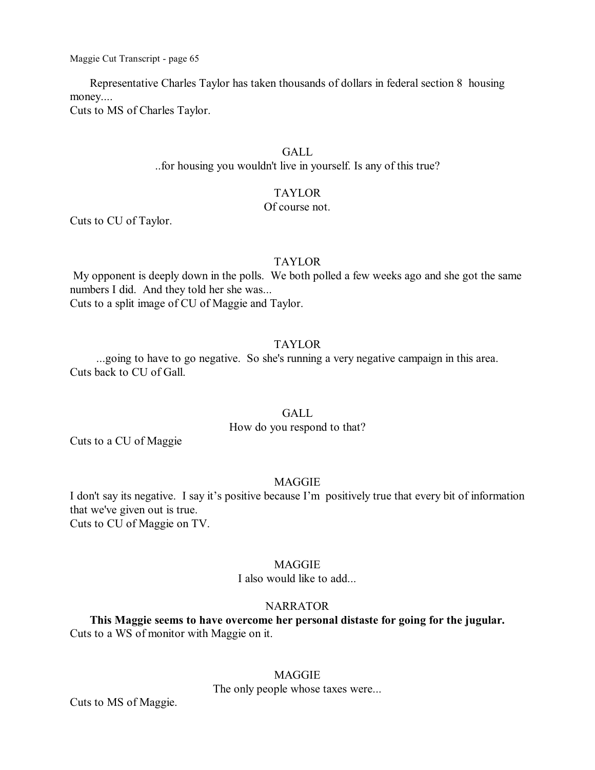Representative Charles Taylor has taken thousands of dollars in federal section 8 housing money.... Cuts to MS of Charles Taylor.

### GALL.

..for housing you wouldn't live in yourself. Is any of this true?

### TAYLOR

### Of course not.

Cuts to CU of Taylor.

### TAYLOR

My opponent is deeply down in the polls. We both polled a few weeks ago and she got the same numbers I did. And they told her she was... Cuts to a split image of CU of Maggie and Taylor.

### TAYLOR

...going to have to go negative. So she's running a very negative campaign in this area. Cuts back to CU of Gall.

### **GALL**

How do you respond to that?

Cuts to a CU of Maggie

### MAGGIE

I don't say its negative. I say it's positive because I'm positively true that every bit of information that we've given out is true. Cuts to CU of Maggie on TV.

### **MAGGIE**

I also would like to add...

#### **NARRATOR**

**This Maggie seems to have overcome her personal distaste for going for the jugular.** Cuts to a WS of monitor with Maggie on it.

### MAGGIE

The only people whose taxes were...

Cuts to MS of Maggie.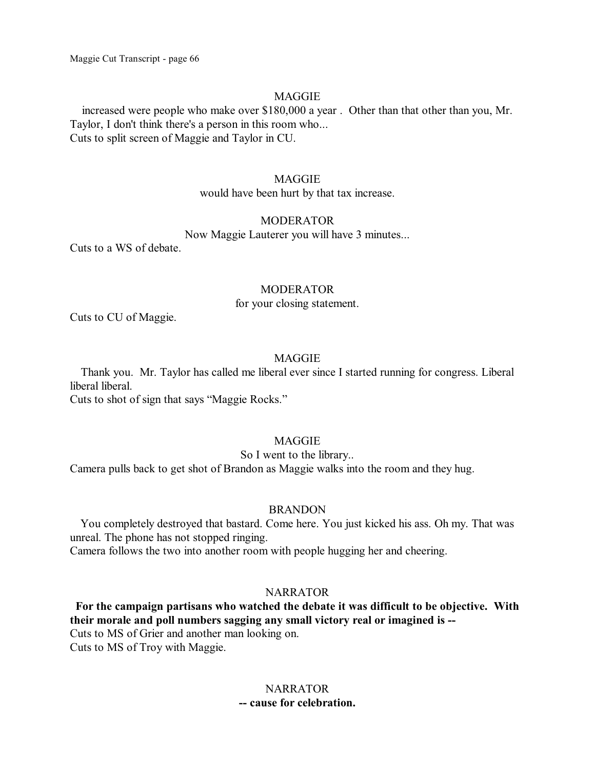### MAGGIE

increased were people who make over \$180,000 a year . Other than that other than you, Mr. Taylor, I don't think there's a person in this room who... Cuts to split screen of Maggie and Taylor in CU.

### MAGGIE

would have been hurt by that tax increase.

#### MODERATOR

Now Maggie Lauterer you will have 3 minutes...

Cuts to a WS of debate.

### MODERATOR

for your closing statement.

Cuts to CU of Maggie.

### MAGGIE

Thank you. Mr. Taylor has called me liberal ever since I started running for congress. Liberal liberal liberal. Cuts to shot of sign that says "Maggie Rocks."

### MAGGIE

So I went to the library..

Camera pulls back to get shot of Brandon as Maggie walks into the room and they hug.

### BRANDON

You completely destroyed that bastard. Come here. You just kicked his ass. Oh my. That was unreal. The phone has not stopped ringing.

Camera follows the two into another room with people hugging her and cheering.

### **NARRATOR**

**For the campaign partisans who watched the debate it was difficult to be objective. With their morale and poll numbers sagging any small victory real or imagined is --** Cuts to MS of Grier and another man looking on. Cuts to MS of Troy with Maggie.

### **NARRATOR -- cause for celebration.**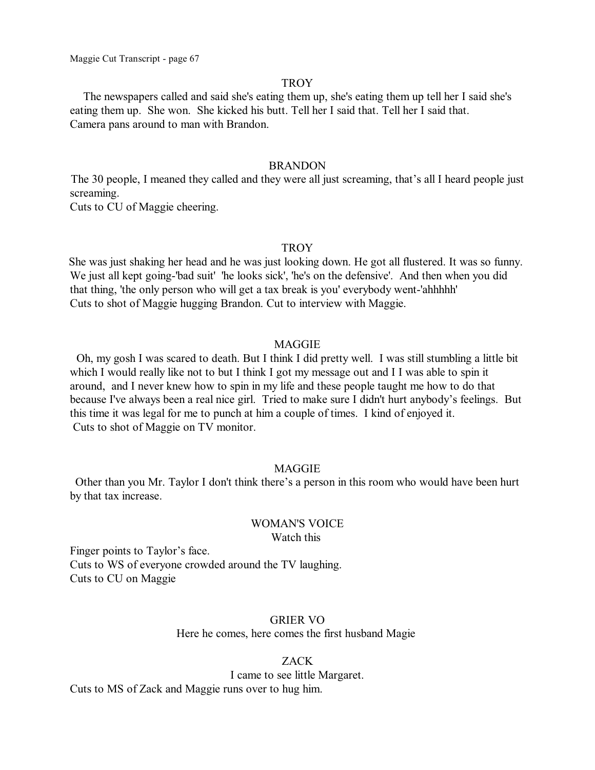#### **TROY**

The newspapers called and said she's eating them up, she's eating them up tell her I said she's eating them up. She won. She kicked his butt. Tell her I said that. Tell her I said that. Camera pans around to man with Brandon.

### BRANDON

The 30 people, I meaned they called and they were all just screaming, that's all I heard people just screaming.

Cuts to CU of Maggie cheering.

#### **TROY**

She was just shaking her head and he was just looking down. He got all flustered. It was so funny. We just all kept going-'bad suit' 'he looks sick', 'he's on the defensive'. And then when you did that thing, 'the only person who will get a tax break is you' everybody went-'ahhhhh' Cuts to shot of Maggie hugging Brandon. Cut to interview with Maggie.

### MAGGIE

Oh, my gosh I was scared to death. But I think I did pretty well. I was still stumbling a little bit which I would really like not to but I think I got my message out and I I was able to spin it around, and I never knew how to spin in my life and these people taught me how to do that because I've always been a real nice girl. Tried to make sure I didn't hurt anybody's feelings. But this time it was legal for me to punch at him a couple of times. I kind of enjoyed it. Cuts to shot of Maggie on TV monitor.

### MAGGIE

Other than you Mr. Taylor I don't think there's a person in this room who would have been hurt by that tax increase.

#### WOMAN'S VOICE Watch this

Finger points to Taylor's face. Cuts to WS of everyone crowded around the TV laughing. Cuts to CU on Maggie

### GRIER VO

Here he comes, here comes the first husband Magie

### ZACK

I came to see little Margaret.

Cuts to MS of Zack and Maggie runs over to hug him.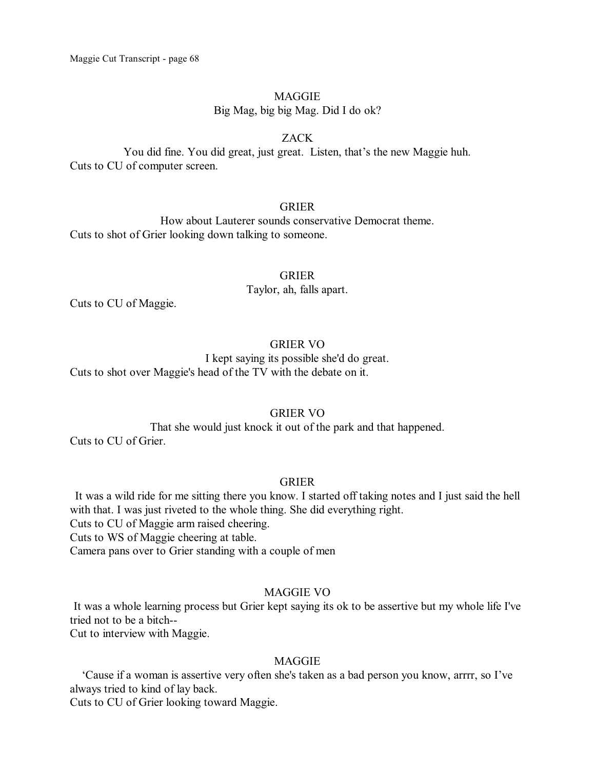#### MAGGIE

Big Mag, big big Mag. Did I do ok?

### ZACK

You did fine. You did great, just great. Listen, that's the new Maggie huh. Cuts to CU of computer screen.

### GRIER

How about Lauterer sounds conservative Democrat theme. Cuts to shot of Grier looking down talking to someone.

### GRIER

Taylor, ah, falls apart.

Cuts to CU of Maggie.

### GRIER VO

I kept saying its possible she'd do great. Cuts to shot over Maggie's head of the TV with the debate on it.

### GRIER VO

That she would just knock it out of the park and that happened. Cuts to CU of Grier.

### GRIER

It was a wild ride for me sitting there you know. I started off taking notes and I just said the hell with that. I was just riveted to the whole thing. She did everything right. Cuts to CU of Maggie arm raised cheering.

Cuts to WS of Maggie cheering at table.

Camera pans over to Grier standing with a couple of men

### MAGGIE VO

It was a whole learning process but Grier kept saying its ok to be assertive but my whole life I've tried not to be a bitch--

Cut to interview with Maggie.

### MAGGIE

'Cause if a woman is assertive very often she's taken as a bad person you know, arrrr, so I've always tried to kind of lay back.

Cuts to CU of Grier looking toward Maggie.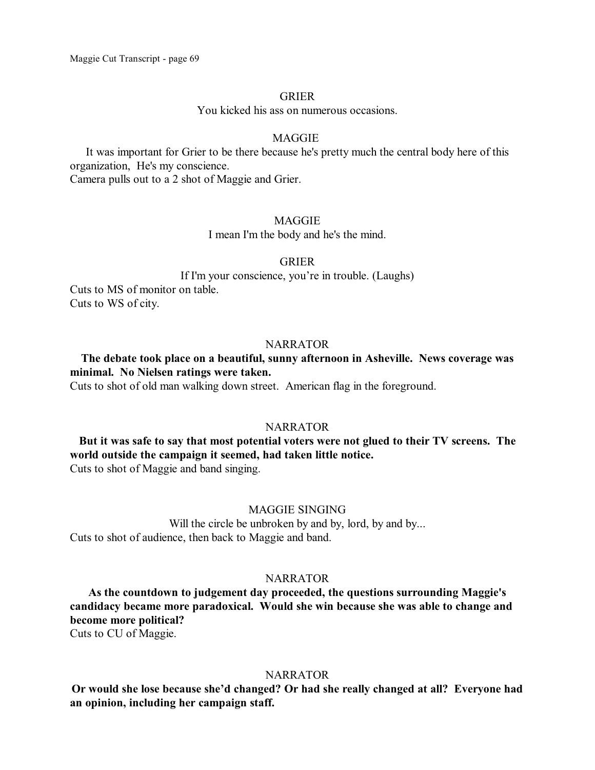### GRIER

You kicked his ass on numerous occasions.

#### MAGGIE

It was important for Grier to be there because he's pretty much the central body here of this organization, He's my conscience.

Camera pulls out to a 2 shot of Maggie and Grier.

#### MAGGIE

I mean I'm the body and he's the mind.

### GRIER

If I'm your conscience, you're in trouble. (Laughs) Cuts to MS of monitor on table. Cuts to WS of city.

### NARRATOR

# **The debate took place on a beautiful, sunny afternoon in Asheville. News coverage was minimal. No Nielsen ratings were taken.**

Cuts to shot of old man walking down street. American flag in the foreground.

### NARRATOR

# **But it was safe to say that most potential voters were not glued to their TV screens. The world outside the campaign it seemed, had taken little notice.**

Cuts to shot of Maggie and band singing.

### MAGGIE SINGING

Will the circle be unbroken by and by, lord, by and by... Cuts to shot of audience, then back to Maggie and band.

#### **NARRATOR**

**As the countdown to judgement day proceeded, the questions surrounding Maggie's candidacy became more paradoxical. Would she win because she was able to change and become more political?**

Cuts to CU of Maggie.

#### NARRATOR

**Or would she lose because she'd changed? Or had she really changed at all? Everyone had an opinion, including her campaign staff.**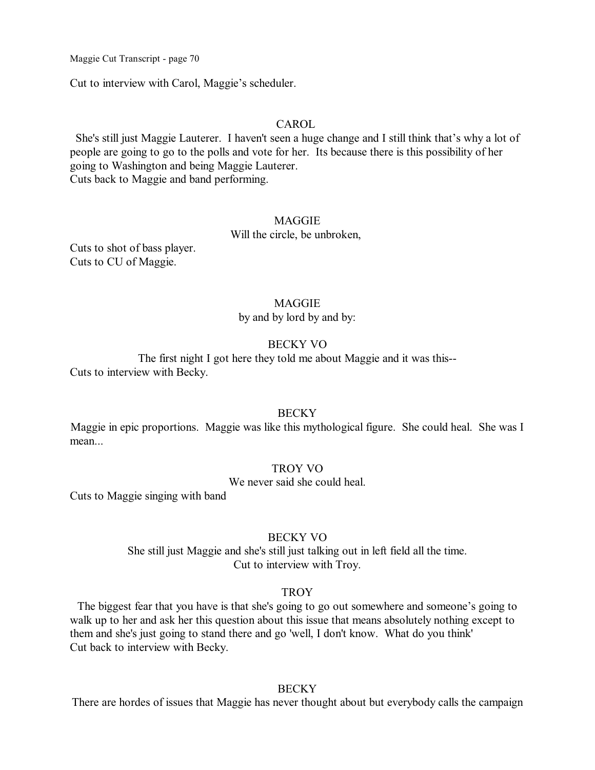Cut to interview with Carol, Maggie's scheduler.

### CAROL

She's still just Maggie Lauterer. I haven't seen a huge change and I still think that's why a lot of people are going to go to the polls and vote for her. Its because there is this possibility of her going to Washington and being Maggie Lauterer. Cuts back to Maggie and band performing.

### MAGGIE

Will the circle, be unbroken,

Cuts to shot of bass player. Cuts to CU of Maggie.

#### MAGGIE

by and by lord by and by:

### BECKY VO

The first night I got here they told me about Maggie and it was this-- Cuts to interview with Becky.

#### **BECKY**

Maggie in epic proportions. Maggie was like this mythological figure. She could heal. She was I mean...

### TROY VO

We never said she could heal.

Cuts to Maggie singing with band

### BECKY VO

She still just Maggie and she's still just talking out in left field all the time. Cut to interview with Troy.

### **TROY**

The biggest fear that you have is that she's going to go out somewhere and someone's going to walk up to her and ask her this question about this issue that means absolutely nothing except to them and she's just going to stand there and go 'well, I don't know. What do you think' Cut back to interview with Becky.

#### **BECKY**

There are hordes of issues that Maggie has never thought about but everybody calls the campaign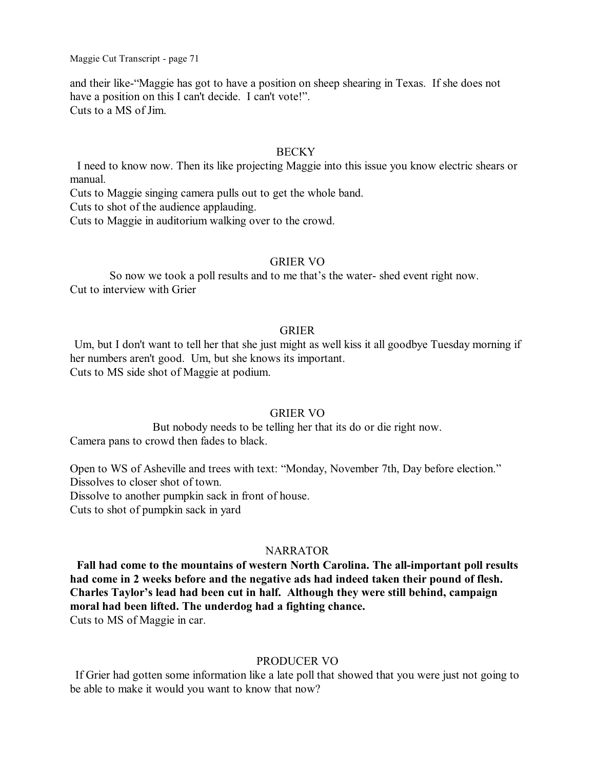and their like-"Maggie has got to have a position on sheep shearing in Texas. If she does not have a position on this I can't decide. I can't vote!". Cuts to a MS of Jim.

### **BECKY**

I need to know now. Then its like projecting Maggie into this issue you know electric shears or manual.

Cuts to Maggie singing camera pulls out to get the whole band.

Cuts to shot of the audience applauding.

Cuts to Maggie in auditorium walking over to the crowd.

### GRIER VO

So now we took a poll results and to me that's the water- shed event right now. Cut to interview with Grier

### GRIER

Um, but I don't want to tell her that she just might as well kiss it all goodbye Tuesday morning if her numbers aren't good. Um, but she knows its important. Cuts to MS side shot of Maggie at podium.

### GRIER VO

But nobody needs to be telling her that its do or die right now. Camera pans to crowd then fades to black.

Open to WS of Asheville and trees with text: "Monday, November 7th, Day before election." Dissolves to closer shot of town. Dissolve to another pumpkin sack in front of house. Cuts to shot of pumpkin sack in yard

### NARRATOR

**Fall had come to the mountains of western North Carolina. The all-important poll results had come in 2 weeks before and the negative ads had indeed taken their pound of flesh. Charles Taylor's lead had been cut in half. Although they were still behind, campaign moral had been lifted. The underdog had a fighting chance.** Cuts to MS of Maggie in car.

### PRODUCER VO

If Grier had gotten some information like a late poll that showed that you were just not going to be able to make it would you want to know that now?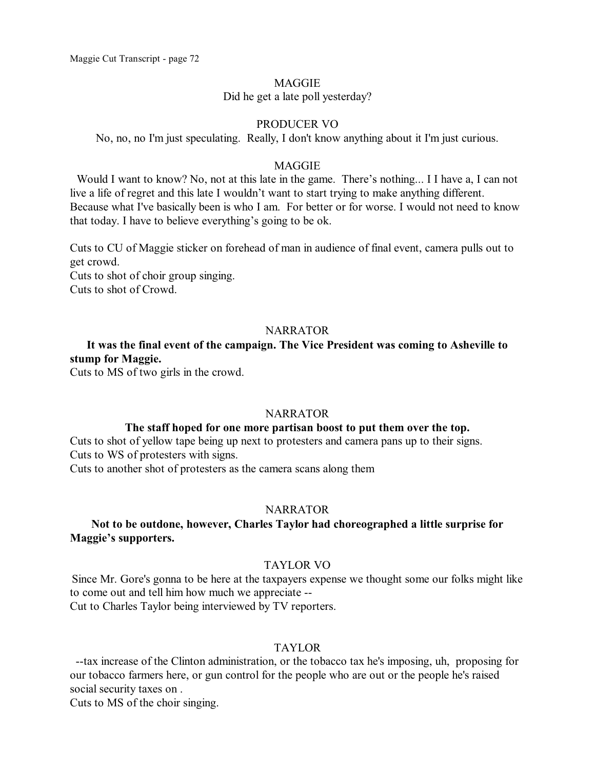### **MAGGIE**

Did he get a late poll yesterday?

### PRODUCER VO

No, no, no I'm just speculating. Really, I don't know anything about it I'm just curious.

### MAGGIE

Would I want to know? No, not at this late in the game. There's nothing... I I have a, I can not live a life of regret and this late I wouldn't want to start trying to make anything different. Because what I've basically been is who I am. For better or for worse. I would not need to know that today. I have to believe everything's going to be ok.

Cuts to CU of Maggie sticker on forehead of man in audience of final event, camera pulls out to get crowd.

Cuts to shot of choir group singing. Cuts to shot of Crowd.

### **NARRATOR**

## **It was the final event of the campaign. The Vice President was coming to Asheville to stump for Maggie.**

Cuts to MS of two girls in the crowd.

### **NARRATOR**

### **The staff hoped for one more partisan boost to put them over the top.**

Cuts to shot of yellow tape being up next to protesters and camera pans up to their signs. Cuts to WS of protesters with signs.

Cuts to another shot of protesters as the camera scans along them

#### NARRATOR

### **Not to be outdone, however, Charles Taylor had choreographed a little surprise for Maggie's supporters.**

#### TAYLOR VO

Since Mr. Gore's gonna to be here at the taxpayers expense we thought some our folks might like to come out and tell him how much we appreciate -- Cut to Charles Taylor being interviewed by TV reporters.

### TAYLOR

--tax increase of the Clinton administration, or the tobacco tax he's imposing, uh, proposing for our tobacco farmers here, or gun control for the people who are out or the people he's raised social security taxes on .

Cuts to MS of the choir singing.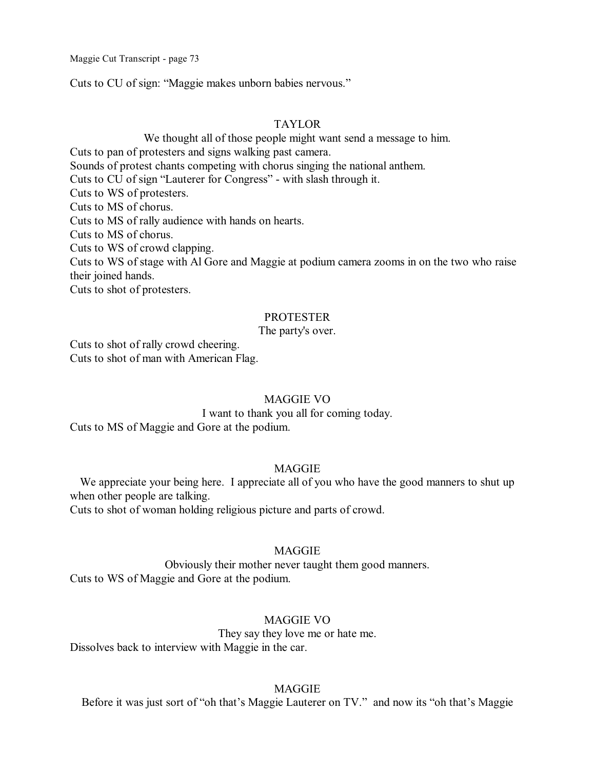Cuts to CU of sign: "Maggie makes unborn babies nervous."

## TAYLOR

We thought all of those people might want send a message to him. Cuts to pan of protesters and signs walking past camera. Sounds of protest chants competing with chorus singing the national anthem. Cuts to CU of sign "Lauterer for Congress" - with slash through it. Cuts to WS of protesters. Cuts to MS of chorus. Cuts to MS of rally audience with hands on hearts. Cuts to MS of chorus. Cuts to WS of crowd clapping. Cuts to WS of stage with Al Gore and Maggie at podium camera zooms in on the two who raise their joined hands.

Cuts to shot of protesters.

### PROTESTER

### The party's over.

Cuts to shot of rally crowd cheering. Cuts to shot of man with American Flag.

### MAGGIE VO

I want to thank you all for coming today. Cuts to MS of Maggie and Gore at the podium.

## MAGGIE

We appreciate your being here. I appreciate all of you who have the good manners to shut up when other people are talking.

Cuts to shot of woman holding religious picture and parts of crowd.

## MAGGIE

Obviously their mother never taught them good manners. Cuts to WS of Maggie and Gore at the podium.

# MAGGIE VO

They say they love me or hate me. Dissolves back to interview with Maggie in the car.

## MAGGIE

Before it was just sort of "oh that's Maggie Lauterer on TV." and now its "oh that's Maggie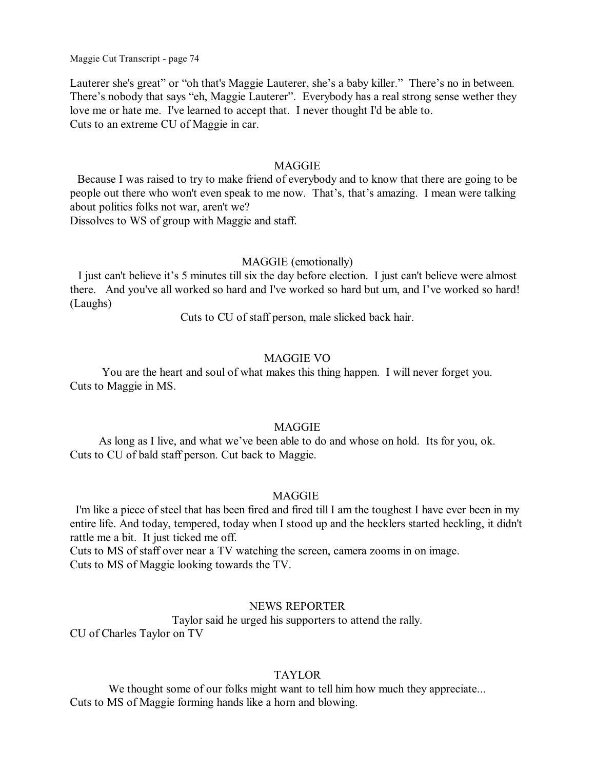Lauterer she's great" or "oh that's Maggie Lauterer, she's a baby killer." There's no in between. There's nobody that says "eh, Maggie Lauterer". Everybody has a real strong sense wether they love me or hate me. I've learned to accept that. I never thought I'd be able to. Cuts to an extreme CU of Maggie in car.

## MAGGIE

Because I was raised to try to make friend of everybody and to know that there are going to be people out there who won't even speak to me now. That's, that's amazing. I mean were talking about politics folks not war, aren't we?

Dissolves to WS of group with Maggie and staff.

## MAGGIE (emotionally)

I just can't believe it's 5 minutes till six the day before election. I just can't believe were almost there. And you've all worked so hard and I've worked so hard but um, and I've worked so hard! (Laughs)

Cuts to CU of staff person, male slicked back hair.

# MAGGIE VO

You are the heart and soul of what makes this thing happen. I will never forget you. Cuts to Maggie in MS.

## MAGGIE

As long as I live, and what we've been able to do and whose on hold. Its for you, ok. Cuts to CU of bald staff person. Cut back to Maggie.

### **MAGGIE**

I'm like a piece of steel that has been fired and fired till I am the toughest I have ever been in my entire life. And today, tempered, today when I stood up and the hecklers started heckling, it didn't rattle me a bit. It just ticked me off.

Cuts to MS of staff over near a TV watching the screen, camera zooms in on image. Cuts to MS of Maggie looking towards the TV.

### NEWS REPORTER

Taylor said he urged his supporters to attend the rally. CU of Charles Taylor on TV

#### TAYLOR

We thought some of our folks might want to tell him how much they appreciate... Cuts to MS of Maggie forming hands like a horn and blowing.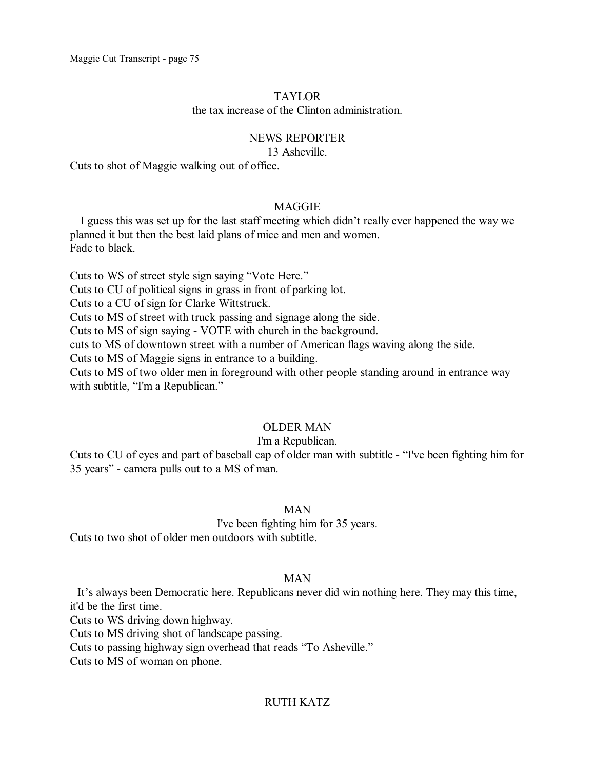## TAYLOR

the tax increase of the Clinton administration.

## NEWS REPORTER

#### 13 Asheville.

Cuts to shot of Maggie walking out of office.

## MAGGIE

I guess this was set up for the last staff meeting which didn't really ever happened the way we planned it but then the best laid plans of mice and men and women. Fade to black.

Cuts to WS of street style sign saying "Vote Here."

Cuts to CU of political signs in grass in front of parking lot.

Cuts to a CU of sign for Clarke Wittstruck.

Cuts to MS of street with truck passing and signage along the side.

Cuts to MS of sign saying - VOTE with church in the background.

cuts to MS of downtown street with a number of American flags waving along the side.

Cuts to MS of Maggie signs in entrance to a building.

Cuts to MS of two older men in foreground with other people standing around in entrance way with subtitle, "I'm a Republican."

# OLDER MAN

# I'm a Republican.

Cuts to CU of eyes and part of baseball cap of older man with subtitle - "I've been fighting him for 35 years" - camera pulls out to a MS of man.

# MAN

I've been fighting him for 35 years.

Cuts to two shot of older men outdoors with subtitle.

# MAN

It's always been Democratic here. Republicans never did win nothing here. They may this time, it'd be the first time.

Cuts to WS driving down highway.

Cuts to MS driving shot of landscape passing.

Cuts to passing highway sign overhead that reads "To Asheville."

Cuts to MS of woman on phone.

# RUTH KATZ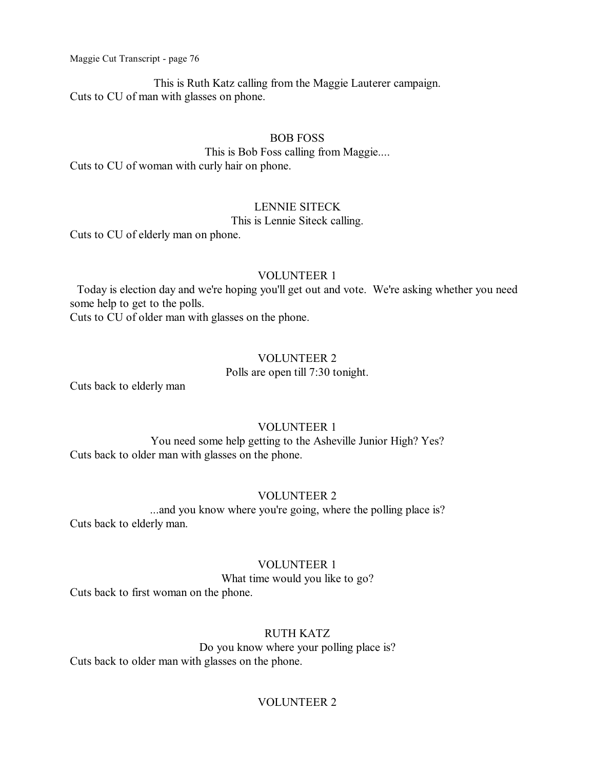This is Ruth Katz calling from the Maggie Lauterer campaign. Cuts to CU of man with glasses on phone.

## BOB FOSS

This is Bob Foss calling from Maggie.... Cuts to CU of woman with curly hair on phone.

# LENNIE SITECK

# This is Lennie Siteck calling.

Cuts to CU of elderly man on phone.

## VOLUNTEER 1

Today is election day and we're hoping you'll get out and vote. We're asking whether you need some help to get to the polls.

Cuts to CU of older man with glasses on the phone.

# VOLUNTEER 2

Polls are open till 7:30 tonight.

Cuts back to elderly man

# VOLUNTEER 1

You need some help getting to the Asheville Junior High? Yes? Cuts back to older man with glasses on the phone.

# VOLUNTEER 2

...and you know where you're going, where the polling place is? Cuts back to elderly man.

# VOLUNTEER 1

What time would you like to go?

Cuts back to first woman on the phone.

# RUTH KATZ

Do you know where your polling place is? Cuts back to older man with glasses on the phone.

# VOLUNTEER 2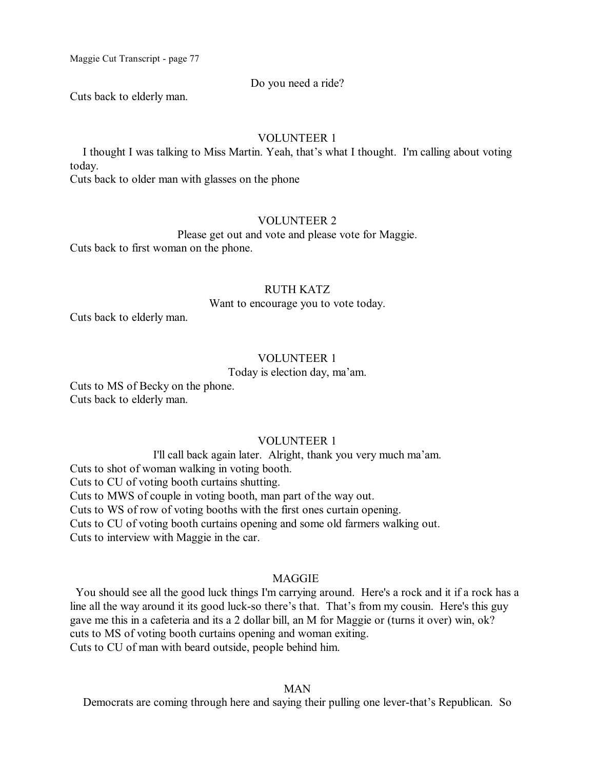### Do you need a ride?

Cuts back to elderly man.

### VOLUNTEER 1

I thought I was talking to Miss Martin. Yeah, that's what I thought. I'm calling about voting today.

Cuts back to older man with glasses on the phone

### VOLUNTEER 2

Please get out and vote and please vote for Maggie. Cuts back to first woman on the phone.

### RUTH KATZ

Want to encourage you to vote today.

Cuts back to elderly man.

# VOLUNTEER 1

Today is election day, ma'am.

Cuts to MS of Becky on the phone. Cuts back to elderly man.

# VOLUNTEER 1

I'll call back again later. Alright, thank you very much ma'am. Cuts to shot of woman walking in voting booth. Cuts to CU of voting booth curtains shutting. Cuts to MWS of couple in voting booth, man part of the way out. Cuts to WS of row of voting booths with the first ones curtain opening. Cuts to CU of voting booth curtains opening and some old farmers walking out. Cuts to interview with Maggie in the car.

## MAGGIE

You should see all the good luck things I'm carrying around. Here's a rock and it if a rock has a line all the way around it its good luck-so there's that. That's from my cousin. Here's this guy gave me this in a cafeteria and its a 2 dollar bill, an M for Maggie or (turns it over) win, ok? cuts to MS of voting booth curtains opening and woman exiting. Cuts to CU of man with beard outside, people behind him.

#### MAN

Democrats are coming through here and saying their pulling one lever-that's Republican. So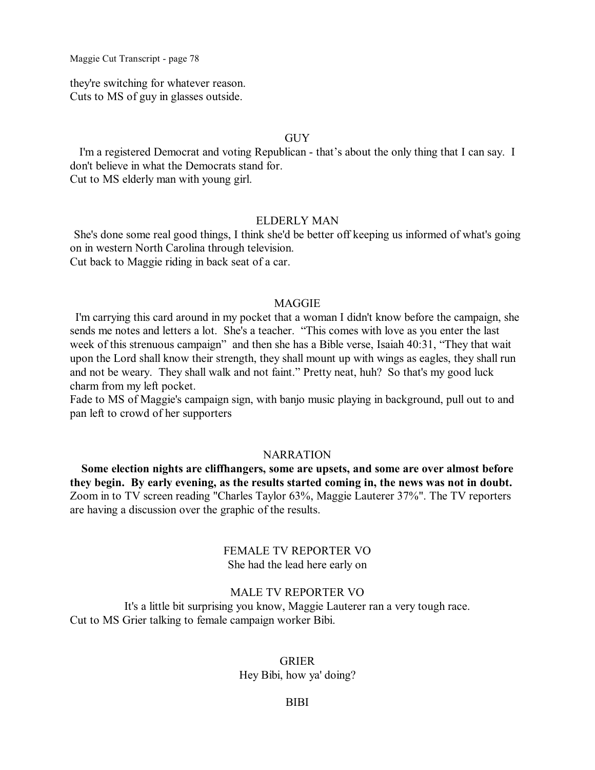they're switching for whatever reason. Cuts to MS of guy in glasses outside.

## GUY

I'm a registered Democrat and voting Republican - that's about the only thing that I can say. I don't believe in what the Democrats stand for. Cut to MS elderly man with young girl.

#### ELDERLY MAN

She's done some real good things, I think she'd be better off keeping us informed of what's going on in western North Carolina through television. Cut back to Maggie riding in back seat of a car.

#### MAGGIE

I'm carrying this card around in my pocket that a woman I didn't know before the campaign, she sends me notes and letters a lot. She's a teacher. "This comes with love as you enter the last week of this strenuous campaign" and then she has a Bible verse, Isaiah 40:31, "They that wait upon the Lord shall know their strength, they shall mount up with wings as eagles, they shall run and not be weary. They shall walk and not faint." Pretty neat, huh? So that's my good luck charm from my left pocket.

Fade to MS of Maggie's campaign sign, with banjo music playing in background, pull out to and pan left to crowd of her supporters

#### NARRATION

**Some election nights are cliffhangers, some are upsets, and some are over almost before they begin. By early evening, as the results started coming in, the news was not in doubt.**  Zoom in to TV screen reading "Charles Taylor 63%, Maggie Lauterer 37%". The TV reporters are having a discussion over the graphic of the results.

## FEMALE TV REPORTER VO She had the lead here early on

#### MALE TV REPORTER VO

It's a little bit surprising you know, Maggie Lauterer ran a very tough race. Cut to MS Grier talking to female campaign worker Bibi.

## GRIER

Hey Bibi, how ya' doing?

### BIBI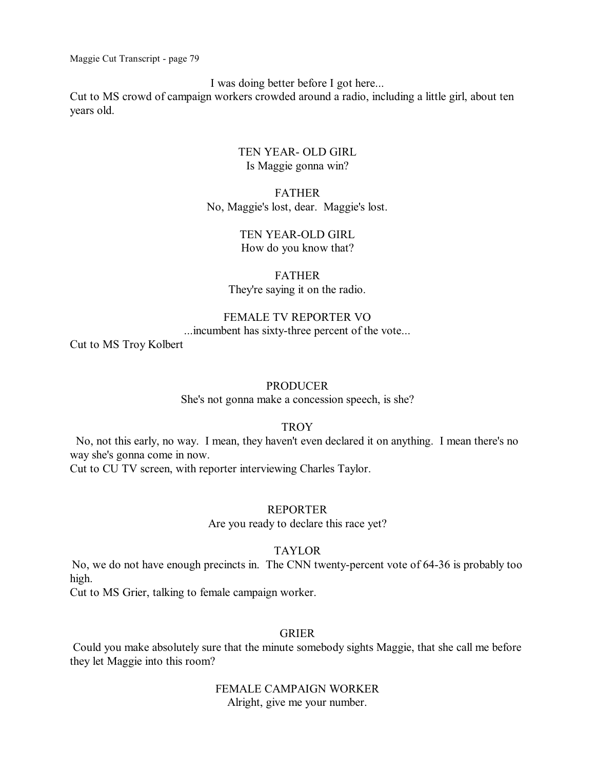I was doing better before I got here...

Cut to MS crowd of campaign workers crowded around a radio, including a little girl, about ten years old.

> TEN YEAR- OLD GIRL Is Maggie gonna win?

FATHER No, Maggie's lost, dear. Maggie's lost.

> TEN YEAR-OLD GIRL How do you know that?

FATHER They're saying it on the radio.

# FEMALE TV REPORTER VO

...incumbent has sixty-three percent of the vote...

Cut to MS Troy Kolbert

### PRODUCER

She's not gonna make a concession speech, is she?

#### **TROY**

No, not this early, no way. I mean, they haven't even declared it on anything. I mean there's no way she's gonna come in now.

Cut to CU TV screen, with reporter interviewing Charles Taylor.

# REPORTER

Are you ready to declare this race yet?

### TAYLOR

No, we do not have enough precincts in. The CNN twenty-percent vote of 64-36 is probably too high.

Cut to MS Grier, talking to female campaign worker.

## GRIER

Could you make absolutely sure that the minute somebody sights Maggie, that she call me before they let Maggie into this room?

> FEMALE CAMPAIGN WORKER Alright, give me your number.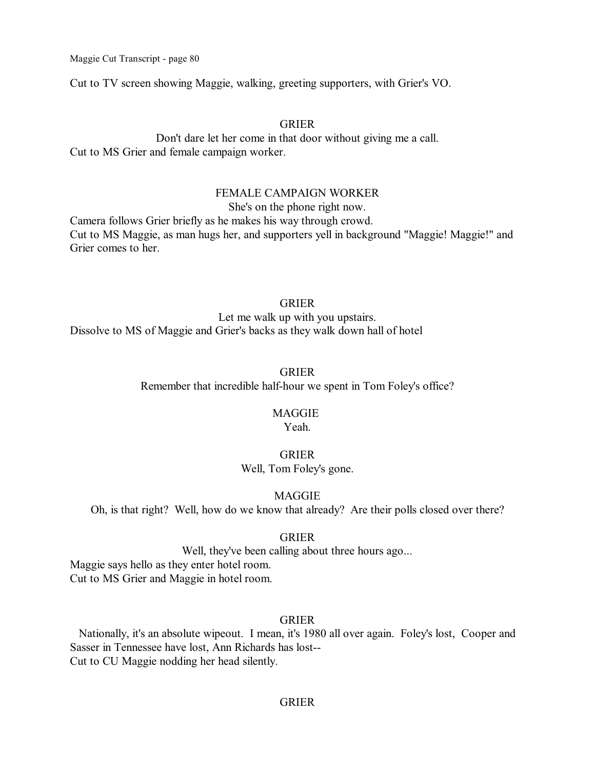Cut to TV screen showing Maggie, walking, greeting supporters, with Grier's VO.

## GRIER

Don't dare let her come in that door without giving me a call. Cut to MS Grier and female campaign worker.

#### FEMALE CAMPAIGN WORKER

She's on the phone right now.

Camera follows Grier briefly as he makes his way through crowd. Cut to MS Maggie, as man hugs her, and supporters yell in background "Maggie! Maggie!" and Grier comes to her.

#### GRIER

Let me walk up with you upstairs. Dissolve to MS of Maggie and Grier's backs as they walk down hall of hotel

#### GRIER

Remember that incredible half-hour we spent in Tom Foley's office?

# **MAGGIE**

Yeah.

### GRIER

Well, Tom Foley's gone.

# **MAGGIE**

Oh, is that right? Well, how do we know that already? Are their polls closed over there?

### GRIER

Well, they've been calling about three hours ago...

Maggie says hello as they enter hotel room. Cut to MS Grier and Maggie in hotel room.

# GRIER

Nationally, it's an absolute wipeout. I mean, it's 1980 all over again. Foley's lost, Cooper and Sasser in Tennessee have lost, Ann Richards has lost-- Cut to CU Maggie nodding her head silently.

## GRIER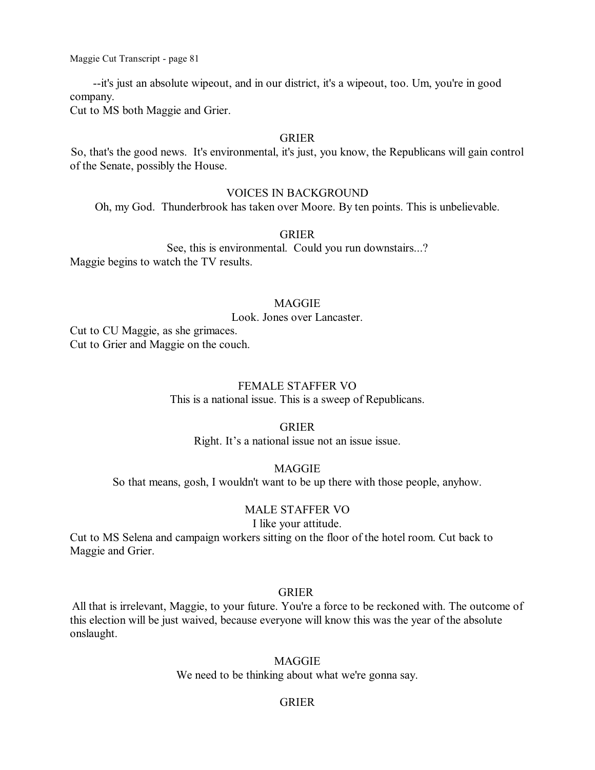--it's just an absolute wipeout, and in our district, it's a wipeout, too. Um, you're in good company.

Cut to MS both Maggie and Grier.

## GRIER

So, that's the good news. It's environmental, it's just, you know, the Republicans will gain control of the Senate, possibly the House.

## VOICES IN BACKGROUND

Oh, my God. Thunderbrook has taken over Moore. By ten points. This is unbelievable.

### GRIER

See, this is environmental. Could you run downstairs...? Maggie begins to watch the TV results.

### **MAGGIE**

Look. Jones over Lancaster.

Cut to CU Maggie, as she grimaces. Cut to Grier and Maggie on the couch.

### FEMALE STAFFER VO

This is a national issue. This is a sweep of Republicans.

### GRIER

Right. It's a national issue not an issue issue.

# MAGGIE

So that means, gosh, I wouldn't want to be up there with those people, anyhow.

## MALE STAFFER VO

I like your attitude.

Cut to MS Selena and campaign workers sitting on the floor of the hotel room. Cut back to Maggie and Grier.

## GRIER

All that is irrelevant, Maggie, to your future. You're a force to be reckoned with. The outcome of this election will be just waived, because everyone will know this was the year of the absolute onslaught.

MAGGIE

We need to be thinking about what we're gonna say.

### GRIER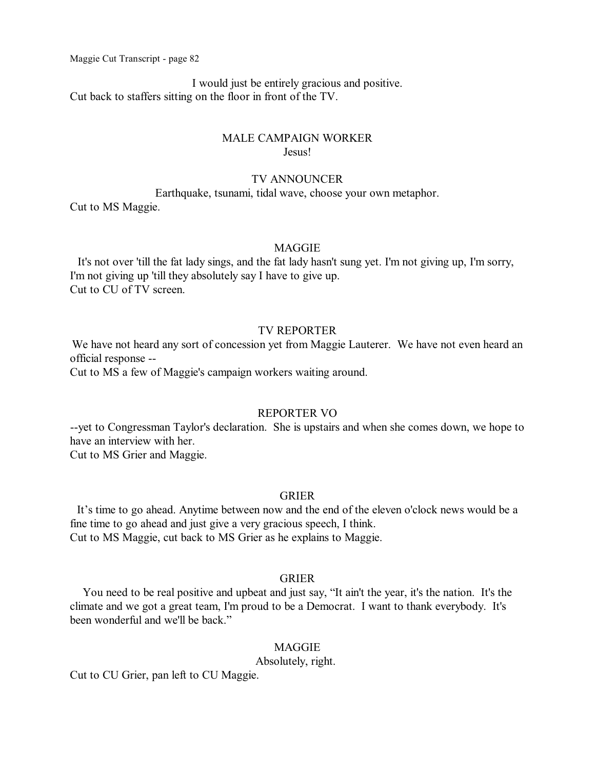I would just be entirely gracious and positive. Cut back to staffers sitting on the floor in front of the TV.

## MALE CAMPAIGN WORKER Jesus!

## TV ANNOUNCER

Earthquake, tsunami, tidal wave, choose your own metaphor.

Cut to MS Maggie.

#### **MAGGIE**

It's not over 'till the fat lady sings, and the fat lady hasn't sung yet. I'm not giving up, I'm sorry, I'm not giving up 'till they absolutely say I have to give up. Cut to CU of TV screen.

# TV REPORTER

We have not heard any sort of concession yet from Maggie Lauterer. We have not even heard an official response --

Cut to MS a few of Maggie's campaign workers waiting around.

# REPORTER VO

--yet to Congressman Taylor's declaration. She is upstairs and when she comes down, we hope to have an interview with her.

Cut to MS Grier and Maggie.

### GRIER

It's time to go ahead. Anytime between now and the end of the eleven o'clock news would be a fine time to go ahead and just give a very gracious speech, I think. Cut to MS Maggie, cut back to MS Grier as he explains to Maggie.

## GRIER

You need to be real positive and upbeat and just say, "It ain't the year, it's the nation. It's the climate and we got a great team, I'm proud to be a Democrat. I want to thank everybody. It's been wonderful and we'll be back."

### MAGGIE

Absolutely, right.

Cut to CU Grier, pan left to CU Maggie.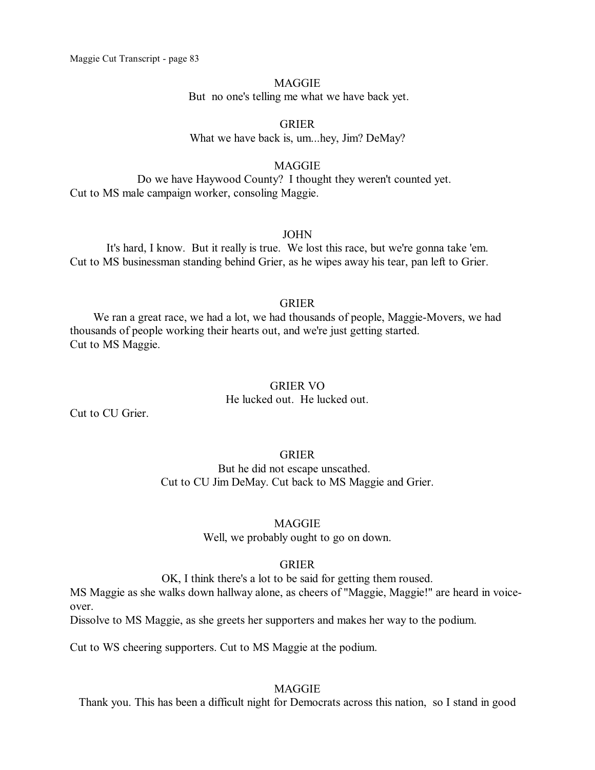### **MAGGIE**

But no one's telling me what we have back yet.

GRIER What we have back is, um...hey, Jim? DeMay?

# MAGGIE

Do we have Haywood County? I thought they weren't counted yet. Cut to MS male campaign worker, consoling Maggie.

## JOHN

It's hard, I know. But it really is true. We lost this race, but we're gonna take 'em. Cut to MS businessman standing behind Grier, as he wipes away his tear, pan left to Grier.

### GRIER

We ran a great race, we had a lot, we had thousands of people, Maggie-Movers, we had thousands of people working their hearts out, and we're just getting started. Cut to MS Maggie.

## GRIER VO

He lucked out. He lucked out.

Cut to CU Grier.

# GRIER

But he did not escape unscathed. Cut to CU Jim DeMay. Cut back to MS Maggie and Grier.

# MAGGIE

Well, we probably ought to go on down.

# GRIER

OK, I think there's a lot to be said for getting them roused.

MS Maggie as she walks down hallway alone, as cheers of "Maggie, Maggie!" are heard in voiceover.

Dissolve to MS Maggie, as she greets her supporters and makes her way to the podium.

Cut to WS cheering supporters. Cut to MS Maggie at the podium.

# MAGGIE

Thank you. This has been a difficult night for Democrats across this nation, so I stand in good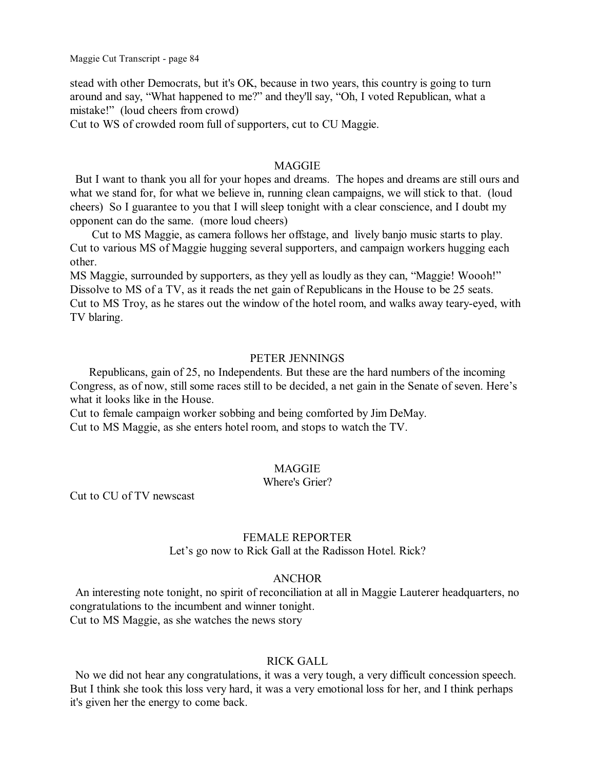stead with other Democrats, but it's OK, because in two years, this country is going to turn around and say, "What happened to me?" and they'll say, "Oh, I voted Republican, what a mistake!" (loud cheers from crowd)

Cut to WS of crowded room full of supporters, cut to CU Maggie.

## **MAGGIE**

But I want to thank you all for your hopes and dreams. The hopes and dreams are still ours and what we stand for, for what we believe in, running clean campaigns, we will stick to that. (loud cheers) So I guarantee to you that I will sleep tonight with a clear conscience, and I doubt my opponent can do the same. (more loud cheers)

Cut to MS Maggie, as camera follows her offstage, and lively banjo music starts to play. Cut to various MS of Maggie hugging several supporters, and campaign workers hugging each other.

MS Maggie, surrounded by supporters, as they yell as loudly as they can, "Maggie! Woooh!" Dissolve to MS of a TV, as it reads the net gain of Republicans in the House to be 25 seats. Cut to MS Troy, as he stares out the window of the hotel room, and walks away teary-eyed, with TV blaring.

### PETER JENNINGS

Republicans, gain of 25, no Independents. But these are the hard numbers of the incoming Congress, as of now, still some races still to be decided, a net gain in the Senate of seven. Here's what it looks like in the House.

Cut to female campaign worker sobbing and being comforted by Jim DeMay. Cut to MS Maggie, as she enters hotel room, and stops to watch the TV.

## **MAGGIE**

## Where's Grier?

Cut to CU of TV newscast

### FEMALE REPORTER

Let's go now to Rick Gall at the Radisson Hotel. Rick?

#### ANCHOR

An interesting note tonight, no spirit of reconciliation at all in Maggie Lauterer headquarters, no congratulations to the incumbent and winner tonight. Cut to MS Maggie, as she watches the news story

#### RICK GALL

No we did not hear any congratulations, it was a very tough, a very difficult concession speech. But I think she took this loss very hard, it was a very emotional loss for her, and I think perhaps it's given her the energy to come back.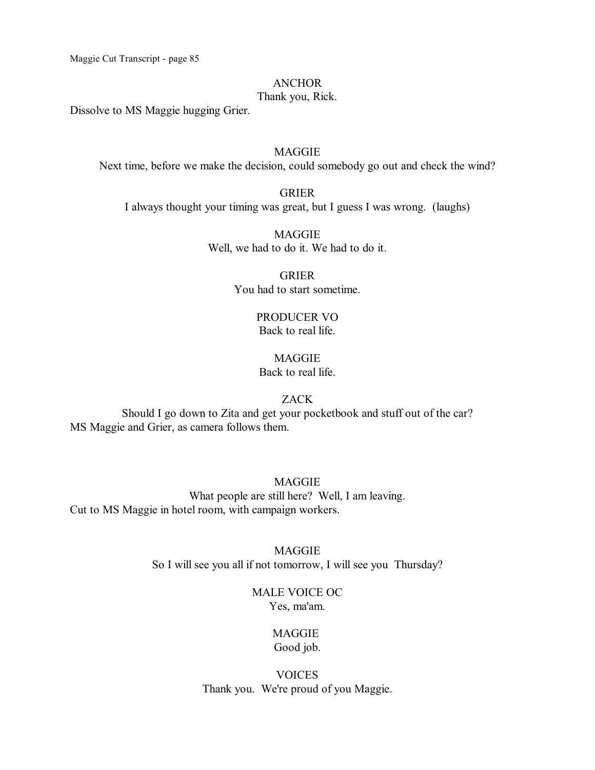### ANCHOR

# Thank you, Rick.

Dissolve to MS Maggie hugging Grier.

# MAGGIE

Next time, before we make the decision, could somebody go out and check the wind?

# GRIER

I always thought your timing was great, but I guess I was wrong. (laughs)

MAGGIE Well, we had to do it. We had to do it.

> GRIER You had to start sometime.

# PRODUCER VO Back to real life.

# MAGGIE Back to real life.

## ZACK

Should I go down to Zita and get your pocketbook and stuff out of the car? MS Maggie and Grier, as camera follows them.

MAGGIE What people are still here? Well, I am leaving. Cut to MS Maggie in hotel room, with campaign workers.

> MAGGIE So I will see you all if not tomorrow, I will see you Thursday?

# MALE VOICE OC Yes, ma'am.

# MAGGIE Good job.

VOICES Thank you. We're proud of you Maggie.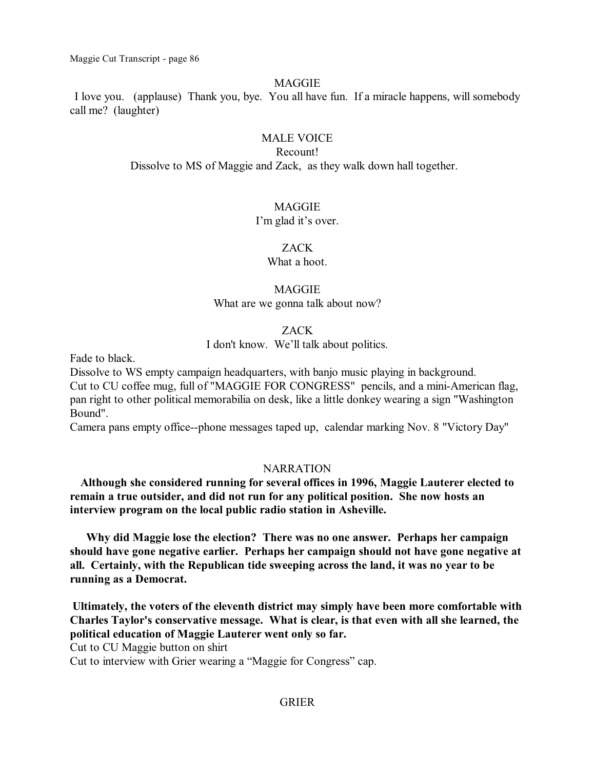# **MAGGIE**

I love you. (applause) Thank you, bye. You all have fun. If a miracle happens, will somebody call me? (laughter)

# MALE VOICE

### Recount!

Dissolve to MS of Maggie and Zack, as they walk down hall together.

# **MAGGIE**

## I'm glad it's over.

# ZACK

What a hoot.

# MAGGIE

What are we gonna talk about now?

# ZACK

I don't know. We'll talk about politics.

Fade to black.

Dissolve to WS empty campaign headquarters, with banjo music playing in background. Cut to CU coffee mug, full of "MAGGIE FOR CONGRESS" pencils, and a mini-American flag, pan right to other political memorabilia on desk, like a little donkey wearing a sign "Washington Bound".

Camera pans empty office--phone messages taped up, calendar marking Nov. 8 "Victory Day"

# NARRATION

**Although she considered running for several offices in 1996, Maggie Lauterer elected to remain a true outsider, and did not run for any political position. She now hosts an interview program on the local public radio station in Asheville.** 

**Why did Maggie lose the election? There was no one answer. Perhaps her campaign should have gone negative earlier. Perhaps her campaign should not have gone negative at all. Certainly, with the Republican tide sweeping across the land, it was no year to be running as a Democrat.** 

**Ultimately, the voters of the eleventh district may simply have been more comfortable with Charles Taylor's conservative message. What is clear, is that even with all she learned, the political education of Maggie Lauterer went only so far.** 

Cut to CU Maggie button on shirt

Cut to interview with Grier wearing a "Maggie for Congress" cap.

# GRIER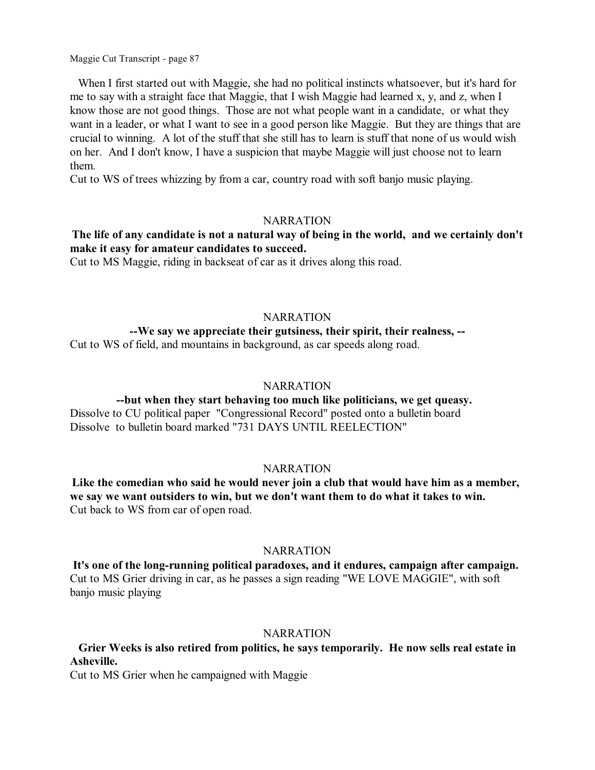When I first started out with Maggie, she had no political instincts whatsoever, but it's hard for me to say with a straight face that Maggie, that I wish Maggie had learned x, y, and z, when I know those are not good things. Those are not what people want in a candidate, or what they want in a leader, or what I want to see in a good person like Maggie. But they are things that are crucial to winning. A lot of the stuff that she still has to learn is stuff that none of us would wish on her. And I don't know, I have a suspicion that maybe Maggie will just choose not to learn them.

Cut to WS of trees whizzing by from a car, country road with soft banjo music playing.

### **NARRATION**

# **The life of any candidate is not a natural way of being in the world, and we certainly don't make it easy for amateur candidates to succeed.**

Cut to MS Maggie, riding in backseat of car as it drives along this road.

## **NARRATION**

## **--We say we appreciate their gutsiness, their spirit, their realness, --**

Cut to WS of field, and mountains in background, as car speeds along road.

## **NARRATION**

# **--but when they start behaving too much like politicians, we get queasy.**  Dissolve to CU political paper "Congressional Record" posted onto a bulletin board

Dissolve to bulletin board marked "731 DAYS UNTIL REELECTION"

# **NARRATION**

**Like the comedian who said he would never join a club that would have him as a member, we say we want outsiders to win, but we don't want them to do what it takes to win.**  Cut back to WS from car of open road.

# **NARRATION**

**It's one of the long-running political paradoxes, and it endures, campaign after campaign.**  Cut to MS Grier driving in car, as he passes a sign reading "WE LOVE MAGGIE", with soft banjo music playing

# NARRATION

# **Grier Weeks is also retired from politics, he says temporarily. He now sells real estate in Asheville.**

Cut to MS Grier when he campaigned with Maggie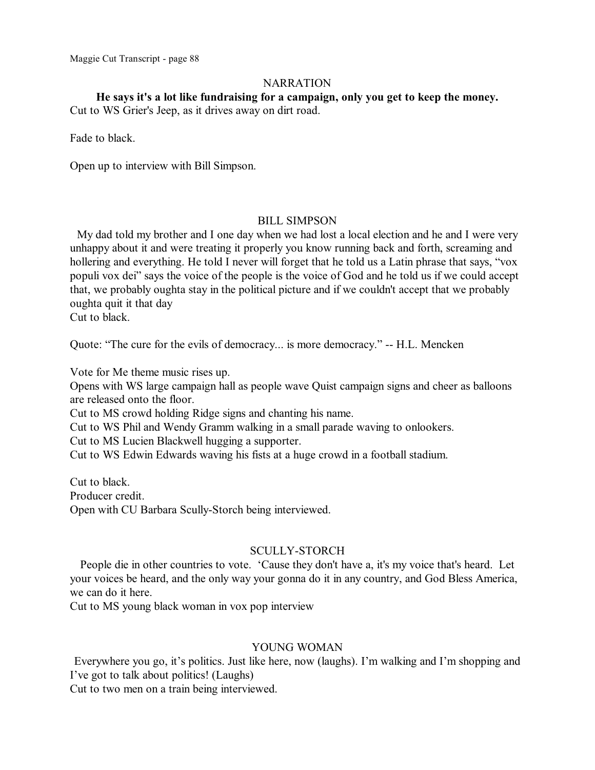# **NARRATION**

**He says it's a lot like fundraising for a campaign, only you get to keep the money.**

Cut to WS Grier's Jeep, as it drives away on dirt road.

Fade to black.

Open up to interview with Bill Simpson.

## BILL SIMPSON

My dad told my brother and I one day when we had lost a local election and he and I were very unhappy about it and were treating it properly you know running back and forth, screaming and hollering and everything. He told I never will forget that he told us a Latin phrase that says, "vox populi vox dei" says the voice of the people is the voice of God and he told us if we could accept that, we probably oughta stay in the political picture and if we couldn't accept that we probably oughta quit it that day

Cut to black.

Quote: "The cure for the evils of democracy... is more democracy." -- H.L. Mencken

Vote for Me theme music rises up.

Opens with WS large campaign hall as people wave Quist campaign signs and cheer as balloons are released onto the floor.

Cut to MS crowd holding Ridge signs and chanting his name.

Cut to WS Phil and Wendy Gramm walking in a small parade waving to onlookers.

Cut to MS Lucien Blackwell hugging a supporter.

Cut to WS Edwin Edwards waving his fists at a huge crowd in a football stadium.

Cut to black. Producer credit. Open with CU Barbara Scully-Storch being interviewed.

# SCULLY-STORCH

People die in other countries to vote. 'Cause they don't have a, it's my voice that's heard. Let your voices be heard, and the only way your gonna do it in any country, and God Bless America, we can do it here.

Cut to MS young black woman in vox pop interview

# YOUNG WOMAN

Everywhere you go, it's politics. Just like here, now (laughs). I'm walking and I'm shopping and I've got to talk about politics! (Laughs)

Cut to two men on a train being interviewed.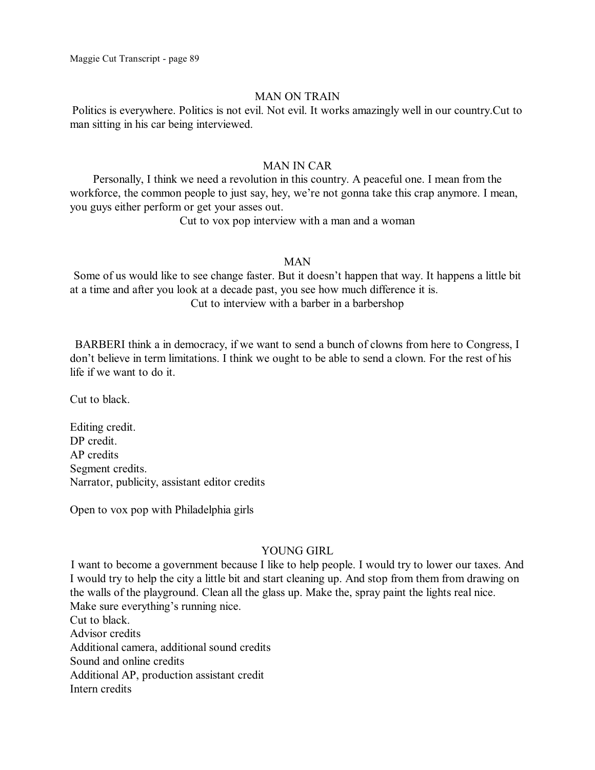# MAN ON TRAIN

Politics is everywhere. Politics is not evil. Not evil. It works amazingly well in our country.Cut to man sitting in his car being interviewed.

# MAN IN CAR

Personally, I think we need a revolution in this country. A peaceful one. I mean from the workforce, the common people to just say, hey, we're not gonna take this crap anymore. I mean, you guys either perform or get your asses out.

Cut to vox pop interview with a man and a woman

### MAN

Some of us would like to see change faster. But it doesn't happen that way. It happens a little bit at a time and after you look at a decade past, you see how much difference it is. Cut to interview with a barber in a barbershop

BARBERI think a in democracy, if we want to send a bunch of clowns from here to Congress, I don't believe in term limitations. I think we ought to be able to send a clown. For the rest of his life if we want to do it.

Cut to black.

Editing credit. DP credit. AP credits Segment credits. Narrator, publicity, assistant editor credits

Open to vox pop with Philadelphia girls

# YOUNG GIRL

I want to become a government because I like to help people. I would try to lower our taxes. And I would try to help the city a little bit and start cleaning up. And stop from them from drawing on the walls of the playground. Clean all the glass up. Make the, spray paint the lights real nice. Make sure everything's running nice. Cut to black. Advisor credits Additional camera, additional sound credits Sound and online credits Additional AP, production assistant credit

Intern credits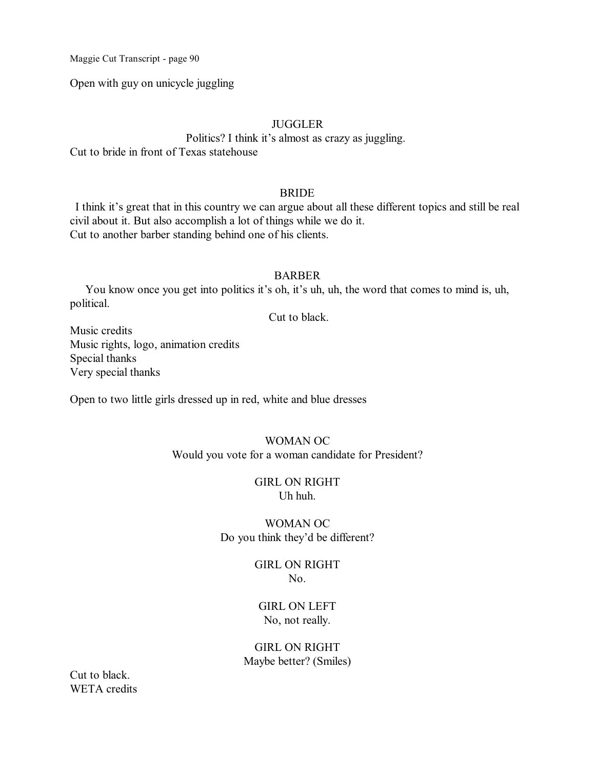Open with guy on unicycle juggling

# **JUGGLER**

Politics? I think it's almost as crazy as juggling. Cut to bride in front of Texas statehouse

## BRIDE

I think it's great that in this country we can argue about all these different topics and still be real civil about it. But also accomplish a lot of things while we do it. Cut to another barber standing behind one of his clients.

### **BARBER**

You know once you get into politics it's oh, it's uh, uh, the word that comes to mind is, uh, political.

Cut to black.

Music credits Music rights, logo, animation credits Special thanks Very special thanks

Open to two little girls dressed up in red, white and blue dresses

# WOMAN OC Would you vote for a woman candidate for President?

#### GIRL ON RIGHT Uh huh.

# WOMAN OC Do you think they'd be different?

### GIRL ON RIGHT No.

# GIRL ON LEFT No, not really.

# GIRL ON RIGHT Maybe better? (Smiles)

Cut to black. WETA credits